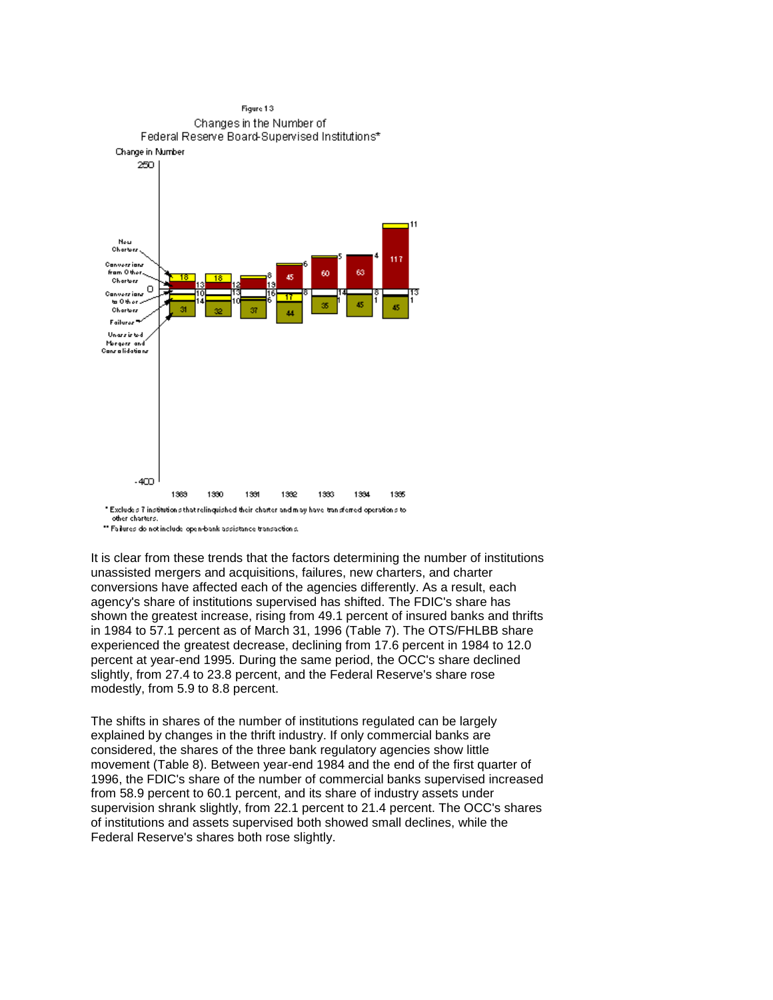

" Failures do not include open-bank assistance transactions.

 conversions have affected each of the agencies differently. As a result, each It is clear from these trends that the factors determining the number of institutions unassisted mergers and acquisitions, failures, new charters, and charter agency's share of institutions supervised has shifted. The FDIC's share has shown the greatest increase, rising from 49.1 percent of insured banks and thrifts in 1984 to 57.1 percent as of March 31, 1996 (Table 7). The OTS/FHLBB share experienced the greatest decrease, declining from 17.6 percent in 1984 to 12.0 percent at year-end 1995. During the same period, the OCC's share declined slightly, from 27.4 to 23.8 percent, and the Federal Reserve's share rose modestly, from 5.9 to 8.8 percent.

The shifts in shares of the number of institutions regulated can be largely explained by changes in the thrift industry. If only commercial banks are considered, the shares of the three bank regulatory agencies show little movement (Table 8). Between year-end 1984 and the end of the first quarter of 1996, the FDIC's share of the number of commercial banks supervised increased from 58.9 percent to 60.1 percent, and its share of industry assets under supervision shrank slightly, from 22.1 percent to 21.4 percent. The OCC's shares of institutions and assets supervised both showed small declines, while the Federal Reserve's shares both rose slightly.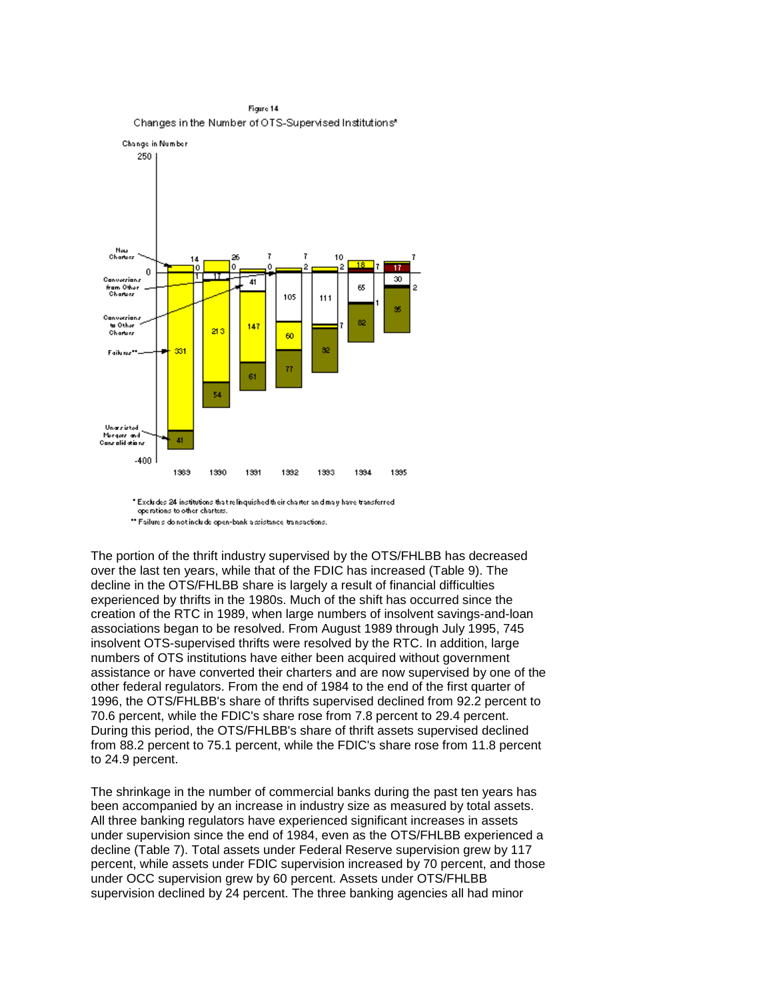

" Excludes 24 institutions that relinquished their charter and may have transferred operations to other charters. \*\* Failures do not include open-bank assistance transactions.

 decline in the OTS/FHLBB share is largely a result of financial difficulties The portion of the thrift industry supervised by the OTS/FHLBB has decreased over the last ten years, while that of the FDIC has increased (Table 9). The experienced by thrifts in the 1980s. Much of the shift has occurred since the creation of the RTC in 1989, when large numbers of insolvent savings-and-loan associations began to be resolved. From August 1989 through July 1995, 745 insolvent OTS-supervised thrifts were resolved by the RTC. In addition, large numbers of OTS institutions have either been acquired without government assistance or have converted their charters and are now supervised by one of the other federal regulators. From the end of 1984 to the end of the first quarter of 1996, the OTS/FHLBB's share of thrifts supervised declined from 92.2 percent to 70.6 percent, while the FDIC's share rose from 7.8 percent to 29.4 percent. During this period, the OTS/FHLBB's share of thrift assets supervised declined from 88.2 percent to 75.1 percent, while the FDIC's share rose from 11.8 percent to 24.9 percent.

 under OCC supervision grew by 60 percent. Assets under OTS/FHLBB The shrinkage in the number of commercial banks during the past ten years has been accompanied by an increase in industry size as measured by total assets. All three banking regulators have experienced significant increases in assets under supervision since the end of 1984, even as the OTS/FHLBB experienced a decline (Table 7). Total assets under Federal Reserve supervision grew by 117 percent, while assets under FDIC supervision increased by 70 percent, and those supervision declined by 24 percent. The three banking agencies all had minor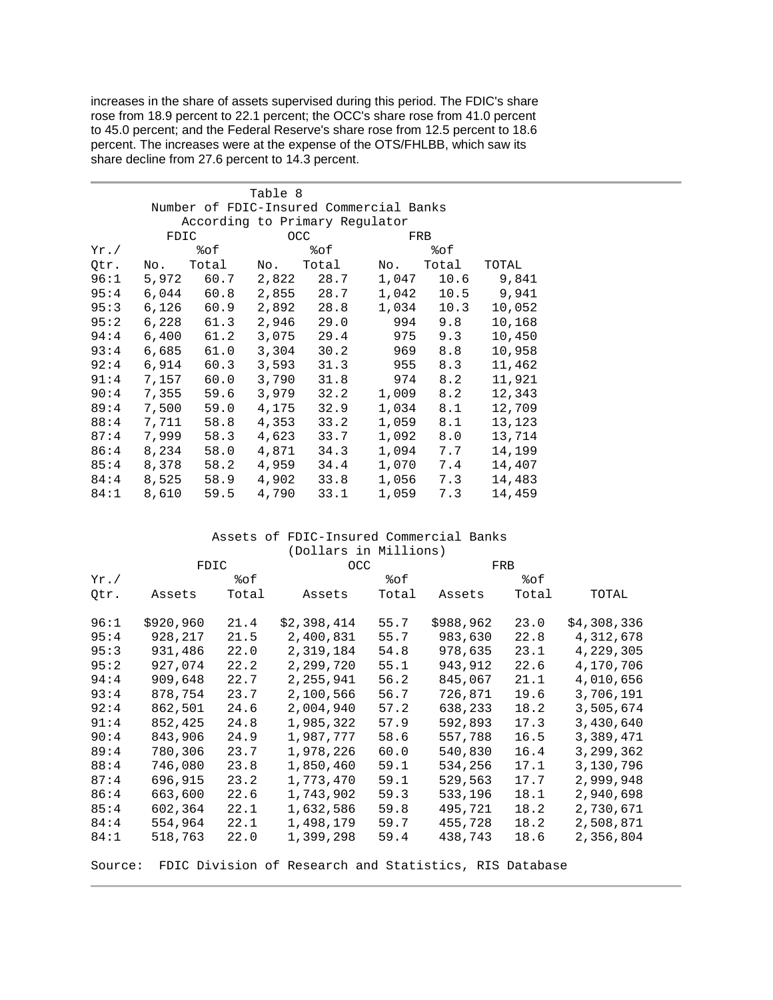percent. The increases were at the expense of the OTS/FHLBB, which saw its increases in the share of assets supervised during this period. The FDIC's share rose from 18.9 percent to 22.1 percent; the OCC's share rose from 41.0 percent to 45.0 percent; and the Federal Reserve's share rose from 12.5 percent to 18.6 share decline from 27.6 percent to 14.3 percent.

|                                |       |       | Table 8 |                                         |       |       |        |  |  |  |  |
|--------------------------------|-------|-------|---------|-----------------------------------------|-------|-------|--------|--|--|--|--|
|                                |       |       |         | Number of FDIC-Insured Commercial Banks |       |       |        |  |  |  |  |
| According to Primary Regulator |       |       |         |                                         |       |       |        |  |  |  |  |
|                                | FDIC  |       |         | <b>OCC</b>                              | FRB   |       |        |  |  |  |  |
| $Yr$ ./                        |       | %೦£   |         | %of                                     |       | %೦£   |        |  |  |  |  |
| Qtr.                           | No.   | Total | No.     | Total                                   | No.   | Total | TOTAL  |  |  |  |  |
| 96:1                           | 5,972 | 60.7  | 2,822   | 28.7                                    | 1,047 | 10.6  | 9,841  |  |  |  |  |
| 95:4                           | 6,044 | 60.8  | 2,855   | 28.7                                    | 1,042 | 10.5  | 9,941  |  |  |  |  |
| 95:3                           | 6,126 | 60.9  | 2,892   | 28.8                                    | 1,034 | 10.3  | 10,052 |  |  |  |  |
| 95:2                           | 6,228 | 61.3  | 2,946   | 29.0                                    | 994   | 9.8   | 10,168 |  |  |  |  |
| 94:4                           | 6,400 | 61.2  | 3,075   | 29.4                                    | 975   | 9.3   | 10,450 |  |  |  |  |
| 93:4                           | 6,685 | 61.0  | 3,304   | 30.2                                    | 969   | 8.8   | 10,958 |  |  |  |  |
| 92:4                           | 6,914 | 60.3  | 3,593   | 31.3                                    | 955   | 8.3   | 11,462 |  |  |  |  |
| 91:4                           | 7,157 | 60.0  | 3,790   | 31.8                                    | 974   | 8.2   | 11,921 |  |  |  |  |
| 90:4                           | 7,355 | 59.6  | 3,979   | 32.2                                    | 1,009 | 8.2   | 12,343 |  |  |  |  |
| 89:4                           | 7,500 | 59.0  | 4,175   | 32.9                                    | 1,034 | 8.1   | 12,709 |  |  |  |  |
| 88:4                           | 7,711 | 58.8  | 4,353   | 33.2                                    | 1,059 | 8.1   | 13,123 |  |  |  |  |
| 87:4                           | 7,999 | 58.3  | 4,623   | 33.7                                    | 1,092 | 8.0   | 13,714 |  |  |  |  |
| 86:4                           | 8,234 | 58.0  | 4,871   | 34.3                                    | 1,094 | 7.7   | 14,199 |  |  |  |  |
| 85:4                           | 8,378 | 58.2  | 4,959   | 34.4                                    | 1,070 | 7.4   | 14,407 |  |  |  |  |
| 84:4                           | 8,525 | 58.9  | 4,902   | 33.8                                    | 1,056 | 7.3   | 14,483 |  |  |  |  |
| 84:1                           | 8,610 | 59.5  | 4,790   | 33.1                                    | 1,059 | 7.3   | 14,459 |  |  |  |  |

## Assets of FDIC-Insured Commercial Banks (Dollars in Millions)

|         | FDIC      |       | <b>OCC</b>                                             |       | FRB       |       |             |  |
|---------|-----------|-------|--------------------------------------------------------|-------|-----------|-------|-------------|--|
| $Yr$ ./ |           | %೦£   |                                                        | 8of   |           | 8of   |             |  |
| Qtr.    | Assets    | Total | Assets                                                 | Total | Assets    | Total | TOTAL       |  |
| 96:1    | \$920,960 | 21.4  | \$2,398,414                                            | 55.7  | \$988,962 | 23.0  | \$4,308,336 |  |
| 95:4    | 928,217   | 21.5  | 2,400,831                                              | 55.7  | 983,630   | 22.8  | 4,312,678   |  |
| 95:3    | 931,486   | 22.0  | 2,319,184                                              | 54.8  | 978,635   | 23.1  | 4,229,305   |  |
| 95:2    | 927,074   | 22.2  | 2,299,720                                              | 55.1  | 943,912   | 22.6  | 4,170,706   |  |
| 94:4    | 909,648   | 22.7  | 2,255,941                                              | 56.2  | 845,067   | 21.1  | 4,010,656   |  |
| 93:4    | 878,754   | 23.7  | 2,100,566                                              | 56.7  | 726,871   | 19.6  | 3,706,191   |  |
| 92:4    | 862,501   | 24.6  | 2,004,940                                              | 57.2  | 638,233   | 18.2  | 3,505,674   |  |
| 91:4    | 852,425   | 24.8  | 1,985,322                                              | 57.9  | 592,893   | 17.3  | 3,430,640   |  |
| 90:4    | 843,906   | 24.9  | 1,987,777                                              | 58.6  | 557,788   | 16.5  | 3,389,471   |  |
| 89:4    | 780,306   | 23.7  | 1,978,226                                              | 60.0  | 540,830   | 16.4  | 3,299,362   |  |
| 88:4    | 746,080   | 23.8  | 1,850,460                                              | 59.1  | 534,256   | 17.1  | 3,130,796   |  |
| 87:4    | 696,915   | 23.2  | 1,773,470                                              | 59.1  | 529,563   | 17.7  | 2,999,948   |  |
| 86:4    | 663,600   | 22.6  | 1,743,902                                              | 59.3  | 533,196   | 18.1  | 2,940,698   |  |
| 85:4    | 602,364   | 22.1  | 1,632,586                                              | 59.8  | 495,721   | 18.2  | 2,730,671   |  |
| 84:4    | 554,964   | 22.1  | 1,498,179                                              | 59.7  | 455,728   | 18.2  | 2,508,871   |  |
| 84:1    | 518,763   | 22.0  | 1,399,298                                              | 59.4  | 438,743   | 18.6  | 2,356,804   |  |
| Source: |           |       | FDIC Division of Research and Statistics, RIS Database |       |           |       |             |  |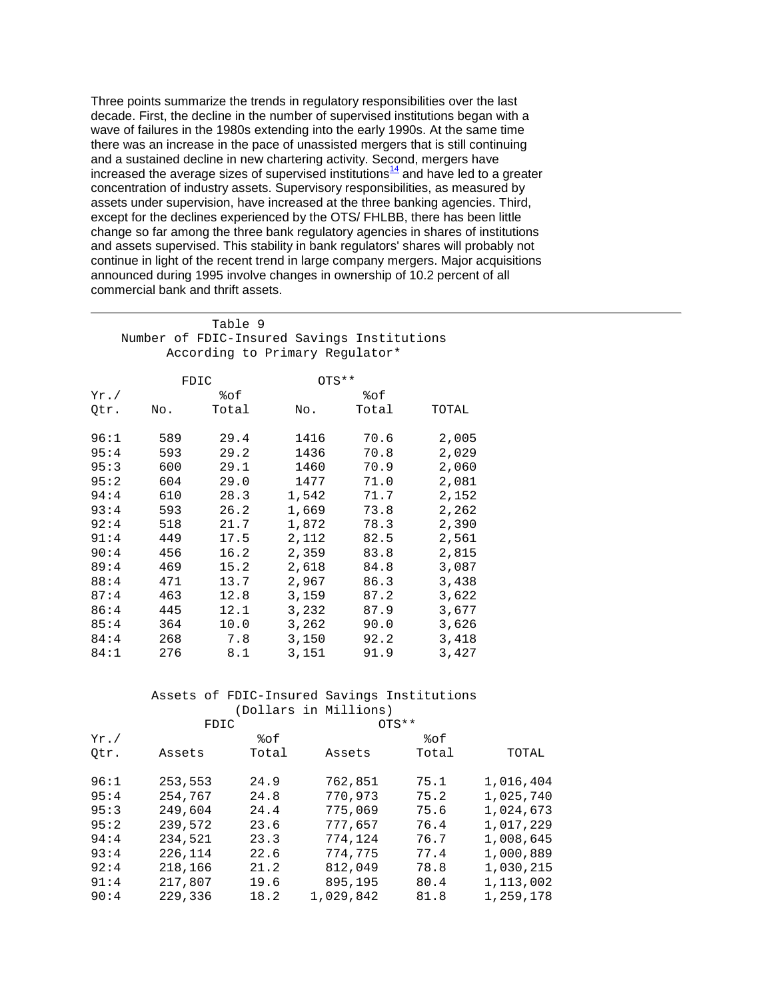Three points summarize the trends in regulatory responsibilities over the last decade. First, the decline in the number of supervised institutions began with a wave of failures in the 1980s extending into the early 1990s. At the same time there was an increase in the pace of unassisted mergers that is still continuing and a sustained decline in new chartering activity. Second, mergers have increased the average sizes of supervised institutions $14$  and have led to a greater concentration of industry assets. Supervisory responsibilities, as measured by assets under supervision, have increased at the three banking agencies. Third, except for the declines experienced by the OTS/ FHLBB, there has been little change so far among the three bank regulatory agencies in shares of institutions and assets supervised. This stability in bank regulators' shares will probably not continue in light of the recent trend in large company mergers. Major acquisitions announced during 1995 involve changes in ownership of 10.2 percent of all commercial bank and thrift assets.

|         |     | Table 9<br>Number of FDIC-Insured Savings Institutions<br>According to Primary Regulator* |         |       |       |
|---------|-----|-------------------------------------------------------------------------------------------|---------|-------|-------|
|         |     | FDIC                                                                                      | $OTS**$ |       |       |
| $Yr$ ./ |     | %ဝ£                                                                                       |         | %ဝ£   |       |
| Otr.    | No. | Total                                                                                     | No.     | Total | TOTAL |
| 96:1    | 589 | 29.4                                                                                      | 1416    | 70.6  | 2,005 |

| 95:4 | 593 | 29.2 | 1436  | 70.8 | 2,029 |
|------|-----|------|-------|------|-------|
|      |     |      |       |      |       |
| 95:3 | 600 | 29.1 | 1460  | 70.9 | 2,060 |
| 95:2 | 604 | 29.0 | 1477  | 71.0 | 2,081 |
| 94:4 | 610 | 28.3 | 1,542 | 71.7 | 2,152 |
| 93:4 | 593 | 26.2 | 1,669 | 73.8 | 2,262 |
| 92:4 | 518 | 21.7 | 1,872 | 78.3 | 2,390 |
| 91:4 | 449 | 17.5 | 2,112 | 82.5 | 2,561 |
| 90:4 | 456 | 16.2 | 2,359 | 83.8 | 2,815 |
| 89:4 | 469 | 15.2 | 2,618 | 84.8 | 3,087 |
| 88:4 | 471 | 13.7 | 2,967 | 86.3 | 3,438 |
| 87:4 | 463 | 12.8 | 3,159 | 87.2 | 3,622 |
| 86:4 | 445 | 12.1 | 3,232 | 87.9 | 3,677 |
| 85:4 | 364 | 10.0 | 3,262 | 90.0 | 3,626 |
| 84:4 | 268 | 7.8  | 3,150 | 92.2 | 3,418 |
| 84:1 | 276 | 8.1  | 3,151 | 91.9 | 3,427 |
|      |     |      |       |      |       |

# Assets of FDIC-Insured Savings Institutions (Dollars in Millions)<br>FDIC 0TS\*\*

|         | FDIC    |       | 0T <sup>st</sup> |       |           |
|---------|---------|-------|------------------|-------|-----------|
| $Yr$ ./ |         | 8of   |                  | %of   |           |
| Otr.    | Assets  | Total | Assets           | Total | TOTAL     |
| 96:1    | 253,553 | 24.9  | 762,851          | 75.1  | 1,016,404 |
| 95:4    | 254,767 | 24.8  | 770,973          | 75.2  | 1,025,740 |
| 95:3    | 249,604 | 24.4  | 775,069          | 75.6  | 1,024,673 |
| 95:2    | 239,572 | 23.6  | 777,657          | 76.4  | 1,017,229 |
| 94:4    | 234,521 | 23.3  | 774,124          | 76.7  | 1,008,645 |
| 93:4    | 226,114 | 22.6  | 774,775          | 77.4  | 1,000,889 |
| 92:4    | 218,166 | 21.2  | 812,049          | 78.8  | 1,030,215 |
| 91:4    | 217,807 | 19.6  | 895,195          | 80.4  | 1,113,002 |
| 90:4    | 229,336 | 18.2  | 1,029,842        | 81.8  | 1,259,178 |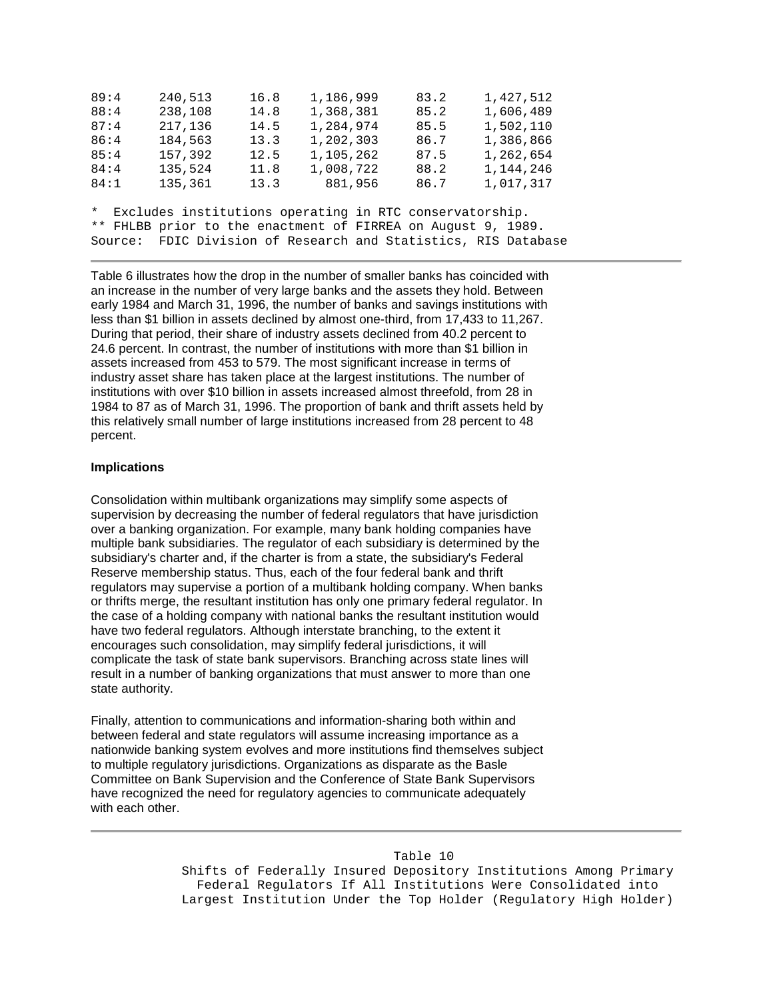| 89:4 | 240,513 | 16.8 | 1,186,999                                                      | 83.2 | 1,427,512 |
|------|---------|------|----------------------------------------------------------------|------|-----------|
| 88:4 | 238,108 | 14.8 | 1,368,381                                                      | 85.2 | 1,606,489 |
| 87:4 | 217,136 | 14.5 | 1,284,974                                                      | 85.5 | 1,502,110 |
| 86:4 | 184,563 | 13.3 | 1,202,303                                                      | 86.7 | 1,386,866 |
| 85:4 | 157,392 | 12.5 | 1,105,262                                                      | 87.5 | 1,262,654 |
| 84:4 | 135,524 | 11.8 | 1,008,722                                                      | 88.2 | 1,144,246 |
| 84:1 | 135,361 | 13.3 | 881,956                                                        | 86.7 | 1,017,317 |
|      |         |      |                                                                |      |           |
|      |         |      | * Excludes institutions operating in RTC conservatorship.      |      |           |
|      |         |      | ** FHLBB prior to the enactment of FIRREA on August 9, 1989.   |      |           |
|      |         |      | Source: FDIC Division of Research and Statistics, RIS Database |      |           |

 early 1984 and March 31, 1996, the number of banks and savings institutions with Table 6 illustrates how the drop in the number of smaller banks has coincided with an increase in the number of very large banks and the assets they hold. Between less than \$1 billion in assets declined by almost one-third, from 17,433 to 11,267. During that period, their share of industry assets declined from 40.2 percent to 24.6 percent. In contrast, the number of institutions with more than \$1 billion in assets increased from 453 to 579. The most significant increase in terms of industry asset share has taken place at the largest institutions. The number of institutions with over \$10 billion in assets increased almost threefold, from 28 in 1984 to 87 as of March 31, 1996. The proportion of bank and thrift assets held by this relatively small number of large institutions increased from 28 percent to 48 percent.

## **Implications**

 have two federal regulators. Although interstate branching, to the extent it encourages such consolidation, may simplify federal jurisdictions, it will complicate the task of state bank supervisors. Branching across state lines will Consolidation within multibank organizations may simplify some aspects of supervision by decreasing the number of federal regulators that have jurisdiction over a banking organization. For example, many bank holding companies have multiple bank subsidiaries. The regulator of each subsidiary is determined by the subsidiary's charter and, if the charter is from a state, the subsidiary's Federal Reserve membership status. Thus, each of the four federal bank and thrift regulators may supervise a portion of a multibank holding company. When banks or thrifts merge, the resultant institution has only one primary federal regulator. In the case of a holding company with national banks the resultant institution would result in a number of banking organizations that must answer to more than one state authority.

Finally, attention to communications and information-sharing both within and between federal and state regulators will assume increasing importance as a nationwide banking system evolves and more institutions find themselves subject to multiple regulatory jurisdictions. Organizations as disparate as the Basle Committee on Bank Supervision and the Conference of State Bank Supervisors have recognized the need for regulatory agencies to communicate adequately with each other.

#### Table 10

Shifts of Federally Insured Depository Institutions Among Primary Federal Regulators If All Institutions Were Consolidated into Largest Institution Under the Top Holder (Regulatory High Holder)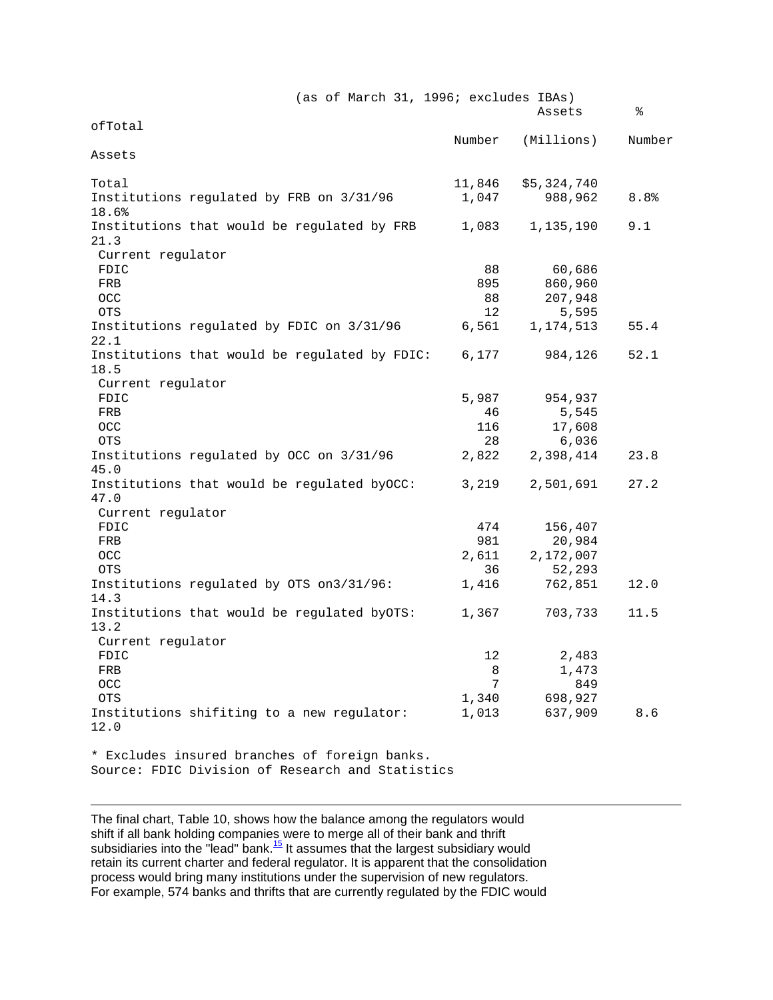|                   | (as of March 31, 1996; excludes IBAs)         |        |             |        |
|-------------------|-----------------------------------------------|--------|-------------|--------|
|                   |                                               |        | Assets      | ⊱      |
| ofTotal           |                                               |        |             |        |
|                   |                                               | Number | (Millions)  | Number |
| Assets            |                                               |        |             |        |
|                   |                                               |        |             |        |
| Total             |                                               | 11,846 | \$5,324,740 |        |
|                   | Institutions regulated by FRB on 3/31/96      | 1,047  | 988,962     | 8.8%   |
| 18.6%             |                                               |        |             |        |
|                   | Institutions that would be regulated by FRB   | 1,083  | 1,135,190   | 9.1    |
| 21.3              |                                               |        |             |        |
| Current regulator |                                               |        |             |        |
| FDIC              |                                               | 88     | 60,686      |        |
|                   |                                               |        |             |        |
| FRB               |                                               | 895    | 860,960     |        |
| <b>OCC</b>        |                                               | 88     | 207,948     |        |
| <b>OTS</b>        |                                               | 12     | 5,595       |        |
|                   | Institutions regulated by FDIC on 3/31/96     | 6,561  | 1,174,513   | 55.4   |
| 22.1              |                                               |        |             |        |
|                   | Institutions that would be regulated by FDIC: | 6,177  | 984,126     | 52.1   |
| 18.5              |                                               |        |             |        |
| Current regulator |                                               |        |             |        |
| FDIC              |                                               | 5,987  | 954,937     |        |
| FRB               |                                               | 46     | 5,545       |        |
| <b>OCC</b>        |                                               | 116    | 17,608      |        |
| <b>OTS</b>        |                                               | 28     | 6,036       |        |
|                   | Institutions regulated by OCC on 3/31/96      | 2,822  | 2,398,414   | 23.8   |
| 45.0              |                                               |        |             |        |
|                   | Institutions that would be regulated byOCC:   | 3,219  | 2,501,691   | 27.2   |
| 47.0              |                                               |        |             |        |
|                   |                                               |        |             |        |
| Current regulator |                                               |        |             |        |
| FDIC              |                                               | 474    | 156,407     |        |
| FRB               |                                               | 981    | 20,984      |        |
| <b>OCC</b>        |                                               | 2,611  | 2,172,007   |        |
| <b>OTS</b>        |                                               | 36     | 52,293      |        |
|                   | Institutions regulated by OTS on3/31/96:      | 1,416  | 762,851     | 12.0   |
| 14.3              |                                               |        |             |        |
|                   | Institutions that would be regulated byOTS:   | 1,367  | 703,733     | 11.5   |
| 13.2              |                                               |        |             |        |
| Current regulator |                                               |        |             |        |
| FDIC              |                                               | 12     | 2,483       |        |
| FRB               |                                               | 8      | 1,473       |        |
| OCC               |                                               | 7      | 849         |        |
| <b>OTS</b>        |                                               | 1,340  | 698,927     |        |
|                   | Institutions shifiting to a new regulator:    | 1,013  | 637,909     | 8.6    |
| 12.0              |                                               |        |             |        |
|                   |                                               |        |             |        |
|                   | * Excludes insured branches of foreign banks. |        |             |        |
|                   |                                               |        |             |        |

The final chart, Table 10, shows how the balance among the regulators would shift if all bank holding companies were to merge all of their bank and thrift subsidiaries into the "lead" bank.<sup>15</sup> It assumes that the largest subsidiary would retain its current charter and federal regulator. It is apparent that the consolidation process would bring many institutions under the supervision of new regulators. For example, 574 banks and thrifts that are currently regulated by the FDIC would

Source: FDIC Division of Research and Statistics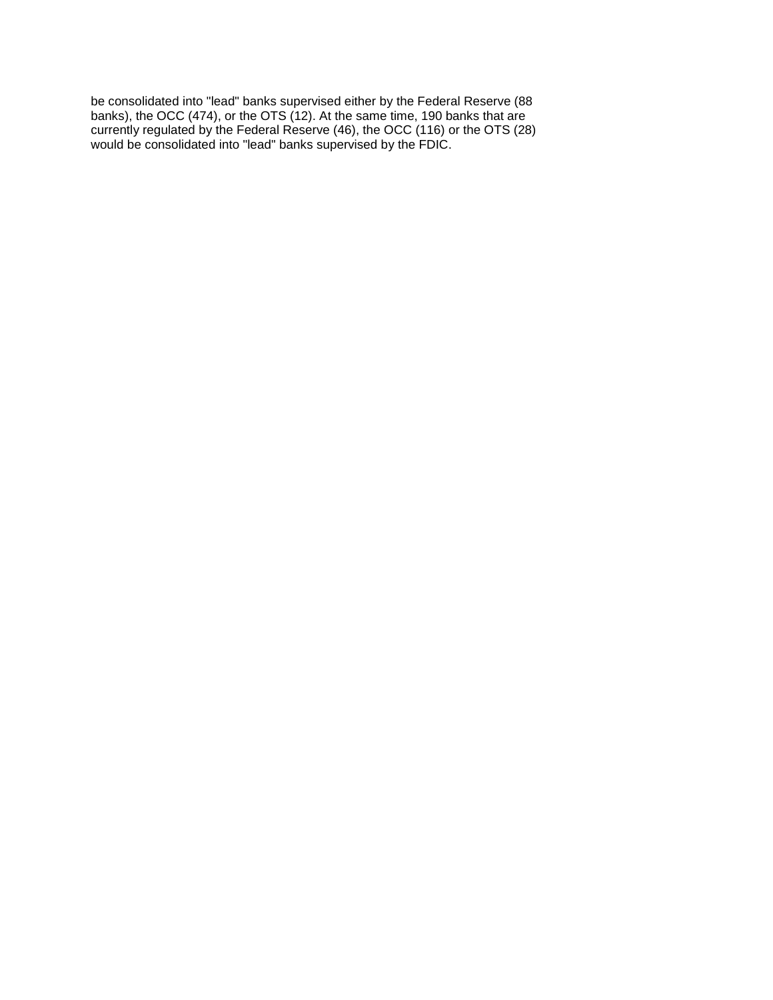be consolidated into "lead" banks supervised either by the Federal Reserve (88 banks), the OCC (474), or the OTS (12). At the same time, 190 banks that are currently regulated by the Federal Reserve (46), the OCC (116) or the OTS (28) would be consolidated into "lead" banks supervised by the FDIC.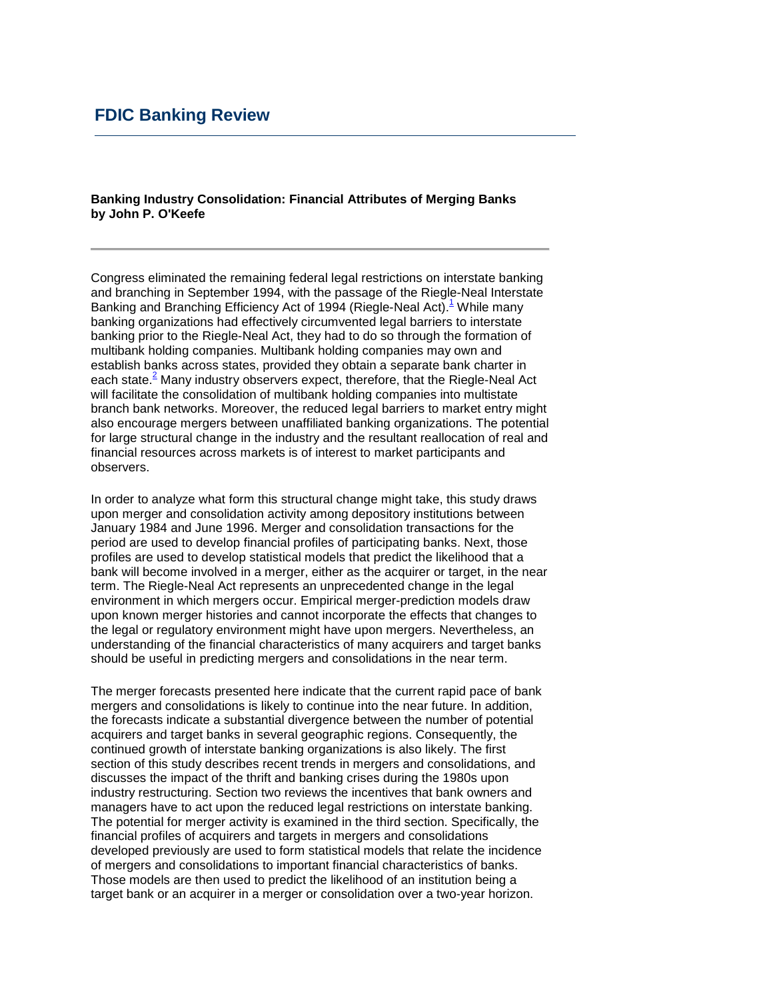## **FDIC Banking Review**

### **by John P. O'Keefe Banking Industry Consolidation: Financial Attributes of Merging Banks**

 for large structural change in the industry and the resultant reallocation of real and Congress eliminated the remaining federal legal restrictions on interstate banking and branching in September 1994, with the passage of the Riegle-Neal Interstate Banking and Branching Efficiency Act of 1994 (Riegle-Neal Act).<sup>1</sup> While many banking organizations had effectively circumvented legal barriers to interstate banking prior to the Riegle-Neal Act, they had to do so through the formation of multibank holding companies. Multibank holding companies may own and establish banks across states, provided they obtain a separate bank charter in each state. $\frac{2}{3}$  Many industry observers expect, therefore, that the Riegle-Neal Act will facilitate the consolidation of multibank holding companies into multistate branch bank networks. Moreover, the reduced legal barriers to market entry might also encourage mergers between unaffiliated banking organizations. The potential financial resources across markets is of interest to market participants and observers.

 understanding of the financial characteristics of many acquirers and target banks In order to analyze what form this structural change might take, this study draws upon merger and consolidation activity among depository institutions between January 1984 and June 1996. Merger and consolidation transactions for the period are used to develop financial profiles of participating banks. Next, those profiles are used to develop statistical models that predict the likelihood that a bank will become involved in a merger, either as the acquirer or target, in the near term. The Riegle-Neal Act represents an unprecedented change in the legal environment in which mergers occur. Empirical merger-prediction models draw upon known merger histories and cannot incorporate the effects that changes to the legal or regulatory environment might have upon mergers. Nevertheless, an should be useful in predicting mergers and consolidations in the near term.

The merger forecasts presented here indicate that the current rapid pace of bank mergers and consolidations is likely to continue into the near future. In addition, the forecasts indicate a substantial divergence between the number of potential acquirers and target banks in several geographic regions. Consequently, the continued growth of interstate banking organizations is also likely. The first section of this study describes recent trends in mergers and consolidations, and discusses the impact of the thrift and banking crises during the 1980s upon industry restructuring. Section two reviews the incentives that bank owners and managers have to act upon the reduced legal restrictions on interstate banking. The potential for merger activity is examined in the third section. Specifically, the financial profiles of acquirers and targets in mergers and consolidations developed previously are used to form statistical models that relate the incidence of mergers and consolidations to important financial characteristics of banks. Those models are then used to predict the likelihood of an institution being a target bank or an acquirer in a merger or consolidation over a two-year horizon.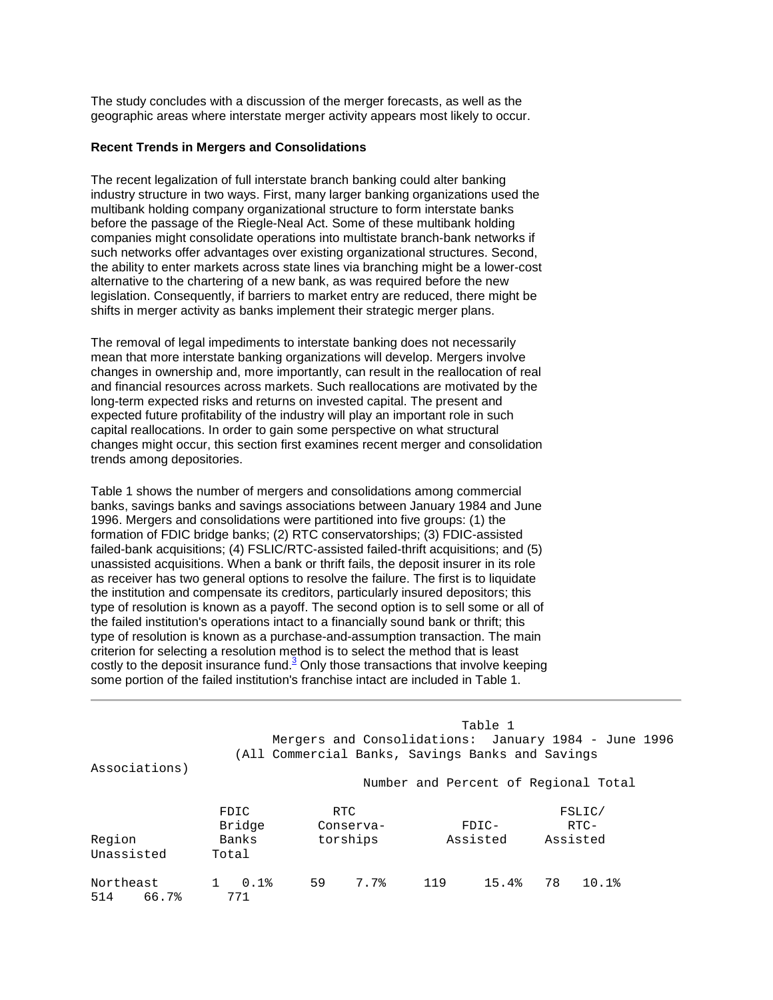The study concludes with a discussion of the merger forecasts, as well as the geographic areas where interstate merger activity appears most likely to occur.

#### **Recent Trends in Mergers and Consolidations**

 alternative to the chartering of a new bank, as was required before the new The recent legalization of full interstate branch banking could alter banking industry structure in two ways. First, many larger banking organizations used the multibank holding company organizational structure to form interstate banks before the passage of the Riegle-Neal Act. Some of these multibank holding companies might consolidate operations into multistate branch-bank networks if such networks offer advantages over existing organizational structures. Second, the ability to enter markets across state lines via branching might be a lower-cost legislation. Consequently, if barriers to market entry are reduced, there might be shifts in merger activity as banks implement their strategic merger plans.

 The removal of legal impediments to interstate banking does not necessarily expected future profitability of the industry will play an important role in such mean that more interstate banking organizations will develop. Mergers involve changes in ownership and, more importantly, can result in the reallocation of real and financial resources across markets. Such reallocations are motivated by the long-term expected risks and returns on invested capital. The present and capital reallocations. In order to gain some perspective on what structural changes might occur, this section first examines recent merger and consolidation trends among depositories.

 failed-bank acquisitions; (4) FSLIC/RTC-assisted failed-thrift acquisitions; and (5) unassisted acquisitions. When a bank or thrift fails, the deposit insurer in its role type of resolution is known as a payoff. The second option is to sell some or all of the failed institution's operations intact to a financially sound bank or thrift; this criterion for selecting a resolution method is to select the method that is least Table 1 shows the number of mergers and consolidations among commercial banks, savings banks and savings associations between January 1984 and June 1996. Mergers and consolidations were partitioned into five groups: (1) the formation of FDIC bridge banks; (2) RTC conservatorships; (3) FDIC-assisted as receiver has two general options to resolve the failure. The first is to liquidate the institution and compensate its creditors, particularly insured depositors; this type of resolution is known as a purchase-and-assumption transaction. The main costly to the deposit insurance fund. $3$  Only those transactions that involve keeping some portion of the failed institution's franchise intact are included in Table 1.

| Associations)             |                                  |    |                               |     | Table 1<br>Mergers and Consolidations: January 1984 - June 1996<br>(All Commercial Banks, Savings Banks and Savings<br>Number and Percent of Regional Total |    |                            |  |
|---------------------------|----------------------------------|----|-------------------------------|-----|-------------------------------------------------------------------------------------------------------------------------------------------------------------|----|----------------------------|--|
| Region<br>Unassisted      | FDIC<br>Bridge<br>Banks<br>Total |    | RTC.<br>Conserva-<br>torships |     | $FDIC-$<br>Assisted                                                                                                                                         |    | FSLIC/<br>RTC-<br>Assisted |  |
| Northeast<br>514<br>66.7% | 0.1%<br>771                      | 59 | 7.7%                          | 119 | 15.4%                                                                                                                                                       | 78 | 10.1%                      |  |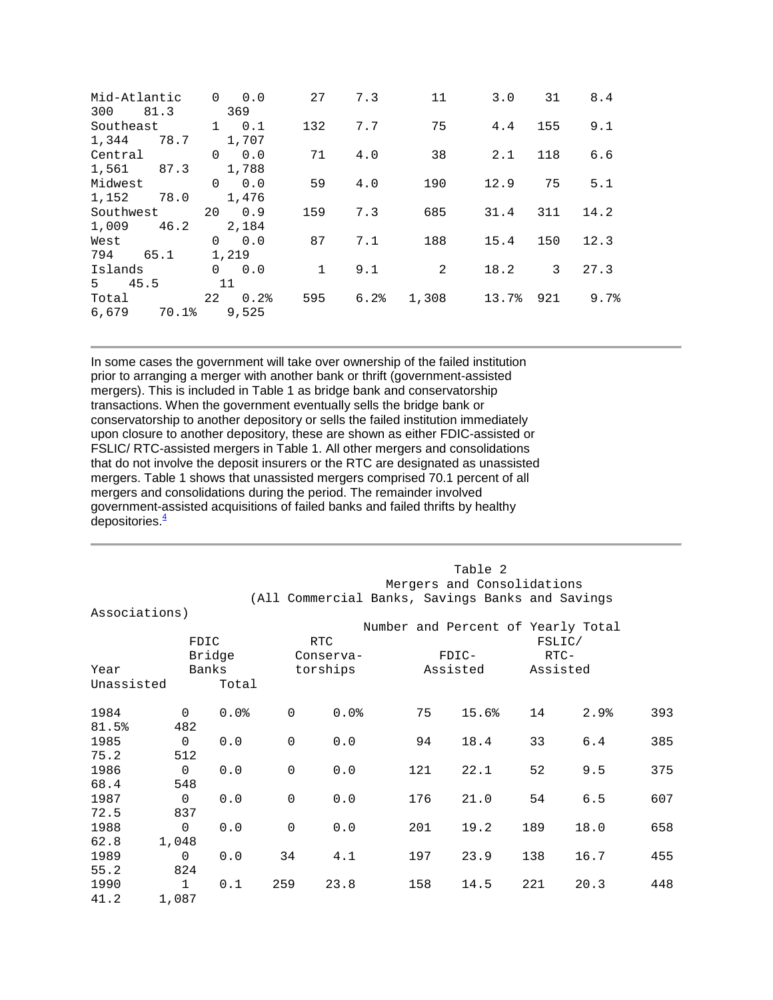| Mid-Atlantic<br>81.3<br>300 | $\Omega$<br>0.0<br>369 | 27           | 7.3  | 11    | 3.0   | 31  | 8.4  |
|-----------------------------|------------------------|--------------|------|-------|-------|-----|------|
| Southeast                   | $\mathbf{1}$<br>0.1    | 132          | 7.7  | 75    | 4.4   | 155 | 9.1  |
| 1,344<br>78.7               | 1,707                  |              |      |       |       |     |      |
| Central                     | 0.0<br>$\Omega$        | 71           | 4.0  | 38    | 2.1   | 118 | 6.6  |
| 1,561<br>87.3               | 1,788                  |              |      |       |       |     |      |
| Midwest                     | $\Omega$<br>0.0        | 59           | 4.0  | 190   | 12.9  | 75  | 5.1  |
| 1,152<br>78.0               | 1,476                  |              |      |       |       |     |      |
| Southwest                   | 0.9<br>20              | 159          | 7.3  | 685   | 31.4  | 311 | 14.2 |
| 1,009<br>46.2               | 2,184                  |              |      |       |       |     |      |
| West                        | 0.0<br>$\Omega$        | 87           | 7.1  | 188   | 15.4  | 150 | 12.3 |
| 794<br>65.1                 | 1,219                  |              |      |       |       |     |      |
| Islands                     | $\Omega$<br>0.0        | $\mathbf{1}$ | 9.1  | 2     | 18.2  | 3   | 27.3 |
| 45.5<br>5                   | 11                     |              |      |       |       |     |      |
| Total                       | 22<br>0.2%             | 595          | 6.2% | 1,308 | 13.7% | 921 | 9.7% |
| 6,679<br>70.1%              | 9,525                  |              |      |       |       |     |      |

 that do not involve the deposit insurers or the RTC are designated as unassisted government-assisted acquisitions of failed banks and failed thrifts by healthy In some cases the government will take over ownership of the failed institution prior to arranging a merger with another bank or thrift (government-assisted mergers). This is included in Table 1 as bridge bank and conservatorship transactions. When the government eventually sells the bridge bank or conservatorship to another depository or sells the failed institution immediately upon closure to another depository, these are shown as either FDIC-assisted or FSLIC/ RTC-assisted mergers in Table 1. All other mergers and consolidations mergers. Table 1 shows that unassisted mergers comprised 70.1 percent of all mergers and consolidations during the period. The remainder involved depositories. $\frac{4}{5}$ 

|               |                |        |             | Table 2    |                                                  |                            |     |          |     |  |
|---------------|----------------|--------|-------------|------------|--------------------------------------------------|----------------------------|-----|----------|-----|--|
|               |                |        |             |            |                                                  | Mergers and Consolidations |     |          |     |  |
|               |                |        |             |            | (All Commercial Banks, Savings Banks and Savings |                            |     |          |     |  |
| Associations) |                |        |             |            |                                                  |                            |     |          |     |  |
|               |                |        |             |            | Number and Percent of Yearly Total               |                            |     |          |     |  |
|               |                | FDIC   |             | <b>RTC</b> |                                                  |                            |     | FSLIC/   |     |  |
|               |                | Bridge |             | Conserva-  |                                                  | $FDIC-$                    |     | $RTC-$   |     |  |
| Year          |                | Banks  |             | torships   |                                                  | Assisted                   |     | Assisted |     |  |
| Unassisted    |                | Total  |             |            |                                                  |                            |     |          |     |  |
| 1984          | $\mathbf 0$    | 0.0%   | $\Omega$    | 0.0%       | 75                                               | 15.6%                      | 14  | 2.9%     | 393 |  |
| 81.5%         | 482            |        |             |            |                                                  |                            |     |          |     |  |
| 1985          | $\mathbf 0$    | 0.0    | $\mathbf 0$ | 0.0        | 94                                               | 18.4                       | 33  | 6.4      | 385 |  |
| 75.2          | 512            |        |             |            |                                                  |                            |     |          |     |  |
| 1986          | $\mathbf 0$    | 0.0    | $\Omega$    | 0.0        | 121                                              | 22.1                       | 52  | 9.5      | 375 |  |
| 68.4          | 548            |        |             |            |                                                  |                            |     |          |     |  |
| 1987          | $\mathbf 0$    | 0.0    | $\mathbf 0$ | 0.0        | 176                                              | 21.0                       | 54  | 6.5      | 607 |  |
| 72.5          | 837            |        |             |            |                                                  |                            |     |          |     |  |
| 1988          | $\overline{0}$ | 0.0    | $\mathbf 0$ | 0.0        | 201                                              | 19.2                       | 189 | 18.0     | 658 |  |
| 62.8          | 1,048          |        |             |            |                                                  |                            |     |          |     |  |
| 1989          | $\mathbf 0$    | 0.0    | 34          | 4.1        | 197                                              | 23.9                       | 138 | 16.7     | 455 |  |
| 55.2          | 824            |        |             |            |                                                  |                            |     |          |     |  |
| 1990          | $\mathbf{1}$   | 0.1    | 259         | 23.8       | 158                                              | 14.5                       | 221 | 20.3     | 448 |  |
| 41.2          | 1,087          |        |             |            |                                                  |                            |     |          |     |  |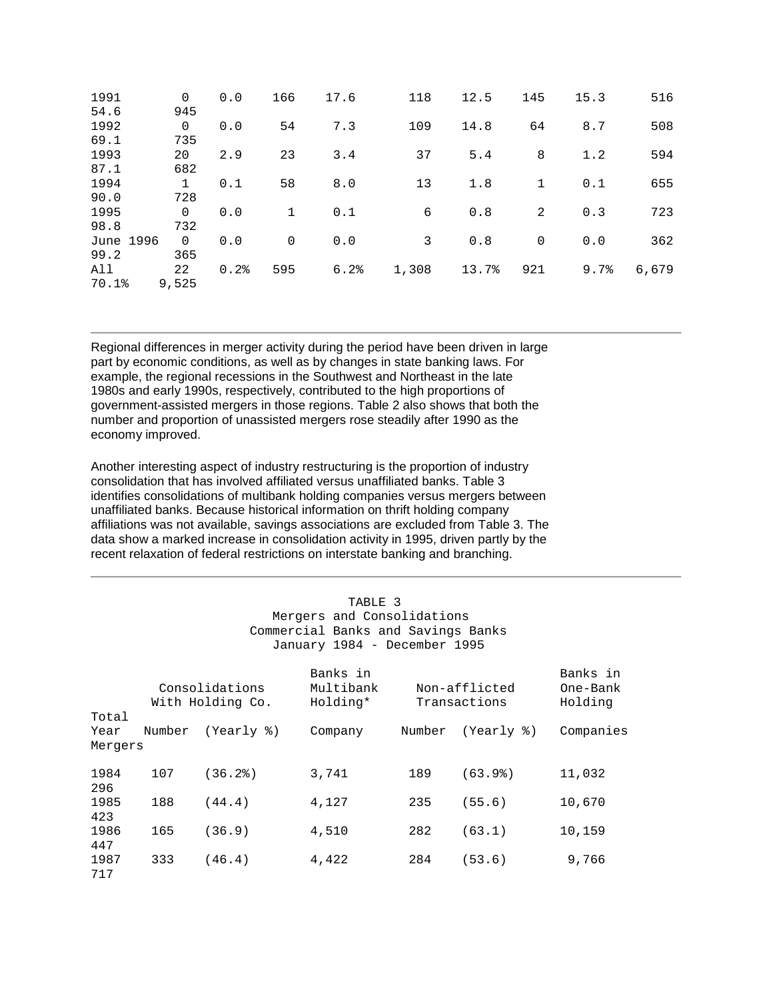| 1991<br>54.6         | 0<br>945           | 0.0  | 166         | 17.6 | 118   | 12.5  | 145         | 15.3 | 516   |
|----------------------|--------------------|------|-------------|------|-------|-------|-------------|------|-------|
| 1992<br>69.1         | 0<br>735           | 0.0  | 54          | 7.3  | 109   | 14.8  | 64          | 8.7  | 508   |
| 1993<br>87.1         | 20<br>682          | 2.9  | 23          | 3.4  | 37    | 5.4   | 8           | 1.2  | 594   |
| 1994                 | $\mathbf{1}$       | 0.1  | 58          | 8.0  | 13    | 1.8   | $\mathbf 1$ | 0.1  | 655   |
| 90.0<br>1995         | 728<br>0           | 0.0  | $\mathbf 1$ | 0.1  | 6     | 0.8   | 2           | 0.3  | 723   |
| 98.8<br>June 1996    | 732<br>$\mathbf 0$ | 0.0  | $\Omega$    | 0.0  | 3     | 0.8   | $\mathbf 0$ | 0.0  | 362   |
| 99.2<br>All<br>70.1% | 365<br>22<br>9,525 | 0.2% | 595         | 6.2% | 1,308 | 13.7% | 921         | 9.7% | 6,679 |

Regional differences in merger activity during the period have been driven in large part by economic conditions, as well as by changes in state banking laws. For example, the regional recessions in the Southwest and Northeast in the late 1980s and early 1990s, respectively, contributed to the high proportions of government-assisted mergers in those regions. Table 2 also shows that both the number and proportion of unassisted mergers rose steadily after 1990 as the economy improved.

 data show a marked increase in consolidation activity in 1995, driven partly by the Another interesting aspect of industry restructuring is the proportion of industry consolidation that has involved affiliated versus unaffiliated banks. Table 3 identifies consolidations of multibank holding companies versus mergers between unaffiliated banks. Because historical information on thrift holding company affiliations was not available, savings associations are excluded from Table 3. The recent relaxation of federal restrictions on interstate banking and branching.

| TABLE 3<br>Mergers and Consolidations<br>Commercial Banks and Savings Banks<br>January 1984 - December 1995 |        |                                    |                                   |        |                               |                                 |  |  |  |  |
|-------------------------------------------------------------------------------------------------------------|--------|------------------------------------|-----------------------------------|--------|-------------------------------|---------------------------------|--|--|--|--|
|                                                                                                             |        | Consolidations<br>With Holding Co. | Banks in<br>Multibank<br>Holding* |        | Non-afflicted<br>Transactions | Banks in<br>One-Bank<br>Holding |  |  |  |  |
| Total                                                                                                       |        |                                    |                                   |        |                               |                                 |  |  |  |  |
| Year                                                                                                        | Number | (Yearly %)                         | Company                           | Number | (Yearly %)                    | Companies                       |  |  |  |  |
| Mergers                                                                                                     |        |                                    |                                   |        |                               |                                 |  |  |  |  |
| 1984<br>296                                                                                                 | 107    | (36.2)                             | 3,741                             | 189    | (63.9)                        | 11,032                          |  |  |  |  |
| 1985<br>423                                                                                                 | 188    | (44.4)                             | 4,127                             | 235    | (55.6)                        | 10,670                          |  |  |  |  |
| 1986<br>447                                                                                                 | 165    | (36.9)                             | 4,510                             | 282    | (63.1)                        | 10,159                          |  |  |  |  |
| 1987<br>717                                                                                                 | 333    | (46.4)                             | 4,422                             | 284    | (53.6)                        | 9,766                           |  |  |  |  |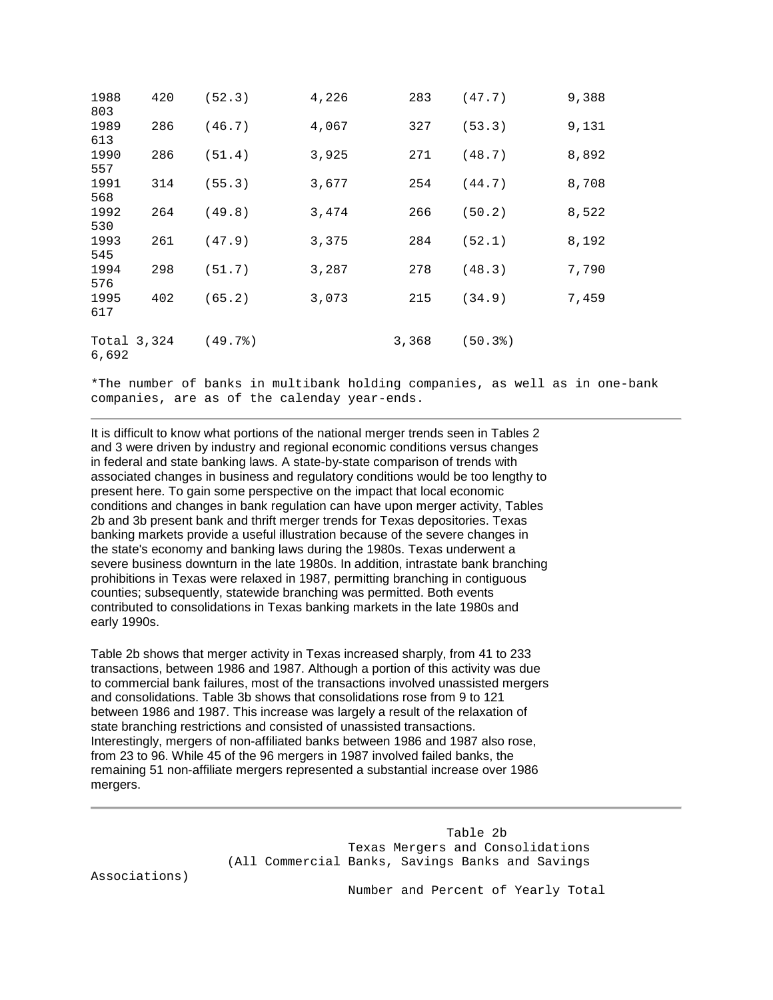| 1988<br>803            | 420 | (52.3) | 4,226 | 283   | (47.7) | 9,388 |
|------------------------|-----|--------|-------|-------|--------|-------|
| 1989<br>613            | 286 | (46.7) | 4,067 | 327   | (53.3) | 9,131 |
| 1990<br>557            | 286 | (51.4) | 3,925 | 271   | (48.7) | 8,892 |
| 1991<br>568            | 314 | (55.3) | 3,677 | 254   | (44.7) | 8,708 |
| 1992<br>530            | 264 | (49.8) | 3,474 | 266   | (50.2) | 8,522 |
| 1993<br>545            | 261 | (47.9) | 3,375 | 284   | (52.1) | 8,192 |
| 1994<br>576            | 298 | (51.7) | 3,287 | 278   | (48.3) | 7,790 |
| 1995<br>617            | 402 | (65.2) | 3,073 | 215   | (34.9) | 7,459 |
| Total $3,324$<br>6,692 |     | (49.7) |       | 3,368 | (50.3) |       |

\*The number of banks in multibank holding companies, as well as in one-bank companies, are as of the calenday year-ends.

 prohibitions in Texas were relaxed in 1987, permitting branching in contiguous It is difficult to know what portions of the national merger trends seen in Tables 2 and 3 were driven by industry and regional economic conditions versus changes in federal and state banking laws. A state-by-state comparison of trends with associated changes in business and regulatory conditions would be too lengthy to present here. To gain some perspective on the impact that local economic conditions and changes in bank regulation can have upon merger activity, Tables 2b and 3b present bank and thrift merger trends for Texas depositories. Texas banking markets provide a useful illustration because of the severe changes in the state's economy and banking laws during the 1980s. Texas underwent a severe business downturn in the late 1980s. In addition, intrastate bank branching counties; subsequently, statewide branching was permitted. Both events contributed to consolidations in Texas banking markets in the late 1980s and early 1990s.

Table 2b shows that merger activity in Texas increased sharply, from 41 to 233 transactions, between 1986 and 1987. Although a portion of this activity was due to commercial bank failures, most of the transactions involved unassisted mergers and consolidations. Table 3b shows that consolidations rose from 9 to 121 between 1986 and 1987. This increase was largely a result of the relaxation of state branching restrictions and consisted of unassisted transactions. Interestingly, mergers of non-affiliated banks between 1986 and 1987 also rose, from 23 to 96. While 45 of the 96 mergers in 1987 involved failed banks, the remaining 51 non-affiliate mergers represented a substantial increase over 1986 mergers.

> Table 2b Texas Mergers and Consolidations (All Commercial Banks, Savings Banks and Savings

Associations)

Number and Percent of Yearly Total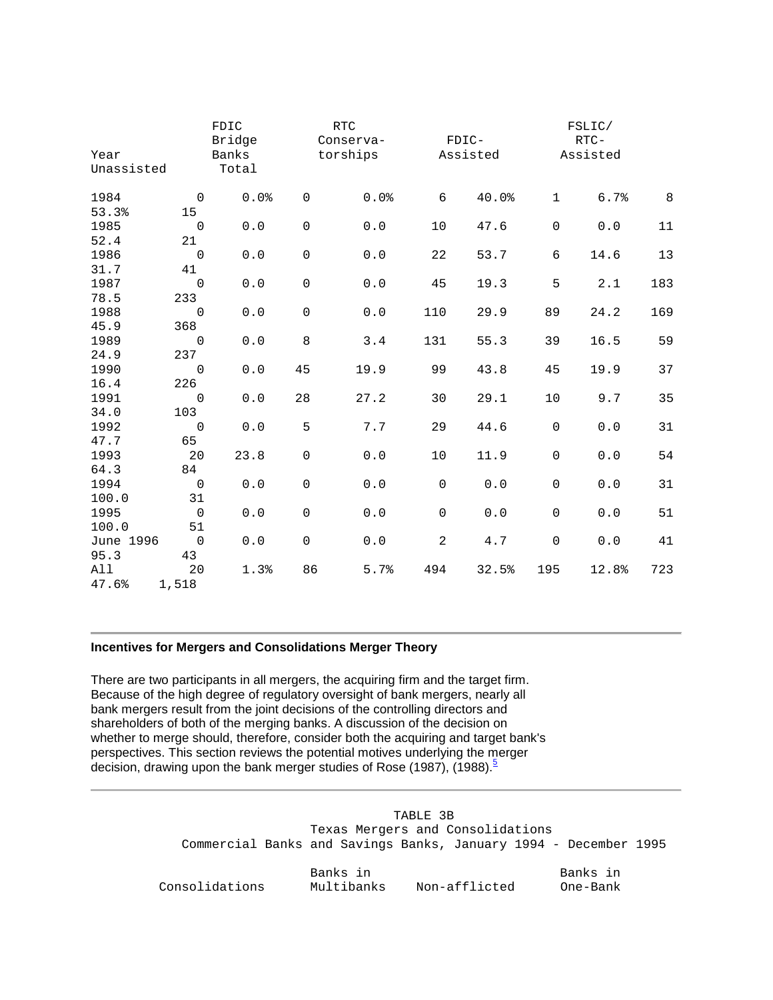| Year<br>Unassisted |                     | FDIC<br>Bridge<br>Banks<br>Total |             | $\mathop{\rm RTC}\nolimits$<br>Conserva-<br>torships |             | FDIC-<br>Assisted |                     | FSLIC/<br>$RTC-$<br>Assisted |     |
|--------------------|---------------------|----------------------------------|-------------|------------------------------------------------------|-------------|-------------------|---------------------|------------------------------|-----|
| 1984               | $\mathbf 0$         | 0.0%                             | $\mathsf 0$ | 0.0%                                                 | 6           | 40.0%             | $\mathbf 1$         | 6.7%                         | 8   |
| 53.3%              | 15                  |                                  |             |                                                      |             |                   |                     |                              |     |
| 1985               | $\mathbf 0$         | $0.0$                            | $\mathbf 0$ | 0.0                                                  | 10          | 47.6              | $\mathbf 0$         | 0.0                          | 11  |
| 52.4               | 21                  |                                  |             |                                                      |             |                   |                     |                              |     |
| 1986               | $\mathsf{O}\xspace$ | $0.0$                            | $\mathsf 0$ | ${\bf 0}$ . ${\bf 0}$                                | 22          | 53.7              | 6                   | 14.6                         | 13  |
| 31.7               | 41                  |                                  |             |                                                      |             |                   |                     |                              |     |
| 1987               | $\mathbf 0$         | 0.0                              | $\mathbf 0$ | $0.0$                                                | 45          | 19.3              | 5                   | 2.1                          | 183 |
| 78.5               | 233                 |                                  |             |                                                      |             |                   |                     |                              |     |
| 1988               | $\mathsf 0$         | ${\bf 0}$ . ${\bf 0}$            | $\mathsf 0$ | $0.0$                                                | 110         | 29.9              | 89                  | 24.2                         | 169 |
| 45.9<br>1989       | 368                 |                                  | 8           |                                                      |             |                   |                     |                              |     |
| 24.9               | $\mathbf 0$<br>237  | $0.0$                            |             | 3.4                                                  | 131         | 55.3              | 39                  | 16.5                         | 59  |
| 1990               | $\mathsf{O}\xspace$ | $0.0$                            | 45          | 19.9                                                 | 99          | 43.8              | 45                  | 19.9                         | 37  |
| 16.4               | 226                 |                                  |             |                                                      |             |                   |                     |                              |     |
| 1991               | $\mathbf 0$         | $0.0$                            | 28          | 27.2                                                 | 30          | 29.1              | 10                  | 9.7                          | 35  |
| 34.0               | 103                 |                                  |             |                                                      |             |                   |                     |                              |     |
| 1992               | $\mathsf 0$         | 0.0                              | 5           | 7.7                                                  | 29          | 44.6              | $\mathsf{O}\xspace$ | $0.0$                        | 31  |
| 47.7               | 65                  |                                  |             |                                                      |             |                   |                     |                              |     |
| 1993               | 20                  | 23.8                             | $\mathbf 0$ | 0.0                                                  | 10          | 11.9              | $\mathbf 0$         | 0.0                          | 54  |
| 64.3               | 84                  |                                  |             |                                                      |             |                   |                     |                              |     |
| 1994               | $\mathsf 0$         | $0.0$                            | $\mathsf 0$ | $0.0$                                                | $\mathsf 0$ | $0.0$             | $\mathsf{O}\xspace$ | $0.0$                        | 31  |
| 100.0              | 31                  |                                  |             |                                                      |             |                   |                     |                              |     |
| 1995               | $\overline{0}$      | $0.0$                            | $\mathbf 0$ | $0.0$                                                | $\mathbf 0$ | $0.0$             | $\mathbf 0$         | 0.0                          | 51  |
| 100.0              | 51                  |                                  |             |                                                      |             |                   |                     |                              |     |
| June 1996          | $\mathsf 0$         | ${\bf 0}$ . ${\bf 0}$            | $\mathbf 0$ | 0.0                                                  | 2           | 4.7               | $\mathbf 0$         | $0.0$                        | 41  |
| 95.3               | 43                  |                                  |             |                                                      |             |                   |                     |                              |     |
| All                | 20                  | 1.3%                             | 86          | 5.7%                                                 | 494         | 32.5%             | 195                 | 12.8%                        | 723 |
| 47.6%              | 1,518               |                                  |             |                                                      |             |                   |                     |                              |     |

### **Incentives for Mergers and Consolidations Merger Theory**

 Because of the high degree of regulatory oversight of bank mergers, nearly all decision, drawing upon the bank merger studies of Rose (1987), (1988).<sup>5</sup> There are two participants in all mergers, the acquiring firm and the target firm. bank mergers result from the joint decisions of the controlling directors and shareholders of both of the merging banks. A discussion of the decision on whether to merge should, therefore, consider both the acquiring and target bank's perspectives. This section reviews the potential motives underlying the merger

> TABLE 3B Texas Mergers and Consolidations Commercial Banks and Savings Banks, January 1994 - December 1995 Banks in Banks in Consolidations Multibanks Non-afflicted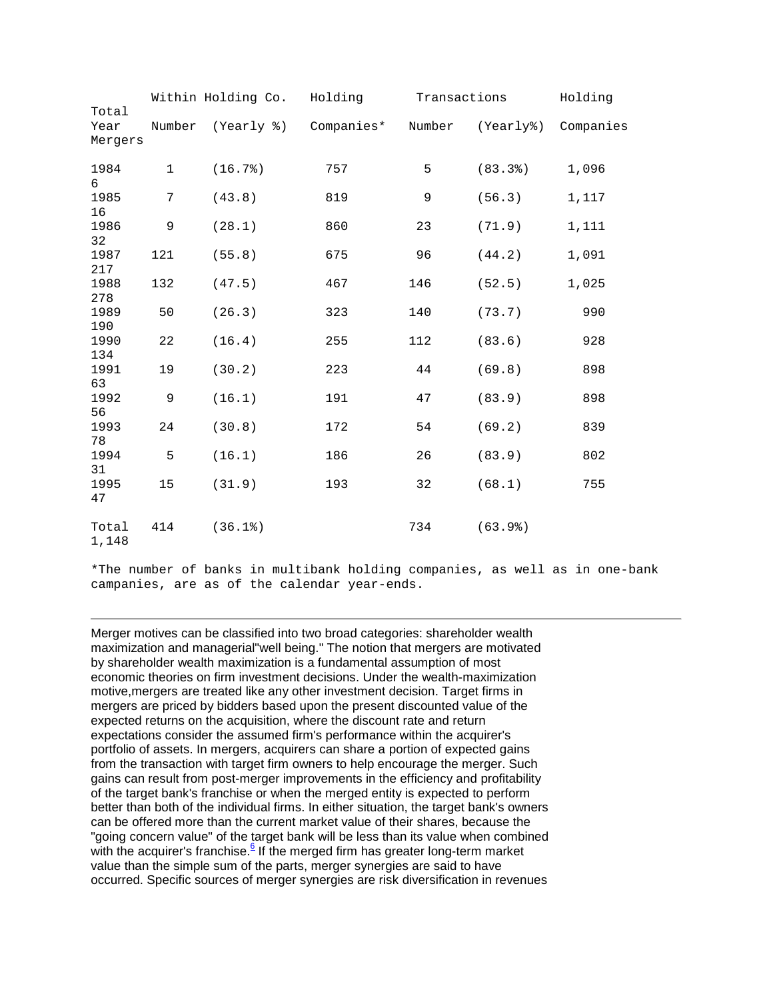|                          | Within Holding Co. |            | Holding    | Transactions | Holding   |           |
|--------------------------|--------------------|------------|------------|--------------|-----------|-----------|
| Total<br>Year<br>Mergers | Number             | (Yearly %) | Companies* | Number       | (Yearly%) | Companies |
| 1984<br>6                | $\mathbf{1}$       | (16.7)     | 757        | 5            | (83.3)    | 1,096     |
| 1985<br>16               | 7                  | (43.8)     | 819        | 9            | (56.3)    | 1,117     |
| 1986<br>32               | 9                  | (28.1)     | 860        | 23           | (71.9)    | 1,111     |
| 1987<br>217              | 121                | (55.8)     | 675        | 96           | (44.2)    | 1,091     |
| 1988<br>278              | 132                | (47.5)     | 467        | 146          | (52.5)    | 1,025     |
| 1989<br>190              | 50                 | (26.3)     | 323        | 140          | (73.7)    | 990       |
| 1990<br>134              | 22                 | (16.4)     | 255        | 112          | (83.6)    | 928       |
| 1991<br>63               | 19                 | (30.2)     | 223        | 44           | (69.8)    | 898       |
| 1992<br>56               | 9                  | (16.1)     | 191        | 47           | (83.9)    | 898       |
| 1993<br>78               | 24                 | (30.8)     | 172        | 54           | (69.2)    | 839       |
| 1994<br>31               | 5                  | (16.1)     | 186        | 26           | (83.9)    | 802       |
| 1995<br>47               | 15                 | (31.9)     | 193        | 32           | (68.1)    | 755       |
| Total<br>1,148           | 414                | (36.1)     |            | 734          | (63.9)    |           |

\*The number of banks in multibank holding companies, as well as in one-bank campanies, are as of the calendar year-ends.

 of the target bank's franchise or when the merged entity is expected to perform Merger motives can be classified into two broad categories: shareholder wealth maximization and managerial"well being." The notion that mergers are motivated by shareholder wealth maximization is a fundamental assumption of most economic theories on firm investment decisions. Under the wealth-maximization motive,mergers are treated like any other investment decision. Target firms in mergers are priced by bidders based upon the present discounted value of the expected returns on the acquisition, where the discount rate and return expectations consider the assumed firm's performance within the acquirer's portfolio of assets. In mergers, acquirers can share a portion of expected gains from the transaction with target firm owners to help encourage the merger. Such gains can result from post-merger improvements in the efficiency and profitability better than both of the individual firms. In either situation, the target bank's owners can be offered more than the current market value of their shares, because the "going concern value" of the target bank will be less than its value when combined with the acquirer's franchise.<sup>6</sup> If the merged firm has greater long-term market value than the simple sum of the parts, merger synergies are said to have occurred. Specific sources of merger synergies are risk diversification in revenues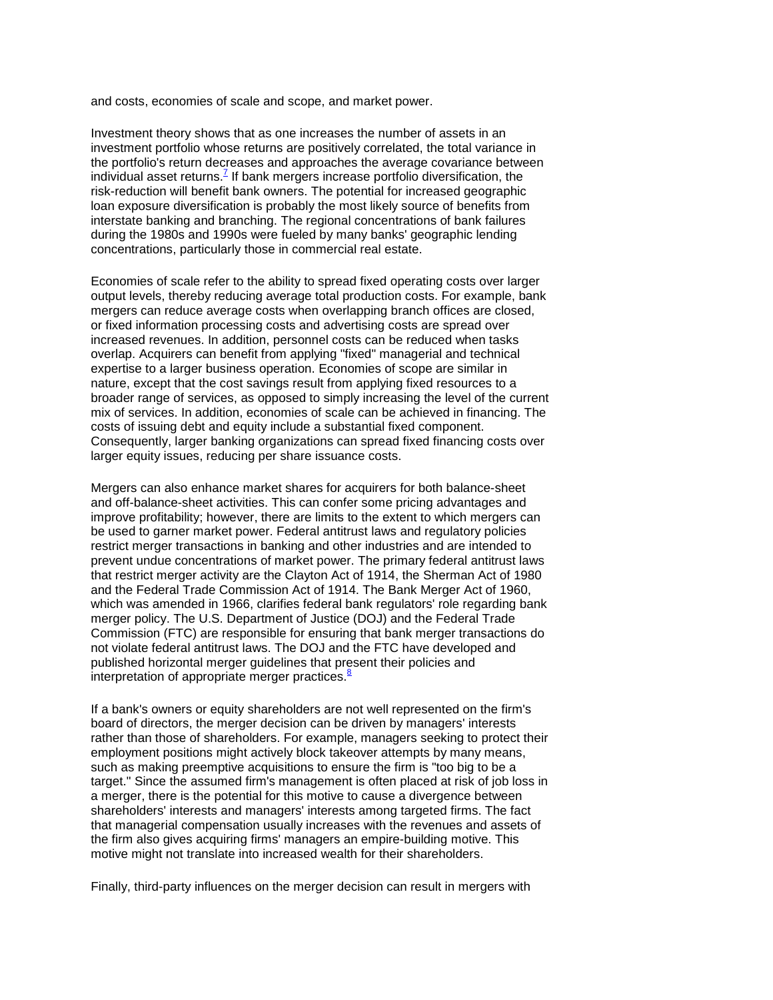and costs, economies of scale and scope, and market power.

Investment theory shows that as one increases the number of assets in an investment portfolio whose returns are positively correlated, the total variance in the portfolio's return decreases and approaches the average covariance between individual asset returns.<sup> $7$ </sup> If bank mergers increase portfolio diversification, the risk-reduction will benefit bank owners. The potential for increased geographic loan exposure diversification is probably the most likely source of benefits from interstate banking and branching. The regional concentrations of bank failures during the 1980s and 1990s were fueled by many banks' geographic lending concentrations, particularly those in commercial real estate.

 Economies of scale refer to the ability to spread fixed operating costs over larger output levels, thereby reducing average total production costs. For example, bank costs of issuing debt and equity include a substantial fixed component. mergers can reduce average costs when overlapping branch offices are closed, or fixed information processing costs and advertising costs are spread over increased revenues. In addition, personnel costs can be reduced when tasks overlap. Acquirers can benefit from applying "fixed" managerial and technical expertise to a larger business operation. Economies of scope are similar in nature, except that the cost savings result from applying fixed resources to a broader range of services, as opposed to simply increasing the level of the current mix of services. In addition, economies of scale can be achieved in financing. The Consequently, larger banking organizations can spread fixed financing costs over larger equity issues, reducing per share issuance costs.

 that restrict merger activity are the Clayton Act of 1914, the Sherman Act of 1980 interpretation of appropriate merger practices.<sup>8</sup> Mergers can also enhance market shares for acquirers for both balance-sheet and off-balance-sheet activities. This can confer some pricing advantages and improve profitability; however, there are limits to the extent to which mergers can be used to garner market power. Federal antitrust laws and regulatory policies restrict merger transactions in banking and other industries and are intended to prevent undue concentrations of market power. The primary federal antitrust laws and the Federal Trade Commission Act of 1914. The Bank Merger Act of 1960, which was amended in 1966, clarifies federal bank regulators' role regarding bank merger policy. The U.S. Department of Justice (DOJ) and the Federal Trade Commission (FTC) are responsible for ensuring that bank merger transactions do not violate federal antitrust laws. The DOJ and the FTC have developed and published horizontal merger guidelines that present their policies and

 target." Since the assumed firm's management is often placed at risk of job loss in shareholders' interests and managers' interests among targeted firms. The fact If a bank's owners or equity shareholders are not well represented on the firm's board of directors, the merger decision can be driven by managers' interests rather than those of shareholders. For example, managers seeking to protect their employment positions might actively block takeover attempts by many means, such as making preemptive acquisitions to ensure the firm is "too big to be a a merger, there is the potential for this motive to cause a divergence between that managerial compensation usually increases with the revenues and assets of the firm also gives acquiring firms' managers an empire-building motive. This motive might not translate into increased wealth for their shareholders.

Finally, third-party influences on the merger decision can result in mergers with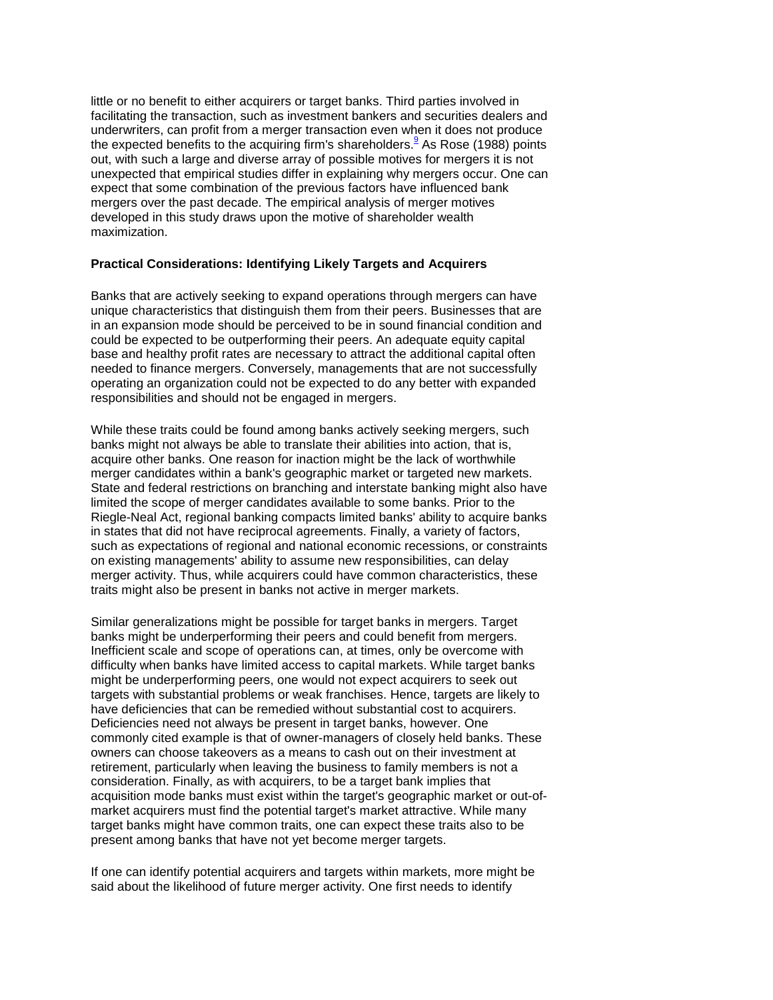the expected benefits to the acquiring firm's shareholders.<sup>9</sup> As Rose (1988) points mergers over the past decade. The empirical analysis of merger motives little or no benefit to either acquirers or target banks. Third parties involved in facilitating the transaction, such as investment bankers and securities dealers and underwriters, can profit from a merger transaction even when it does not produce out, with such a large and diverse array of possible motives for mergers it is not unexpected that empirical studies differ in explaining why mergers occur. One can expect that some combination of the previous factors have influenced bank developed in this study draws upon the motive of shareholder wealth maximization.

### **Practical Considerations: Identifying Likely Targets and Acquirers**

 operating an organization could not be expected to do any better with expanded Banks that are actively seeking to expand operations through mergers can have unique characteristics that distinguish them from their peers. Businesses that are in an expansion mode should be perceived to be in sound financial condition and could be expected to be outperforming their peers. An adequate equity capital base and healthy profit rates are necessary to attract the additional capital often needed to finance mergers. Conversely, managements that are not successfully responsibilities and should not be engaged in mergers.

 banks might not always be able to translate their abilities into action, that is, While these traits could be found among banks actively seeking mergers, such acquire other banks. One reason for inaction might be the lack of worthwhile merger candidates within a bank's geographic market or targeted new markets. State and federal restrictions on branching and interstate banking might also have limited the scope of merger candidates available to some banks. Prior to the Riegle-Neal Act, regional banking compacts limited banks' ability to acquire banks in states that did not have reciprocal agreements. Finally, a variety of factors, such as expectations of regional and national economic recessions, or constraints on existing managements' ability to assume new responsibilities, can delay merger activity. Thus, while acquirers could have common characteristics, these traits might also be present in banks not active in merger markets.

 banks might be underperforming their peers and could benefit from mergers. Deficiencies need not always be present in target banks, however. One consideration. Finally, as with acquirers, to be a target bank implies that acquisition mode banks must exist within the target's geographic market or out-of- target banks might have common traits, one can expect these traits also to be present among banks that have not yet become merger targets. Similar generalizations might be possible for target banks in mergers. Target Inefficient scale and scope of operations can, at times, only be overcome with difficulty when banks have limited access to capital markets. While target banks might be underperforming peers, one would not expect acquirers to seek out targets with substantial problems or weak franchises. Hence, targets are likely to have deficiencies that can be remedied without substantial cost to acquirers. commonly cited example is that of owner-managers of closely held banks. These owners can choose takeovers as a means to cash out on their investment at retirement, particularly when leaving the business to family members is not a market acquirers must find the potential target's market attractive. While many

 If one can identify potential acquirers and targets within markets, more might be said about the likelihood of future merger activity. One first needs to identify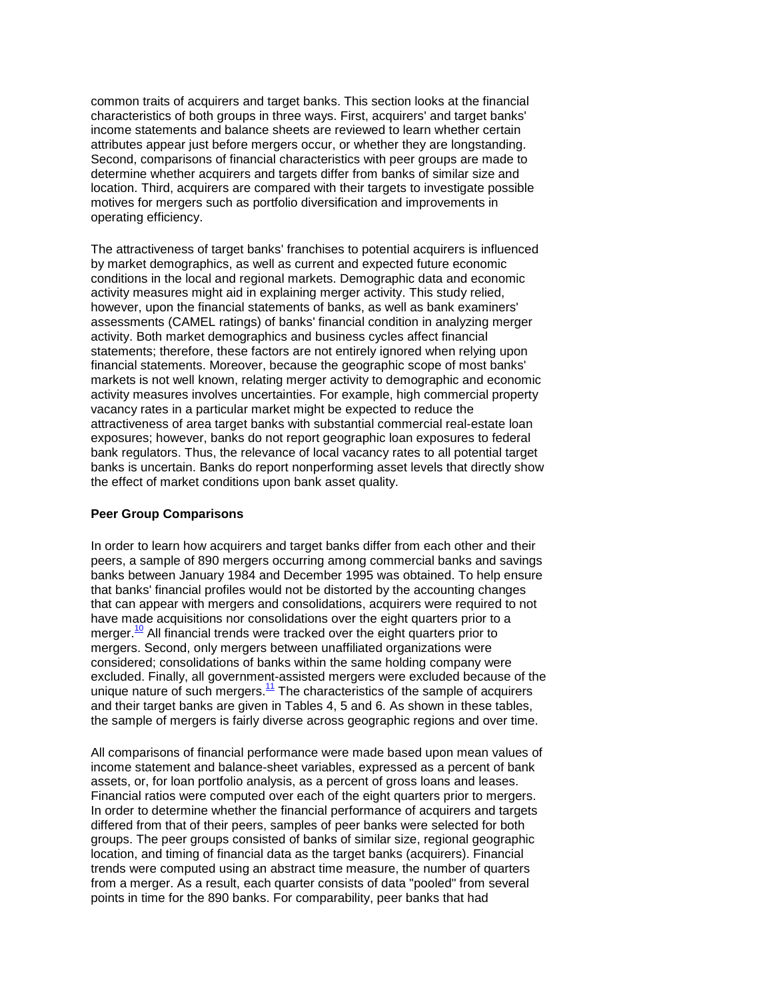common traits of acquirers and target banks. This section looks at the financial characteristics of both groups in three ways. First, acquirers' and target banks' income statements and balance sheets are reviewed to learn whether certain attributes appear just before mergers occur, or whether they are longstanding. Second, comparisons of financial characteristics with peer groups are made to determine whether acquirers and targets differ from banks of similar size and location. Third, acquirers are compared with their targets to investigate possible motives for mergers such as portfolio diversification and improvements in operating efficiency.

 activity. Both market demographics and business cycles affect financial statements; therefore, these factors are not entirely ignored when relying upon vacancy rates in a particular market might be expected to reduce the The attractiveness of target banks' franchises to potential acquirers is influenced by market demographics, as well as current and expected future economic conditions in the local and regional markets. Demographic data and economic activity measures might aid in explaining merger activity. This study relied, however, upon the financial statements of banks, as well as bank examiners' assessments (CAMEL ratings) of banks' financial condition in analyzing merger financial statements. Moreover, because the geographic scope of most banks' markets is not well known, relating merger activity to demographic and economic activity measures involves uncertainties. For example, high commercial property attractiveness of area target banks with substantial commercial real-estate loan exposures; however, banks do not report geographic loan exposures to federal bank regulators. Thus, the relevance of local vacancy rates to all potential target banks is uncertain. Banks do report nonperforming asset levels that directly show the effect of market conditions upon bank asset quality.

## **Peer Group Comparisons**

In order to learn how acquirers and target banks differ from each other and their peers, a sample of 890 mergers occurring among commercial banks and savings banks between January 1984 and December 1995 was obtained. To help ensure that banks' financial profiles would not be distorted by the accounting changes that can appear with mergers and consolidations, acquirers were required to not have made acquisitions nor consolidations over the eight quarters prior to a merger.<sup>10</sup> All financial trends were tracked over the eight quarters prior to mergers. Second, only mergers between unaffiliated organizations were considered; consolidations of banks within the same holding company were excluded. Finally, all government-assisted mergers were excluded because of the unique nature of such mergers. $\frac{11}{1}$  The characteristics of the sample of acquirers and their target banks are given in Tables 4, 5 and 6. As shown in these tables, the sample of mergers is fairly diverse across geographic regions and over time.

 income statement and balance-sheet variables, expressed as a percent of bank groups. The peer groups consisted of banks of similar size, regional geographic All comparisons of financial performance were made based upon mean values of assets, or, for loan portfolio analysis, as a percent of gross loans and leases. Financial ratios were computed over each of the eight quarters prior to mergers. In order to determine whether the financial performance of acquirers and targets differed from that of their peers, samples of peer banks were selected for both location, and timing of financial data as the target banks (acquirers). Financial trends were computed using an abstract time measure, the number of quarters from a merger. As a result, each quarter consists of data "pooled" from several points in time for the 890 banks. For comparability, peer banks that had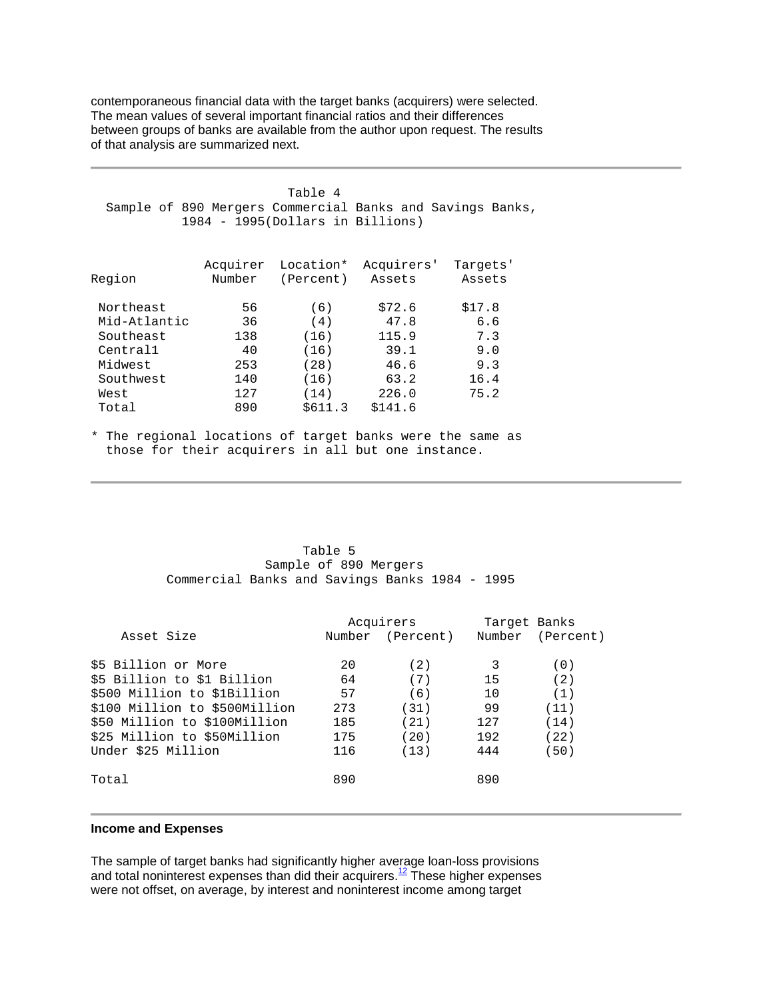contemporaneous financial data with the target banks (acquirers) were selected. The mean values of several important financial ratios and their differences between groups of banks are available from the author upon request. The results of that analysis are summarized next.

Table 4 Sample of 890 Mergers Commercial Banks and Savings Banks, 1984 - 1995(Dollars in Billions) Acquirer Location\* Acquirers' Targets' Region Number (Percent) Northeast 56 (6) \$72.6 \$17.8<br>Mid-Atlantic 36 (4) 47.8 6.6 Mid-Atlantic 36 (4) 47.8 6.6<br>Southeast 138 (16) 115.9 7.3 Southeast 138 (16) 115.9 7.3<br>Central1 40 (16) 39.1 9.0 Central1  $40$  (16)  $39.1$  9.0<br>Midwest 253 (28) 46.6 9.3 Midwest Southwest 140 (16) 63.2 16.4<br>West 127 (14) 226.0 75.2 West 127 (14) 226.0 75.2 Total 890 \$611.3 \$141.6

\* The regional locations of target banks were the same as those for their acquirers in all but one instance.

#### Table 5 Sample of 890 Mergers Commercial Banks and Savings Banks 1984 - 1995

|                               |        | Acquirers | Target Banks |                  |  |
|-------------------------------|--------|-----------|--------------|------------------|--|
| Asset Size                    | Number | (Percent) |              | Number (Percent) |  |
| \$5 Billion or More           | 20     | (2)       | 3            | (0)              |  |
| \$5 Billion to \$1 Billion    | 64     | (7)       | 15           | (2)              |  |
| \$500 Million to \$1Billion   | 57     | (6)       | 10           | (1)              |  |
| \$100 Million to \$500Million | 273    | (31)      | 99           | (11)             |  |
| \$50 Million to \$100Million  | 185    | (21)      | 127          | (14)             |  |
| \$25 Million to \$50Million   | 175    | (20)      | 192          | (22)             |  |
| Under \$25 Million            | 116    | (13)      | 444          | (50)             |  |
| Total                         | 890    |           | 890          |                  |  |

#### **Income and Expenses**

The sample of target banks had significantly higher average loan-loss provisions and total noninterest expenses than did their acquirers.<sup>12</sup> These higher expenses were not offset, on average, by interest and noninterest income among target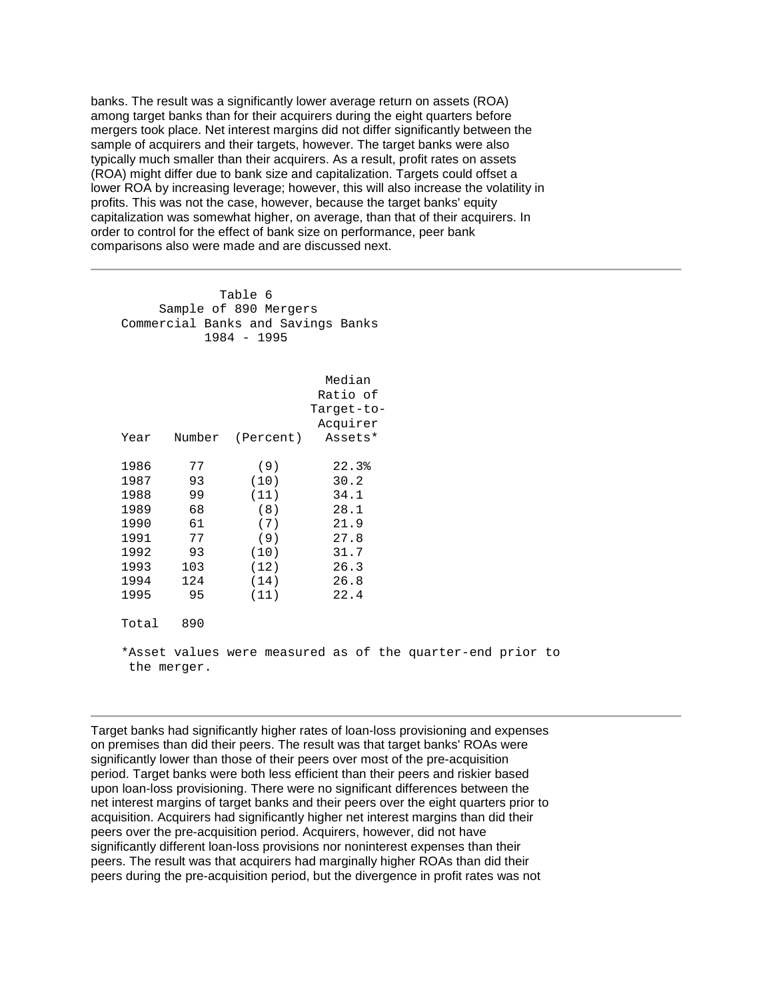lower ROA by increasing leverage; however, this will also increase the volatility in capitalization was somewhat higher, on average, than that of their acquirers. In banks. The result was a significantly lower average return on assets (ROA) among target banks than for their acquirers during the eight quarters before mergers took place. Net interest margins did not differ significantly between the sample of acquirers and their targets, however. The target banks were also typically much smaller than their acquirers. As a result, profit rates on assets (ROA) might differ due to bank size and capitalization. Targets could offset a profits. This was not the case, however, because the target banks' equity order to control for the effect of bank size on performance, peer bank comparisons also were made and are discussed next.

Table 6 Sample of 890 Mergers Commercial Banks and Savings Banks 1984 - 1995

|       |     |                                               | Median     |       |  |
|-------|-----|-----------------------------------------------|------------|-------|--|
|       |     |                                               | Ratio of   |       |  |
|       |     |                                               | Target-to- |       |  |
|       |     |                                               | Acquirer   |       |  |
| Year  |     | Number (Percent)                              | Assets*    |       |  |
| 1986  | 77  | (9)                                           |            | 22.3% |  |
| 1987  | 93  | (10)                                          | 30.2       |       |  |
| 1988  | 99  | (11)                                          | 34.1       |       |  |
| 1989  | 68  | (8)                                           | 28.1       |       |  |
| 1990  | 61  | (7)                                           | 21.9       |       |  |
| 1991  | 77  | (9)                                           | 27.8       |       |  |
| 1992  | 93  | (10)                                          | 31.7       |       |  |
| 1993  | 103 | (12)                                          | 26.3       |       |  |
| 1994  | 124 | (14)                                          | 26.8       |       |  |
| 1995  | 95  | (11)                                          | 22.4       |       |  |
| Total | 890 |                                               |            |       |  |
|       |     | *Asset values were measured as of the quarter |            |       |  |

-end prior to the merger.

 acquisition. Acquirers had significantly higher net interest margins than did their peers. The result was that acquirers had marginally higher ROAs than did their peers during the pre-acquisition period, but the divergence in profit rates was not Target banks had significantly higher rates of loan-loss provisioning and expenses on premises than did their peers. The result was that target banks' ROAs were significantly lower than those of their peers over most of the pre-acquisition period. Target banks were both less efficient than their peers and riskier based upon loan-loss provisioning. There were no significant differences between the net interest margins of target banks and their peers over the eight quarters prior to peers over the pre-acquisition period. Acquirers, however, did not have significantly different loan-loss provisions nor noninterest expenses than their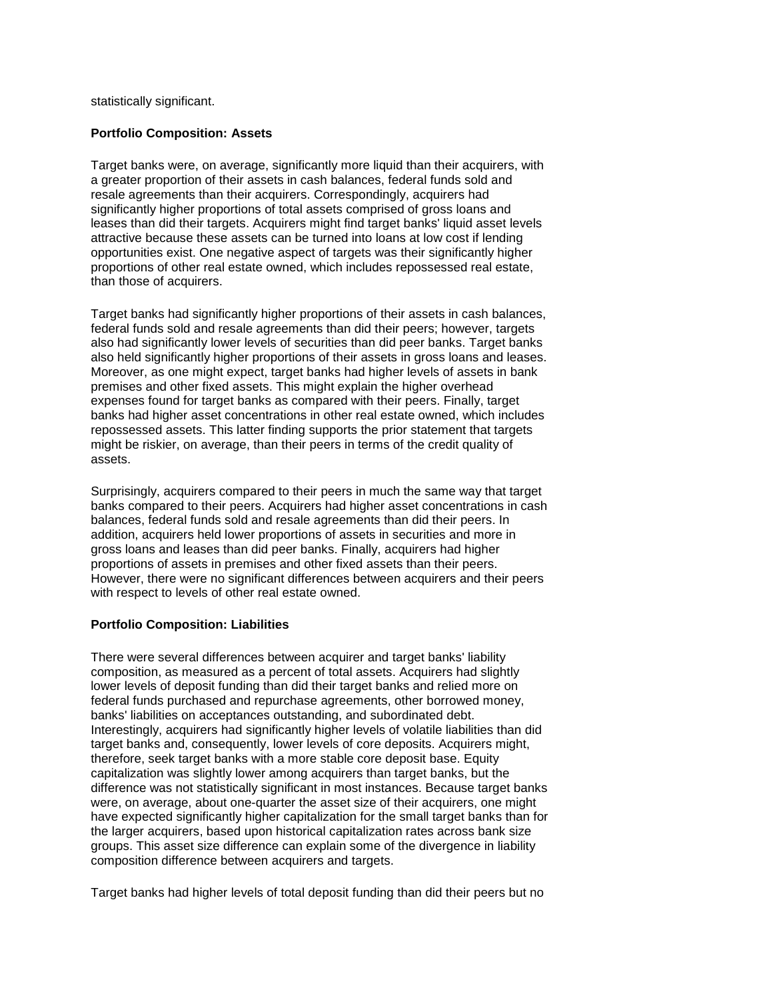statistically significant.

## **Portfolio Composition: Assets**

 Target banks were, on average, significantly more liquid than their acquirers, with leases than did their targets. Acquirers might find target banks' liquid asset levels opportunities exist. One negative aspect of targets was their significantly higher a greater proportion of their assets in cash balances, federal funds sold and resale agreements than their acquirers. Correspondingly, acquirers had significantly higher proportions of total assets comprised of gross loans and attractive because these assets can be turned into loans at low cost if lending proportions of other real estate owned, which includes repossessed real estate, than those of acquirers.

 Target banks had significantly higher proportions of their assets in cash balances, federal funds sold and resale agreements than did their peers; however, targets also had significantly lower levels of securities than did peer banks. Target banks also held significantly higher proportions of their assets in gross loans and leases. Moreover, as one might expect, target banks had higher levels of assets in bank premises and other fixed assets. This might explain the higher overhead expenses found for target banks as compared with their peers. Finally, target banks had higher asset concentrations in other real estate owned, which includes repossessed assets. This latter finding supports the prior statement that targets might be riskier, on average, than their peers in terms of the credit quality of assets.

 banks compared to their peers. Acquirers had higher asset concentrations in cash Surprisingly, acquirers compared to their peers in much the same way that target balances, federal funds sold and resale agreements than did their peers. In addition, acquirers held lower proportions of assets in securities and more in gross loans and leases than did peer banks. Finally, acquirers had higher proportions of assets in premises and other fixed assets than their peers. However, there were no significant differences between acquirers and their peers with respect to levels of other real estate owned.

## **Portfolio Composition: Liabilities**

 were, on average, about one-quarter the asset size of their acquirers, one might There were several differences between acquirer and target banks' liability composition, as measured as a percent of total assets. Acquirers had slightly lower levels of deposit funding than did their target banks and relied more on federal funds purchased and repurchase agreements, other borrowed money, banks' liabilities on acceptances outstanding, and subordinated debt. Interestingly, acquirers had significantly higher levels of volatile liabilities than did target banks and, consequently, lower levels of core deposits. Acquirers might, therefore, seek target banks with a more stable core deposit base. Equity capitalization was slightly lower among acquirers than target banks, but the difference was not statistically significant in most instances. Because target banks have expected significantly higher capitalization for the small target banks than for the larger acquirers, based upon historical capitalization rates across bank size groups. This asset size difference can explain some of the divergence in liability composition difference between acquirers and targets.

Target banks had higher levels of total deposit funding than did their peers but no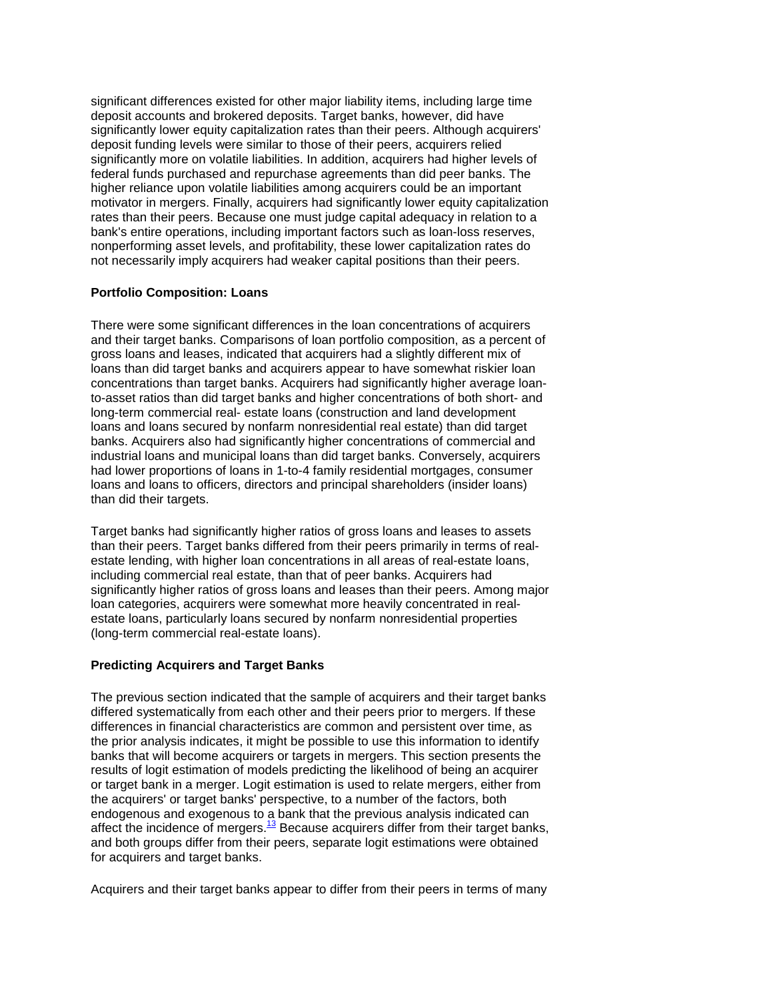significant differences existed for other major liability items, including large time deposit accounts and brokered deposits. Target banks, however, did have significantly lower equity capitalization rates than their peers. Although acquirers' deposit funding levels were similar to those of their peers, acquirers relied significantly more on volatile liabilities. In addition, acquirers had higher levels of federal funds purchased and repurchase agreements than did peer banks. The higher reliance upon volatile liabilities among acquirers could be an important motivator in mergers. Finally, acquirers had significantly lower equity capitalization rates than their peers. Because one must judge capital adequacy in relation to a bank's entire operations, including important factors such as loan-loss reserves, nonperforming asset levels, and profitability, these lower capitalization rates do not necessarily imply acquirers had weaker capital positions than their peers.

## **Portfolio Composition: Loans**

 industrial loans and municipal loans than did target banks. Conversely, acquirers loans and loans to officers, directors and principal shareholders (insider loans) There were some significant differences in the loan concentrations of acquirers and their target banks. Comparisons of loan portfolio composition, as a percent of gross loans and leases, indicated that acquirers had a slightly different mix of loans than did target banks and acquirers appear to have somewhat riskier loan concentrations than target banks. Acquirers had significantly higher average loanto-asset ratios than did target banks and higher concentrations of both short- and long-term commercial real- estate loans (construction and land development loans and loans secured by nonfarm nonresidential real estate) than did target banks. Acquirers also had significantly higher concentrations of commercial and had lower proportions of loans in 1-to-4 family residential mortgages, consumer than did their targets.

 estate loans, particularly loans secured by nonfarm nonresidential properties Target banks had significantly higher ratios of gross loans and leases to assets than their peers. Target banks differed from their peers primarily in terms of realestate lending, with higher loan concentrations in all areas of real-estate loans, including commercial real estate, than that of peer banks. Acquirers had significantly higher ratios of gross loans and leases than their peers. Among major loan categories, acquirers were somewhat more heavily concentrated in real-(long-term commercial real-estate loans).

## **Predicting Acquirers and Target Banks**

The previous section indicated that the sample of acquirers and their target banks differed systematically from each other and their peers prior to mergers. If these differences in financial characteristics are common and persistent over time, as the prior analysis indicates, it might be possible to use this information to identify banks that will become acquirers or targets in mergers. This section presents the results of logit estimation of models predicting the likelihood of being an acquirer or target bank in a merger. Logit estimation is used to relate mergers, either from the acquirers' or target banks' perspective, to a number of the factors, both endogenous and exogenous to a bank that the previous analysis indicated can affect the incidence of mergers. $13$  Because acquirers differ from their target banks, and both groups differ from their peers, separate logit estimations were obtained for acquirers and target banks.

Acquirers and their target banks appear to differ from their peers in terms of many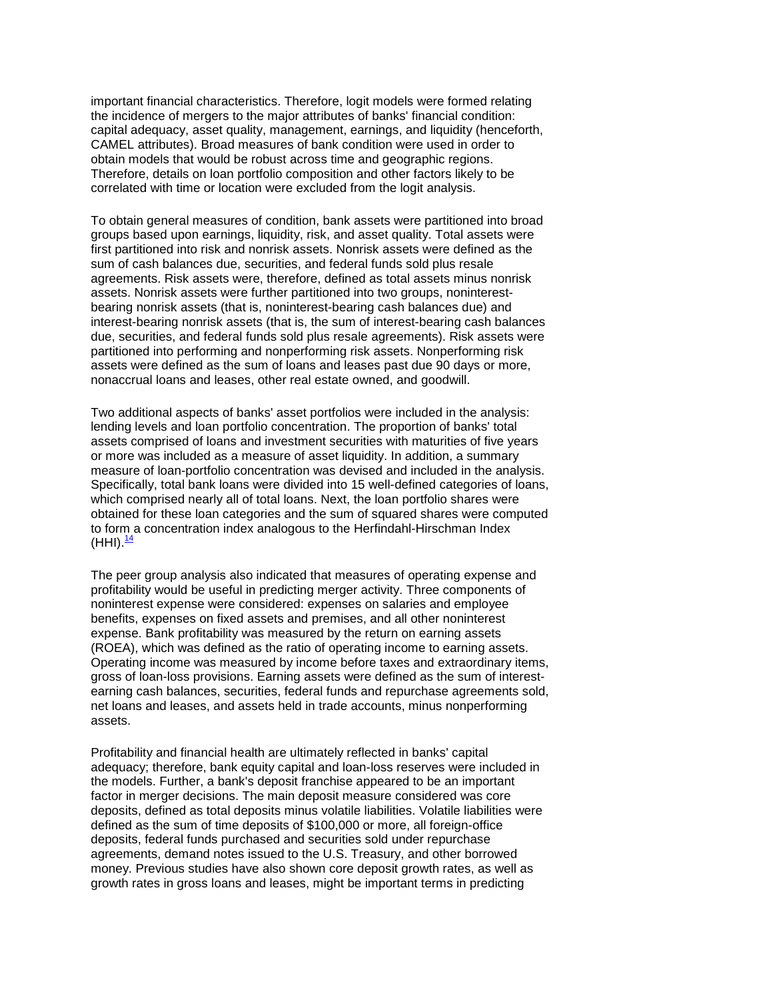important financial characteristics. Therefore, logit models were formed relating the incidence of mergers to the major attributes of banks' financial condition: capital adequacy, asset quality, management, earnings, and liquidity (henceforth, CAMEL attributes). Broad measures of bank condition were used in order to obtain models that would be robust across time and geographic regions. Therefore, details on loan portfolio composition and other factors likely to be correlated with time or location were excluded from the logit analysis.

 sum of cash balances due, securities, and federal funds sold plus resale assets were defined as the sum of loans and leases past due 90 days or more, nonaccrual loans and leases, other real estate owned, and goodwill. To obtain general measures of condition, bank assets were partitioned into broad groups based upon earnings, liquidity, risk, and asset quality. Total assets were first partitioned into risk and nonrisk assets. Nonrisk assets were defined as the agreements. Risk assets were, therefore, defined as total assets minus nonrisk assets. Nonrisk assets were further partitioned into two groups, noninterestbearing nonrisk assets (that is, noninterest-bearing cash balances due) and interest-bearing nonrisk assets (that is, the sum of interest-bearing cash balances due, securities, and federal funds sold plus resale agreements). Risk assets were partitioned into performing and nonperforming risk assets. Nonperforming risk

 Specifically, total bank loans were divided into 15 well-defined categories of loans, which comprised nearly all of total loans. Next, the loan portfolio shares were (HHI).<sup>14</sup> Two additional aspects of banks' asset portfolios were included in the analysis: lending levels and loan portfolio concentration. The proportion of banks' total assets comprised of loans and investment securities with maturities of five years or more was included as a measure of asset liquidity. In addition, a summary measure of loan-portfolio concentration was devised and included in the analysis. obtained for these loan categories and the sum of squared shares were computed to form a concentration index analogous to the Herfindahl-Hirschman Index

 noninterest expense were considered: expenses on salaries and employee The peer group analysis also indicated that measures of operating expense and profitability would be useful in predicting merger activity. Three components of benefits, expenses on fixed assets and premises, and all other noninterest expense. Bank profitability was measured by the return on earning assets (ROEA), which was defined as the ratio of operating income to earning assets. Operating income was measured by income before taxes and extraordinary items, gross of loan-loss provisions. Earning assets were defined as the sum of interestearning cash balances, securities, federal funds and repurchase agreements sold, net loans and leases, and assets held in trade accounts, minus nonperforming assets.

 money. Previous studies have also shown core deposit growth rates, as well as Profitability and financial health are ultimately reflected in banks' capital adequacy; therefore, bank equity capital and loan-loss reserves were included in the models. Further, a bank's deposit franchise appeared to be an important factor in merger decisions. The main deposit measure considered was core deposits, defined as total deposits minus volatile liabilities. Volatile liabilities were defined as the sum of time deposits of \$100,000 or more, all foreign-office deposits, federal funds purchased and securities sold under repurchase agreements, demand notes issued to the U.S. Treasury, and other borrowed growth rates in gross loans and leases, might be important terms in predicting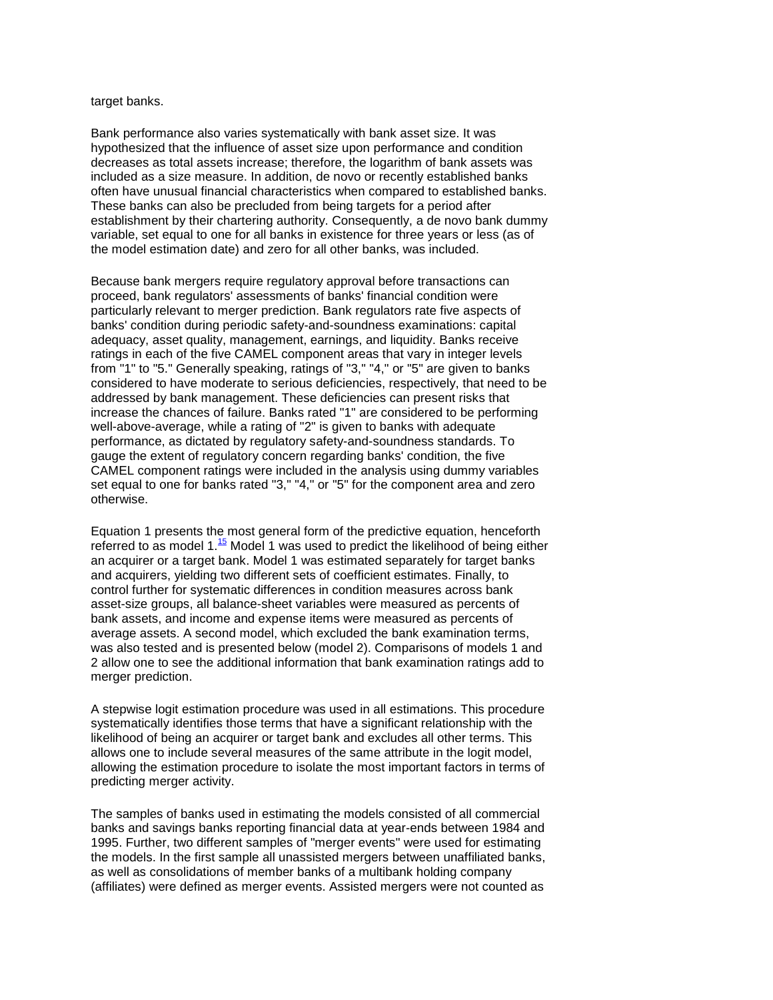#### target banks.

 Bank performance also varies systematically with bank asset size. It was establishment by their chartering authority. Consequently, a de novo bank dummy hypothesized that the influence of asset size upon performance and condition decreases as total assets increase; therefore, the logarithm of bank assets was included as a size measure. In addition, de novo or recently established banks often have unusual financial characteristics when compared to established banks. These banks can also be precluded from being targets for a period after variable, set equal to one for all banks in existence for three years or less (as of the model estimation date) and zero for all other banks, was included.

 ratings in each of the five CAMEL component areas that vary in integer levels from "1" to "5." Generally speaking, ratings of "3," "4," or "5" are given to banks addressed by bank management. These deficiencies can present risks that CAMEL component ratings were included in the analysis using dummy variables set equal to one for banks rated "3," "4," or "5" for the component area and zero Because bank mergers require regulatory approval before transactions can proceed, bank regulators' assessments of banks' financial condition were particularly relevant to merger prediction. Bank regulators rate five aspects of banks' condition during periodic safety-and-soundness examinations: capital adequacy, asset quality, management, earnings, and liquidity. Banks receive considered to have moderate to serious deficiencies, respectively, that need to be increase the chances of failure. Banks rated "1" are considered to be performing well-above-average, while a rating of "2" is given to banks with adequate performance, as dictated by regulatory safety-and-soundness standards. To gauge the extent of regulatory concern regarding banks' condition, the five otherwise.

Equation 1 presents the most general form of the predictive equation, henceforth referred to as model  $1.\overline{15}$  Model 1 was used to predict the likelihood of being either an acquirer or a target bank. Model 1 was estimated separately for target banks and acquirers, yielding two different sets of coefficient estimates. Finally, to control further for systematic differences in condition measures across bank asset-size groups, all balance-sheet variables were measured as percents of bank assets, and income and expense items were measured as percents of average assets. A second model, which excluded the bank examination terms, was also tested and is presented below (model 2). Comparisons of models 1 and 2 allow one to see the additional information that bank examination ratings add to merger prediction.

 likelihood of being an acquirer or target bank and excludes all other terms. This A stepwise logit estimation procedure was used in all estimations. This procedure systematically identifies those terms that have a significant relationship with the allows one to include several measures of the same attribute in the logit model, allowing the estimation procedure to isolate the most important factors in terms of predicting merger activity.

 banks and savings banks reporting financial data at year-ends between 1984 and (affiliates) were defined as merger events. Assisted mergers were not counted as The samples of banks used in estimating the models consisted of all commercial 1995. Further, two different samples of "merger events" were used for estimating the models. In the first sample all unassisted mergers between unaffiliated banks, as well as consolidations of member banks of a multibank holding company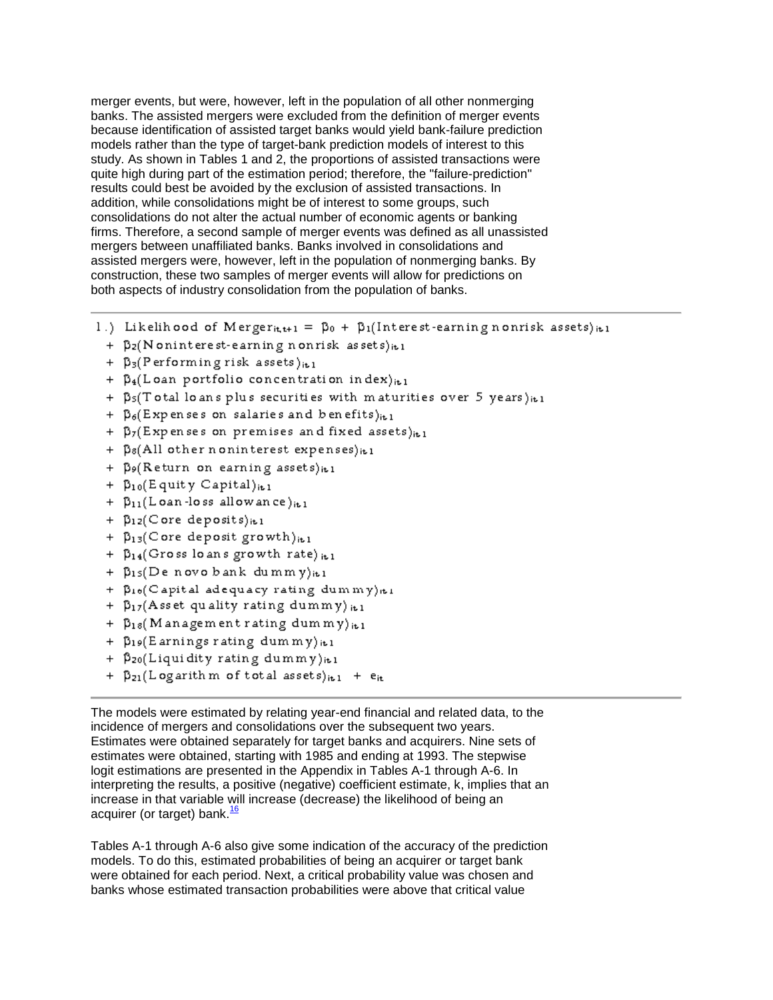study. As shown in Tables 1 and 2, the proportions of assisted transactions were merger events, but were, however, left in the population of all other nonmerging banks. The assisted mergers were excluded from the definition of merger events because identification of assisted target banks would yield bank-failure prediction models rather than the type of target-bank prediction models of interest to this quite high during part of the estimation period; therefore, the "failure-prediction" results could best be avoided by the exclusion of assisted transactions. In addition, while consolidations might be of interest to some groups, such consolidations do not alter the actual number of economic agents or banking firms. Therefore, a second sample of merger events was defined as all unassisted mergers between unaffiliated banks. Banks involved in consolidations and assisted mergers were, however, left in the population of nonmerging banks. By construction, these two samples of merger events will allow for predictions on both aspects of industry consolidation from the population of banks.

- 1.) Likelihood of Merger<sub>itt+1</sub> =  $\beta_0$  +  $\beta_1$ [Interest-earning nonrisk assets)<sub>it1</sub>
	- +  $\beta_2(N \text{on}$  interest-earning nonrisk as sets) it 1
	- +  $\beta_3$ (Performing risk assets)<sub>it1</sub>
	- +  $\beta_4$ (Loan portfolio concentration index)<sub>it1</sub>
	- +  $\beta_5$ (Total loans plus securities with maturities over 5 years)<sup>it1</sup>
	- +  $\beta_6$ (Expenses on salaries and benefits)<sub>it1</sub>
	- +  $\beta_7$ (Expenses on premises and fixed assets)<sub>it1</sub>
	- +  $\beta$ 8(All other noninterest expenses) it1
	- +  $\beta$ <sup>o</sup>(Return on earning assets)<sup>it1</sup>
	- +  $\beta_{10}$ (Equity Capital)<sub>it1</sub>
	- +  $\beta_{11}$ (Loan-loss allowance)<sub>it1</sub>
	- +  $\beta_{12}$ (Core deposits) it1
	- +  $\beta_{13}$ (Core deposit growth)<sub>it1</sub>
	- +  $\beta_{14}$ (Gross loans growth rate) it1
	- +  $\beta_{15}(De novo bank dummy)_{it1}$
	- +  $\beta_{16}$ (Capital adequacy rating dummy) ti
	- +  $\beta_{17}$ (Asset quality rating dummy) it1
	- +  $\beta_{18}$ (Management rating dummy)<sub>it1</sub>
	- +  $\beta_{19}$ (Earnings rating dummy) it1
	- +  $\beta_{20}$ (Liquidity rating dummy)it1
	- +  $\beta_{21}(Logarithm of total assets)_{it1}$  +  $e_{it}$

The models were estimated by relating year-end financial and related data, to the incidence of mergers and consolidations over the subsequent two years. Estimates were obtained separately for target banks and acquirers. Nine sets of estimates were obtained, starting with 1985 and ending at 1993. The stepwise logit estimations are presented in the Appendix in Tables A-1 through A-6. In interpreting the results, a positive (negative) coefficient estimate, k, implies that an increase in that variable will increase (decrease) the likelihood of being an acquirer (or target) bank. $\frac{16}{16}$ 

 were obtained for each period. Next, a critical probability value was chosen and Tables A-1 through A-6 also give some indication of the accuracy of the prediction models. To do this, estimated probabilities of being an acquirer or target bank banks whose estimated transaction probabilities were above that critical value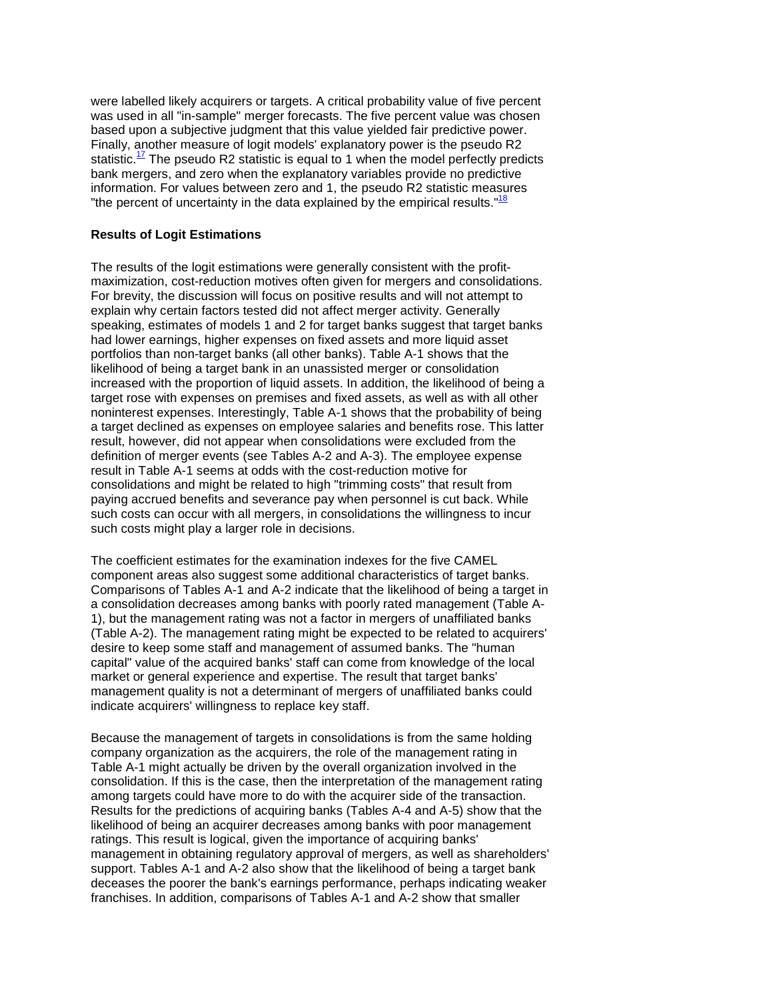was used in all "in-sample" merger forecasts. The five percent value was chosen based upon a subjective judgment that this value yielded fair predictive power. bank mergers, and zero when the explanatory variables provide no predictive were labelled likely acquirers or targets. A critical probability value of five percent Finally, another measure of logit models' explanatory power is the pseudo R2 statistic.<sup>17</sup> The pseudo R2 statistic is equal to 1 when the model perfectly predicts information. For values between zero and 1, the pseudo R2 statistic measures "the percent of uncertainty in the data explained by the empirical results." $18$ 

## **Results of Logit Estimations**

The results of the logit estimations were generally consistent with the profitmaximization, cost-reduction motives often given for mergers and consolidations. For brevity, the discussion will focus on positive results and will not attempt to explain why certain factors tested did not affect merger activity. Generally speaking, estimates of models 1 and 2 for target banks suggest that target banks had lower earnings, higher expenses on fixed assets and more liquid asset portfolios than non-target banks (all other banks). Table A-1 shows that the likelihood of being a target bank in an unassisted merger or consolidation increased with the proportion of liquid assets. In addition, the likelihood of being a target rose with expenses on premises and fixed assets, as well as with all other noninterest expenses. Interestingly, Table A-1 shows that the probability of being a target declined as expenses on employee salaries and benefits rose. This latter result, however, did not appear when consolidations were excluded from the definition of merger events (see Tables A-2 and A-3). The employee expense result in Table A-1 seems at odds with the cost-reduction motive for consolidations and might be related to high "trimming costs" that result from paying accrued benefits and severance pay when personnel is cut back. While such costs can occur with all mergers, in consolidations the willingness to incur such costs might play a larger role in decisions.

 component areas also suggest some additional characteristics of target banks. The coefficient estimates for the examination indexes for the five CAMEL Comparisons of Tables A-1 and A-2 indicate that the likelihood of being a target in a consolidation decreases among banks with poorly rated management (Table A-1), but the management rating was not a factor in mergers of unaffiliated banks (Table A-2). The management rating might be expected to be related to acquirers' desire to keep some staff and management of assumed banks. The "human capital" value of the acquired banks' staff can come from knowledge of the local market or general experience and expertise. The result that target banks' management quality is not a determinant of mergers of unaffiliated banks could indicate acquirers' willingness to replace key staff.

 Results for the predictions of acquiring banks (Tables A-4 and A-5) show that the support. Tables A-1 and A-2 also show that the likelihood of being a target bank Because the management of targets in consolidations is from the same holding company organization as the acquirers, the role of the management rating in Table A-1 might actually be driven by the overall organization involved in the consolidation. If this is the case, then the interpretation of the management rating among targets could have more to do with the acquirer side of the transaction. likelihood of being an acquirer decreases among banks with poor management ratings. This result is logical, given the importance of acquiring banks' management in obtaining regulatory approval of mergers, as well as shareholders' deceases the poorer the bank's earnings performance, perhaps indicating weaker franchises. In addition, comparisons of Tables A-1 and A-2 show that smaller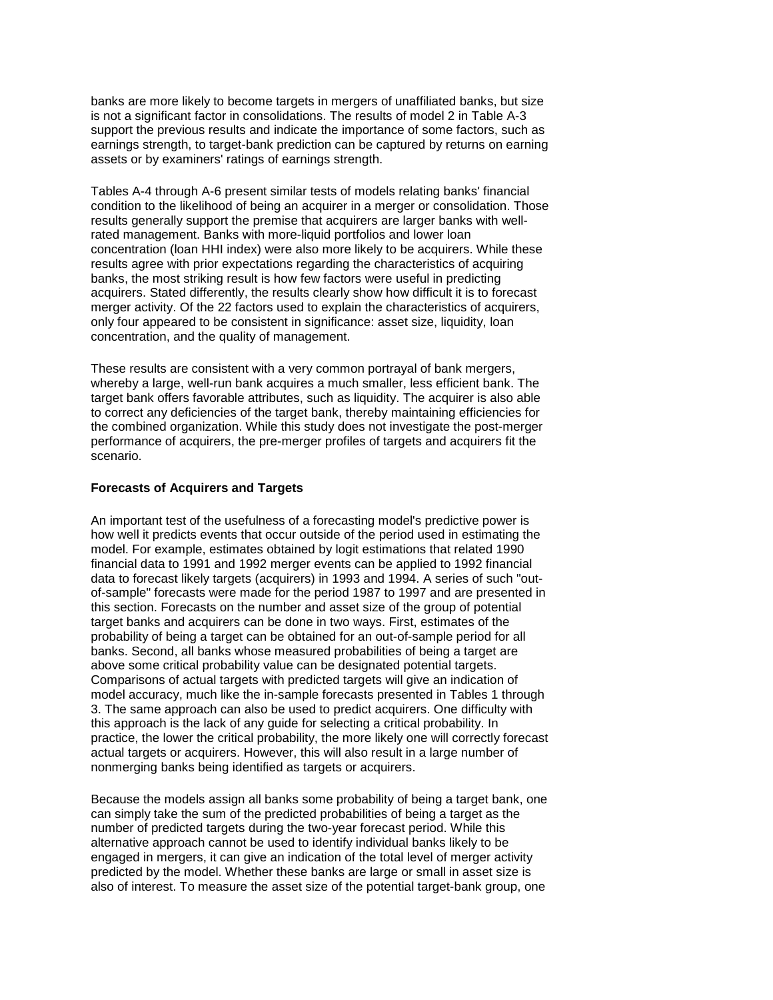is not a significant factor in consolidations. The results of model 2 in Table A-3 banks are more likely to become targets in mergers of unaffiliated banks, but size support the previous results and indicate the importance of some factors, such as earnings strength, to target-bank prediction can be captured by returns on earning assets or by examiners' ratings of earnings strength.

 Tables A-4 through A-6 present similar tests of models relating banks' financial only four appeared to be consistent in significance: asset size, liquidity, loan condition to the likelihood of being an acquirer in a merger or consolidation. Those results generally support the premise that acquirers are larger banks with wellrated management. Banks with more-liquid portfolios and lower loan concentration (loan HHI index) were also more likely to be acquirers. While these results agree with prior expectations regarding the characteristics of acquiring banks, the most striking result is how few factors were useful in predicting acquirers. Stated differently, the results clearly show how difficult it is to forecast merger activity. Of the 22 factors used to explain the characteristics of acquirers, concentration, and the quality of management.

 These results are consistent with a very common portrayal of bank mergers, target bank offers favorable attributes, such as liquidity. The acquirer is also able whereby a large, well-run bank acquires a much smaller, less efficient bank. The to correct any deficiencies of the target bank, thereby maintaining efficiencies for the combined organization. While this study does not investigate the post-merger performance of acquirers, the pre-merger profiles of targets and acquirers fit the scenario.

### **Forecasts of Acquirers and Targets**

 above some critical probability value can be designated potential targets. this approach is the lack of any guide for selecting a critical probability. In An important test of the usefulness of a forecasting model's predictive power is how well it predicts events that occur outside of the period used in estimating the model. For example, estimates obtained by logit estimations that related 1990 financial data to 1991 and 1992 merger events can be applied to 1992 financial data to forecast likely targets (acquirers) in 1993 and 1994. A series of such "outof-sample" forecasts were made for the period 1987 to 1997 and are presented in this section. Forecasts on the number and asset size of the group of potential target banks and acquirers can be done in two ways. First, estimates of the probability of being a target can be obtained for an out-of-sample period for all banks. Second, all banks whose measured probabilities of being a target are Comparisons of actual targets with predicted targets will give an indication of model accuracy, much like the in-sample forecasts presented in Tables 1 through 3. The same approach can also be used to predict acquirers. One difficulty with practice, the lower the critical probability, the more likely one will correctly forecast actual targets or acquirers. However, this will also result in a large number of nonmerging banks being identified as targets or acquirers.

 number of predicted targets during the two-year forecast period. While this also of interest. To measure the asset size of the potential target-bank group, one Because the models assign all banks some probability of being a target bank, one can simply take the sum of the predicted probabilities of being a target as the alternative approach cannot be used to identify individual banks likely to be engaged in mergers, it can give an indication of the total level of merger activity predicted by the model. Whether these banks are large or small in asset size is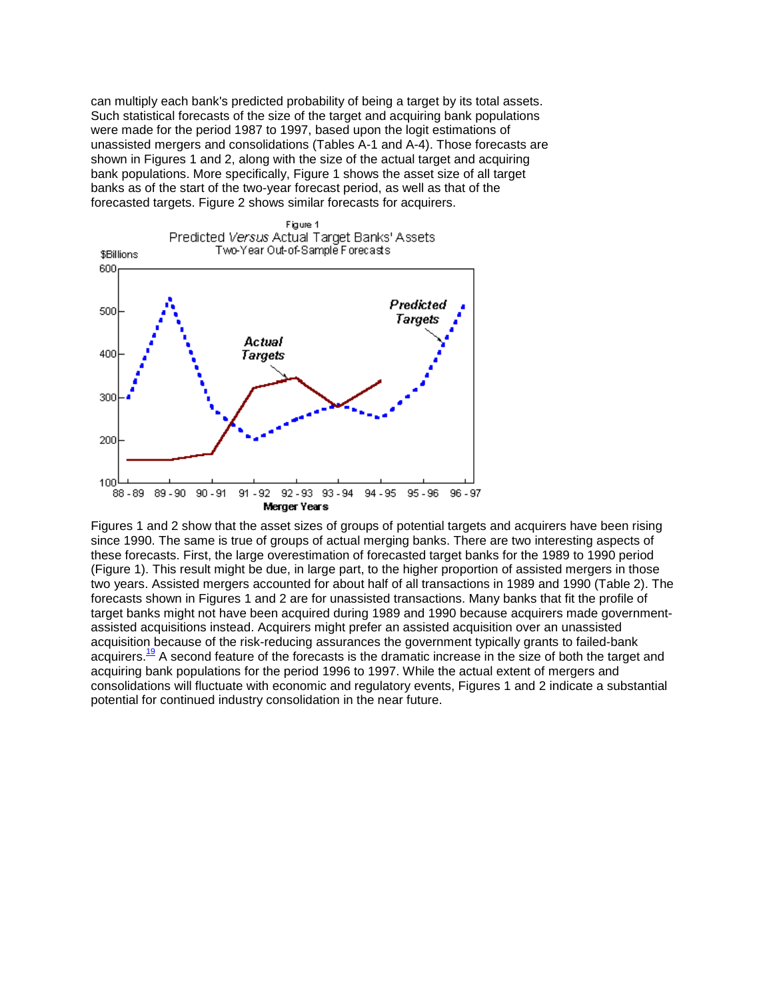were made for the period 1987 to 1997, based upon the logit estimations of bank populations. More specifically, Figure 1 shows the asset size of all target can multiply each bank's predicted probability of being a target by its total assets. Such statistical forecasts of the size of the target and acquiring bank populations unassisted mergers and consolidations (Tables A-1 and A-4). Those forecasts are shown in Figures 1 and 2, along with the size of the actual target and acquiring banks as of the start of the two-year forecast period, as well as that of the forecasted targets. Figure 2 shows similar forecasts for acquirers.



 target banks might not have been acquired during 1989 and 1990 because acquirers made government-Figures 1 and 2 show that the asset sizes of groups of potential targets and acquirers have been rising since 1990. The same is true of groups of actual merging banks. There are two interesting aspects of these forecasts. First, the large overestimation of forecasted target banks for the 1989 to 1990 period (Figure 1). This result might be due, in large part, to the higher proportion of assisted mergers in those two years. Assisted mergers accounted for about half of all transactions in 1989 and 1990 (Table 2). The forecasts shown in Figures 1 and 2 are for unassisted transactions. Many banks that fit the profile of assisted acquisitions instead. Acquirers might prefer an assisted acquisition over an unassisted acquisition because of the risk-reducing assurances the government typically grants to failed-bank acquirers.<sup>19</sup> A second feature of the forecasts is the dramatic increase in the size of both the target and acquiring bank populations for the period 1996 to 1997. While the actual extent of mergers and consolidations will fluctuate with economic and regulatory events, Figures 1 and 2 indicate a substantial potential for continued industry consolidation in the near future.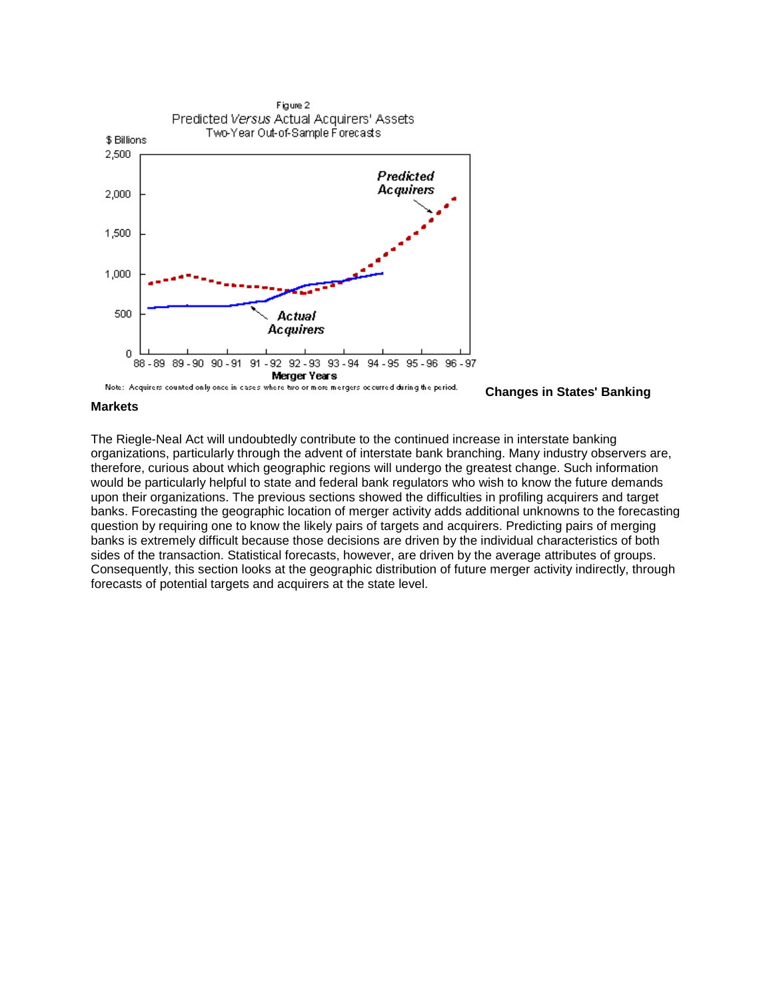

**Changes in States' Banking** 

### **Markets**

 The Riegle-Neal Act will undoubtedly contribute to the continued increase in interstate banking organizations, particularly through the advent of interstate bank branching. Many industry observers are, therefore, curious about which geographic regions will undergo the greatest change. Such information banks is extremely difficult because those decisions are driven by the individual characteristics of both would be particularly helpful to state and federal bank regulators who wish to know the future demands upon their organizations. The previous sections showed the difficulties in profiling acquirers and target banks. Forecasting the geographic location of merger activity adds additional unknowns to the forecasting question by requiring one to know the likely pairs of targets and acquirers. Predicting pairs of merging sides of the transaction. Statistical forecasts, however, are driven by the average attributes of groups. Consequently, this section looks at the geographic distribution of future merger activity indirectly, through forecasts of potential targets and acquirers at the state level.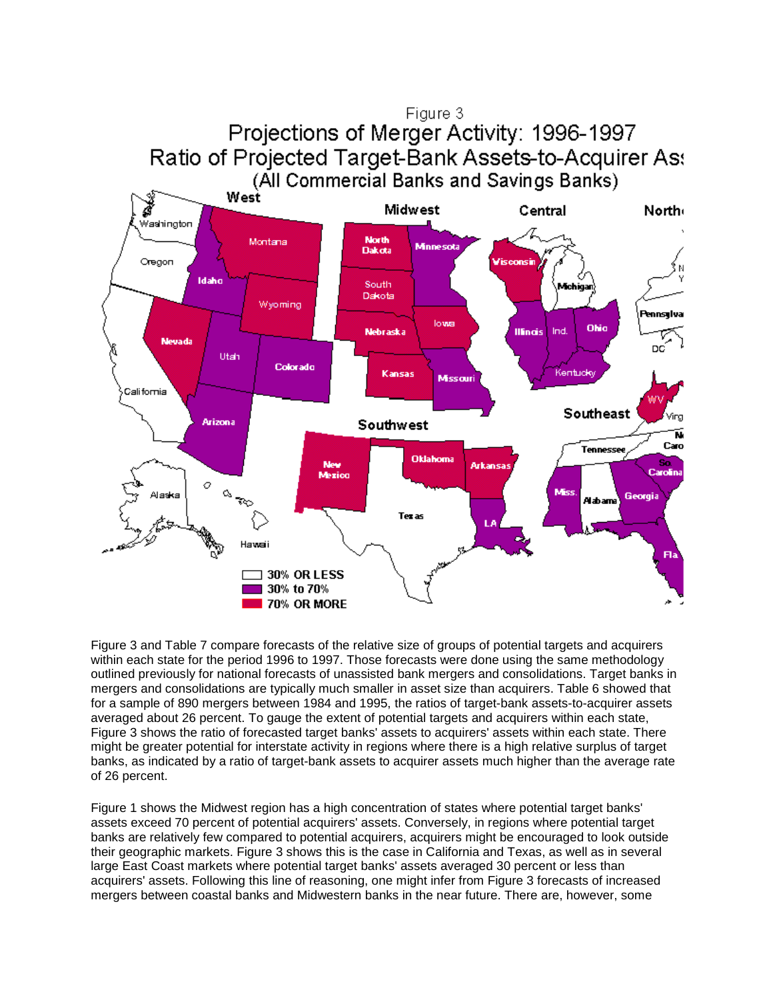

 averaged about 26 percent. To gauge the extent of potential targets and acquirers within each state, Figure 3 and Table 7 compare forecasts of the relative size of groups of potential targets and acquirers within each state for the period 1996 to 1997. Those forecasts were done using the same methodology outlined previously for national forecasts of unassisted bank mergers and consolidations. Target banks in mergers and consolidations are typically much smaller in asset size than acquirers. Table 6 showed that for a sample of 890 mergers between 1984 and 1995, the ratios of target-bank assets-to-acquirer assets Figure 3 shows the ratio of forecasted target banks' assets to acquirers' assets within each state. There might be greater potential for interstate activity in regions where there is a high relative surplus of target banks, as indicated by a ratio of target-bank assets to acquirer assets much higher than the average rate of 26 percent.

30% to 70% 70% OR MORE

 Figure 1 shows the Midwest region has a high concentration of states where potential target banks' assets exceed 70 percent of potential acquirers' assets. Conversely, in regions where potential target their geographic markets. Figure 3 shows this is the case in California and Texas, as well as in several banks are relatively few compared to potential acquirers, acquirers might be encouraged to look outside large East Coast markets where potential target banks' assets averaged 30 percent or less than acquirers' assets. Following this line of reasoning, one might infer from Figure 3 forecasts of increased mergers between coastal banks and Midwestern banks in the near future. There are, however, some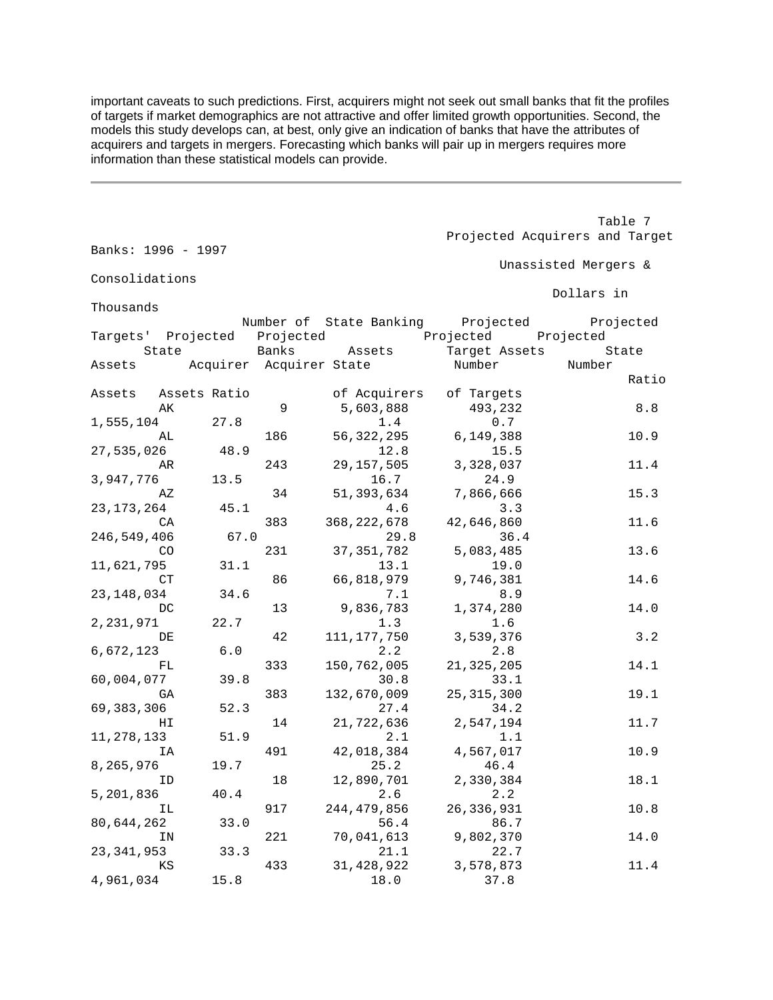models this study develops can, at best, only give an indication of banks that have the attributes of important caveats to such predictions. First, acquirers might not seek out small banks that fit the profiles of targets if market demographics are not attractive and offer limited growth opportunities. Second, the acquirers and targets in mergers. Forecasting which banks will pair up in mergers requires more information than these statistical models can provide.

|                    |              |     |                                                                      |                     | Table 7                        |
|--------------------|--------------|-----|----------------------------------------------------------------------|---------------------|--------------------------------|
| Banks: 1996 - 1997 |              |     |                                                                      |                     | Projected Acquirers and Target |
|                    |              |     |                                                                      |                     | Unassisted Mergers &           |
| Consolidations     |              |     |                                                                      |                     | Dollars in                     |
| Thousands          |              |     |                                                                      |                     |                                |
|                    |              |     | Number of State Banking Projected Projected                          |                     |                                |
|                    | State Banks  |     | Targets' Projected Projected brojected Projected Projected<br>Assets | Target Assets State |                                |
|                    |              |     | Assets Acquirer Acquirer State                                       | Number              | Number                         |
|                    |              |     |                                                                      |                     | Ratio                          |
| Assets             | Assets Ratio |     | of Acquirers                                                         | of Targets          |                                |
| AК                 |              | 9   | 5,603,888                                                            | 493,232             | 8.8                            |
| 1,555,104          | 27.8         |     | 1.4                                                                  | 0.7                 |                                |
| AL                 |              | 186 | 56, 322, 295                                                         | 6,149,388           | 10.9                           |
| 27,535,026         | 48.9         |     | 12.8                                                                 | 15.5                |                                |
| AR                 |              | 243 | 29, 157, 505                                                         | 3,328,037           | 11.4                           |
| 3,947,776          | 13.5         |     | 16.7                                                                 | 24.9                |                                |
| ΑZ                 |              | 34  | 51,393,634<br>4.6                                                    | 7,866,666<br>3.3    | 15.3                           |
| 23,173,264<br>CA   | 45.1         | 383 | 368, 222, 678                                                        | 42,646,860          | 11.6                           |
| 246,549,406        | 67.0         |     | 29.8                                                                 | 36.4                |                                |
| CO                 |              | 231 | 37, 351, 782                                                         | 5,083,485           | 13.6                           |
| 11,621,795         | 31.1         |     | 13.1                                                                 | 19.0                |                                |
| СT                 |              | 86  | 66,818,979                                                           | 9,746,381           | 14.6                           |
| 23,148,034         | 34.6         |     | 7.1                                                                  | 8.9                 |                                |
| DC                 |              | 13  | 9,836,783                                                            | 1,374,280           | 14.0                           |
| 2, 231, 971        | 22.7         |     | 1.3                                                                  | 1.6                 |                                |
| DE                 |              | 42  | 111, 177, 750                                                        | 3,539,376           | 3.2                            |
| 6,672,123          | 6.0          |     | 2.2                                                                  | 2.8                 |                                |
| FL                 |              | 333 | 150, 762, 005                                                        | 21, 325, 205        | 14.1                           |
| 60,004,077         | 39.8         |     | 30.8                                                                 | 33.1                |                                |
| GА                 |              | 383 | 132,670,009                                                          | 25, 315, 300        | 19.1                           |
| 69,383,306         | 52.3         |     | 27.4                                                                 | 34.2                |                                |
| НI                 | 51.9         | 14  | 21,722,636<br>2.1                                                    | 2,547,194           | 11.7                           |
| 11,278,133<br>ΙA   |              | 491 | 42,018,384                                                           | 1.1<br>4,567,017    | 10.9                           |
| 8,265,976          | 19.7         |     | 25.2                                                                 | 46.4                |                                |
| ID                 |              | 18  | 12,890,701                                                           | 2,330,384           | 18.1                           |
| 5,201,836          | 40.4         |     | 2.6                                                                  | 2.2                 |                                |
| ΙL                 |              | 917 | 244, 479, 856                                                        | 26, 336, 931        | 10.8                           |
| 80,644,262         | 33.0         |     | 56.4                                                                 | 86.7                |                                |
| ΙN                 |              | 221 | 70,041,613                                                           | 9,802,370           | 14.0                           |
| 23,341,953         | 33.3         |     | 21.1                                                                 | 22.7                |                                |
| ΚS                 |              | 433 | 31, 428, 922                                                         | 3,578,873           | 11.4                           |
| 4,961,034          | 15.8         |     | 18.0                                                                 | 37.8                |                                |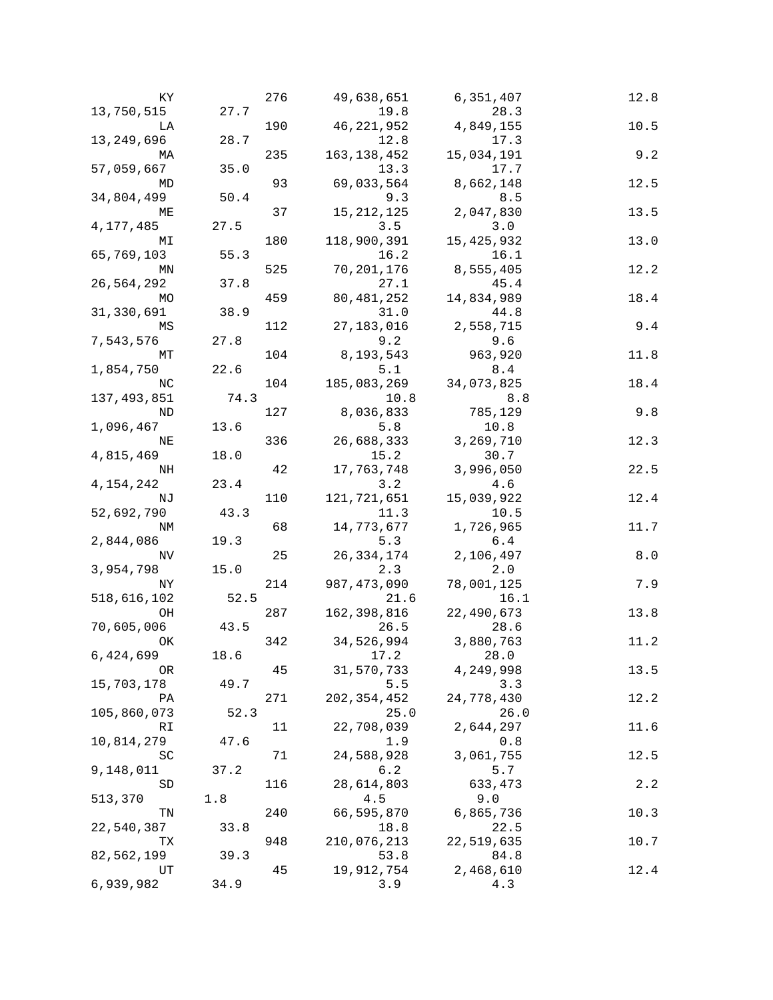| ΚY               |      | 276 | 49,638,651        | 6,351,407        | 12.8  |
|------------------|------|-----|-------------------|------------------|-------|
| 13,750,515       | 27.7 |     | 19.8              | 28.3             |       |
| LA               |      | 190 | 46, 221, 952      | 4,849,155        | 10.5  |
| 13,249,696       | 28.7 |     | 12.8              | 17.3             |       |
| МA               |      | 235 | 163, 138, 452     | 15,034,191       | 9.2   |
| 57,059,667       | 35.0 |     | 13.3              | 17.7             |       |
| MD               |      | 93  | 69,033,564        | 8,662,148        | 12.5  |
| 34,804,499       | 50.4 |     | 9.3               | 8.5              |       |
| MЕ               |      | 37  | 15, 212, 125      | 2,047,830        | 13.5  |
| 4,177,485        | 27.5 |     | 3.5               | 3.0              |       |
| МI               |      | 180 | 118,900,391       | 15, 425, 932     | 13.0  |
| 65,769,103       | 55.3 |     | 16.2              | 16.1             |       |
| ΜN               |      | 525 | 70,201,176        | 8,555,405        | 12.2  |
| 26,564,292       | 37.8 |     | 27.1              | 45.4             |       |
| МO               |      | 459 | 80, 481, 252      | 14,834,989       | 18.4  |
| 31,330,691       | 38.9 |     | 31.0              | 44.8             | 9.4   |
| ΜS               |      | 112 | 27,183,016        | 2,558,715        |       |
| 7,543,576<br>MТ  | 27.8 | 104 | 9.2<br>8,193,543  | 9.6<br>963,920   | 11.8  |
| 1,854,750        | 22.6 |     | 5.1               | $8.4$            |       |
| ΝC               |      | 104 | 185,083,269       | 34,073,825       | 18.4  |
| 137,493,851      | 74.3 |     | 10.8              | 8.8              |       |
| ΝD               |      | 127 | 8,036,833         | 785,129          | 9.8   |
| 1,096,467        | 13.6 |     | 5.8               | 10.8             |       |
| ΝE               |      | 336 | 26,688,333        | 3,269,710        | 12.3  |
| 4,815,469        | 18.0 |     | 15.2              | 30.7             |       |
| NH               |      | 42  | 17,763,748        | 3,996,050        | 22.5  |
| 4,154,242        | 23.4 |     | 3.2               | 4.6              |       |
| ΝJ               |      | 110 | 121,721,651       | 15,039,922       | 12.4  |
| 52,692,790       | 43.3 |     | 11.3              | 10.5             |       |
| ΝM               |      | 68  | 14,773,677        | 1,726,965        | 11.7  |
| 2,844,086        | 19.3 |     | 5.3               | 6.4              |       |
| ΝV               |      | 25  | 26, 334, 174      | 2,106,497        | $8.0$ |
| 3,954,798        | 15.0 |     | 2.3               | 2.0              |       |
| ΝY               |      | 214 | 987, 473, 090     | 78,001,125       | 7.9   |
| 518,616,102      | 52.5 |     | 21.6              | 16.1             |       |
| OН               |      | 287 | 162, 398, 816     | 22,490,673       | 13.8  |
| 70,605,006       | 43.5 |     | 26.5              | 28.6             |       |
| OK               |      | 342 | 34,526,994        | 3,880,763        | 11.2  |
| 6,424,699        | 18.6 |     | 17.2              | 28.0             |       |
| 0R               |      | 45  | 31,570,733        | 4,249,998        | 13.5  |
| 15,703,178       | 49.7 |     | 5.5               | 3.3              |       |
| ΡA               |      | 271 | 202, 354, 452     | 24,778,430       | 12.2  |
| 105,860,073      | 52.3 |     | 25.0              | 26.0             |       |
| RI               | 47.6 | 11  | 22,708,039<br>1.9 | 2,644,297<br>0.8 | 11.6  |
| 10,814,279<br>SC |      | 71  | 24,588,928        | 3,061,755        | 12.5  |
| 9,148,011        | 37.2 |     | 6.2               | 5.7              |       |
| SD               |      | 116 | 28,614,803        | 633,473          | 2.2   |
| 513,370          | 1.8  |     | 4.5               | 9.0              |       |
| TN               |      | 240 | 66,595,870        | 6,865,736        | 10.3  |
| 22,540,387       | 33.8 |     | 18.8              | 22.5             |       |
| TХ               |      | 948 | 210,076,213       | 22,519,635       | 10.7  |
| 82,562,199       | 39.3 |     | 53.8              | 84.8             |       |
| UT               |      | 45  | 19,912,754        | 2,468,610        | 12.4  |
| 6,939,982        | 34.9 |     | 3.9               | 4.3              |       |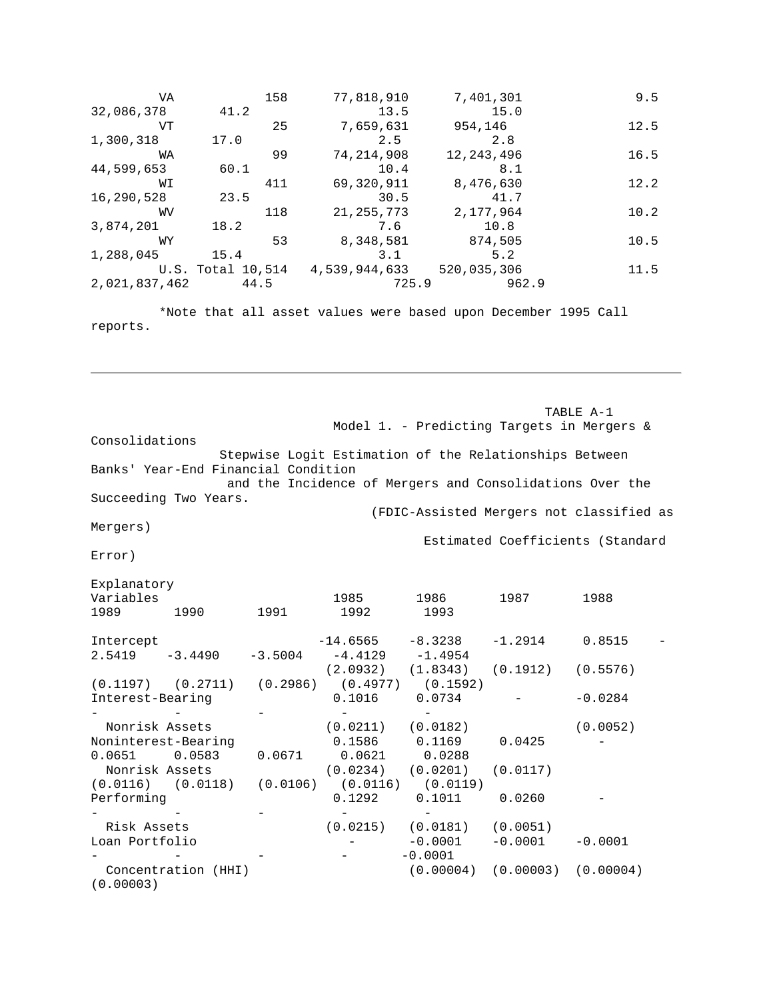VA 158 77,818,910 7,401,301 9.5<br>78 41.2 13.5 15.0 32,086,378 41.2 13.5 15.0 VT 25 7,659,631 954,146 12.5<br>3 17.0 2.5 2.8 1,300,318 17.0 2.5 2.8<br>WA 99 74,214,908 12,243,496 WA 99 74,214,908 12,243,496 16.5<br>53 60.1 10.4 8.1 44,599,653 60.1 10.4 8.1<br>WI 411 69,320,911 8,476,630 411 69,320,911 8,476,630 12.2<br>23.5 30.5 41.7 16,290,528 23.5 30.5 41.7<br>WV 118 21,255,773 2,177,964  $118$  21, 255, 773 2, 177, 964 10.2<br>18.2 7.6 10.8 3,874,201 18.2 7.6 10.8 WY 53 8,348,581 874,505 10.5<br>5 15.4 3.1 5.2 1,288,045 15.4 3.1 5.2<br>U.S. Total 10,514 4,539,944,633 520,035,306 U.S. Total 10,514 4,539,944,633 520,035,306 11.5<br>7,462 44.5 725.9 962.9 2,021,837,462

\*Note that all asset values were based upon December 1995 Call reports.

TABLE A-1 Model 1. - Predicting Targets in Mergers & Consolidations Stepwise Logit Estimation of the Relationships Between Banks' Year-End Financial Condition and the Incidence of Mergers and Consolidations Over the Succeeding Two Years. (FDIC-Assisted Mergers not classified as Mergers) Estimated Coefficients (Standard Error) Explanatory Variables 1985 1986 1987 1988

| 1989                | 1990                                                   | 1991      | 1992                       | 1993                             |                                     |           |  |
|---------------------|--------------------------------------------------------|-----------|----------------------------|----------------------------------|-------------------------------------|-----------|--|
| Intercept<br>2.5419 | $-3.4490$                                              | $-3.5004$ | $-4.4129 -1.4954$          | $-14.6565 -8.3238$               | $-1.2914$                           | 0.8515    |  |
|                     |                                                        |           |                            | $(2.0932)$ $(1.8343)$            | $(0.1912)$ $(0.5576)$               |           |  |
|                     | $(0.1197)$ $(0.2711)$ $(0.2986)$ $(0.4977)$ $(0.1592)$ |           |                            |                                  |                                     |           |  |
| Interest-Bearing    |                                                        |           | 0.1016                     | 0.0734                           |                                     | $-0.0284$ |  |
|                     |                                                        |           |                            |                                  |                                     |           |  |
| Nonrisk Assets      |                                                        |           | $(0.0211)$ $(0.0182)$      |                                  |                                     | (0.0052)  |  |
| Noninterest-Bearing |                                                        |           |                            | 0.1586   0.1169                  | 0.0425                              |           |  |
| $0.0651$ $0.0583$   |                                                        |           | $0.0671$ $0.0621$ $0.0288$ |                                  |                                     |           |  |
| Nonrisk Assets      |                                                        |           |                            | $(0.0234)$ $(0.0201)$ $(0.0117)$ |                                     |           |  |
|                     | $(0.0116)$ $(0.0118)$ $(0.0106)$ $(0.0116)$ $(0.0119)$ |           |                            |                                  |                                     |           |  |
| Performing          |                                                        |           | 0.1292                     | 0.1011                           | 0.0260                              |           |  |
|                     |                                                        |           |                            |                                  |                                     |           |  |
| Risk Assets         |                                                        |           |                            | $(0.0215)$ $(0.0181)$            | (0.0051)                            |           |  |
| Loan Portfolio      |                                                        |           |                            | $-0.0001$                        | $-0.0001$                           | $-0.0001$ |  |
|                     |                                                        |           |                            | $-0.0001$                        |                                     |           |  |
| (0.00003)           | Concentration (HHI)                                    |           |                            |                                  | $(0.00004)$ $(0.00003)$ $(0.00004)$ |           |  |
|                     |                                                        |           |                            |                                  |                                     |           |  |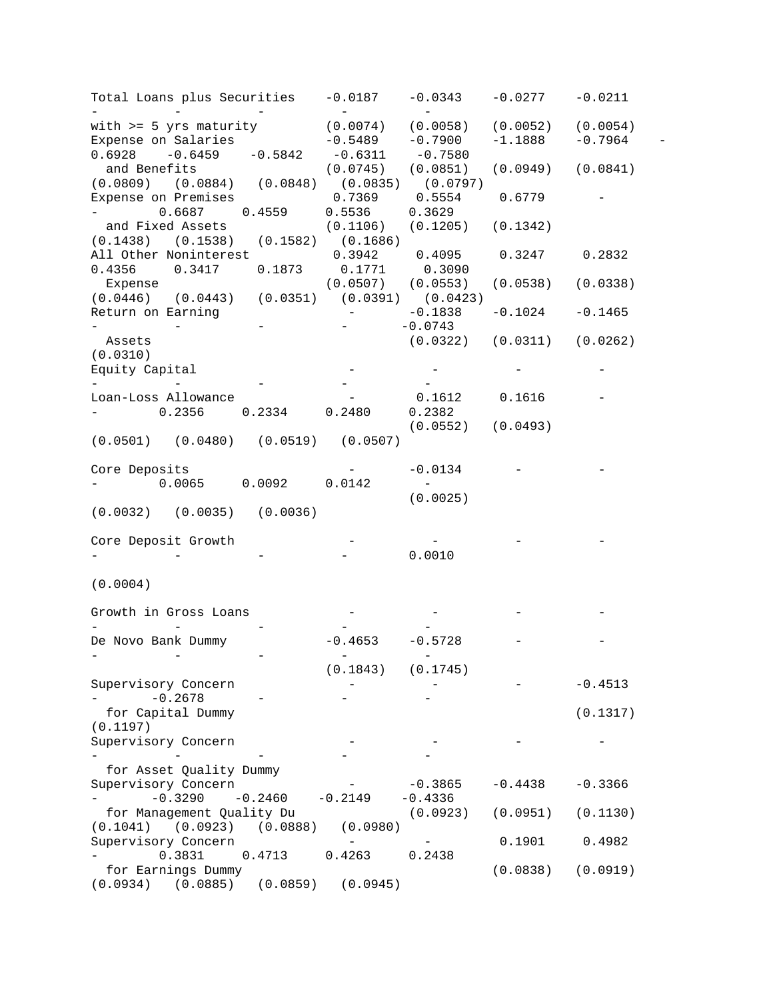- - - and Benefits - -0.1838 -0.1024 -0.1465 Assets - - - - - - - - - - - - - - -  $-0.2678$   $-$  for Capital Dummy - - - for Asset Quality Dummy - - -0.3290 -0.2460 -0.2149 -0.4336 - 0.3831 0.4713 0.4263 0.2438 for Earnings Dummy Total Loans plus Securities with >= 5 yrs maturity Expense on Salaries  $0.6928 -0.6459 -0.5842$ (0.0809) (0.0884) (0.0848) (0.0835) (0.0797) Expense on Premises - 0.6687 0.4559 and Fixed Assets (0.1438) (0.1538) (0.1582) (0.1686) All Other Noninterest 0.4356 0.3417 0.1873 Expense (0.0446) (0.0443) (0.0351) (0.0391) (0.0423) Return on Earning - - - (0.0310) Equity Capital Loan-Loss Allowance - 0.2356 0.2334 0.2480 0.2382 (0.0501) (0.0480) (0.0519) (0.0507) Core Deposits - 0.0065 0.0092 (0.0032) (0.0035) (0.0036) Core Deposit Growth (0.0004) Growth in Gross Loans De Novo Bank Dummy Supervisory Concern (0.1197) Supervisory Concern Supervisory Concern for Management Quality Du (0.1041) (0.0923) (0.0888) Supervisory Concern (0.0934) (0.0885) (0.0859) (0.0945) -0.0187 - (0.0074) -0.5489 -0.6311 (0.0745) (0.0851) (0.0949) (0.0841) 0.7369 0.5536 (0.1106) 0.3942 0.1771 (0.0507) (0.0553) (0.0538) (0.0338) - - - - - 0.0142 - - - -0.4653 - (0.1843) - 100 million - - - (0.0980) - - -0.0343 - (0.0058) -0.7900 -0.7580 0.5554 0.3629 (0.1205) 0.4095 0.3090 -0.0743 (0.0322) (0.0311) (0.0262) - - 0.1612 (0.0552) (0.0493) -0.0134 (0.0025) - 0.0010 - -0.5728 - (0.1745) - 100 minutes - - - -0.3865 -0.4438 -0.3366 (0.0923) (0.0951) (0.1130) -0.0277 (0.0052) -1.1888 0.6779 (0.1342) 0.3247 0.2832 - 0.1616 - -0.0211 (0.0054)  $-0.7964 -$ - - - - - - -- - - - - -  $-$ - 12 - 12 - 12 - 12 - 12 - 12 - 12 -0.4513 (0.1317) - 0.1901 (0.0838) (0.0919) 0.4982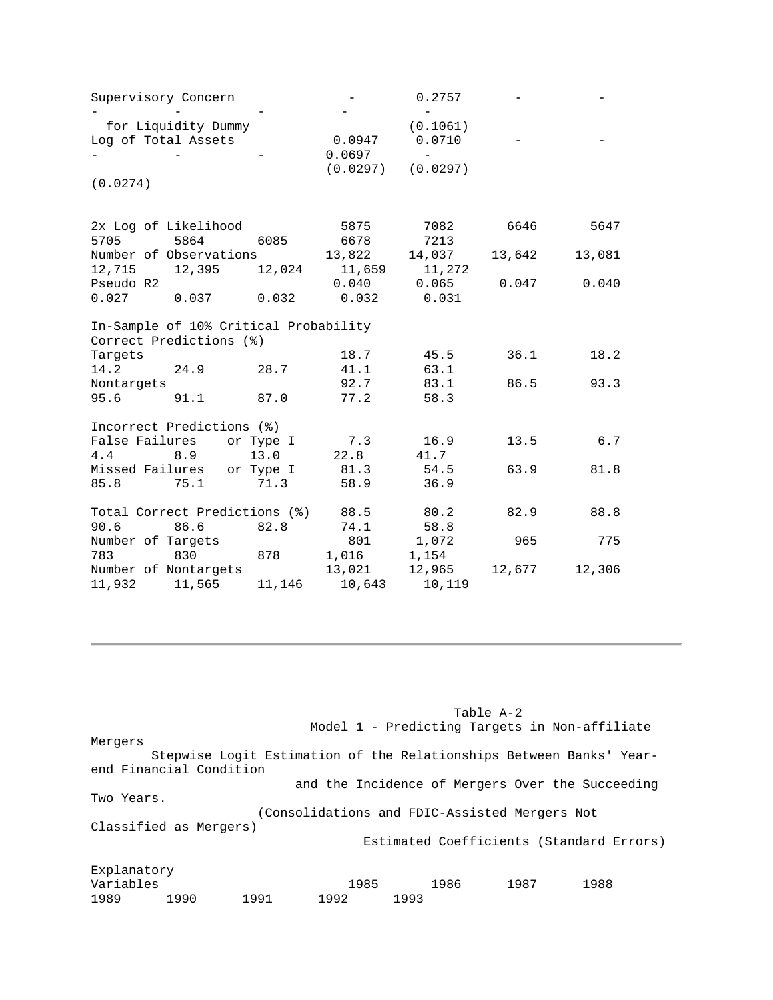| Supervisory Concern                                              |                  | 0.2757   |        |        |
|------------------------------------------------------------------|------------------|----------|--------|--------|
|                                                                  |                  |          |        |        |
| for Liquidity Dummy                                              |                  | (0.1061) |        |        |
| Log of Total Assets                                              | 0.0947           | 0.0710   |        |        |
|                                                                  | 0.0697           |          |        |        |
|                                                                  | (0.0297)         | (0.0297) |        |        |
| (0.0274)                                                         |                  |          |        |        |
| 2x Log of Likelihood                                             | 5875             | 7082     | 6646   | 5647   |
| 5705<br>5864                                                     | 6678<br>6085     | 7213     |        |        |
| Number of Observations                                           | 13,822           | 14,037   | 13,642 | 13,081 |
| 12,715<br>12,395                                                 | 12,024<br>11,659 | 11,272   |        |        |
| Pseudo R2                                                        | 0.040            | 0.065    | 0.047  | 0.040  |
| 0.027<br>0.037<br>0.032                                          | 0.032            | 0.031    |        |        |
| In-Sample of 10% Critical Probability<br>Correct Predictions (%) |                  |          |        |        |
| Targets                                                          | 18.7             | 45.5     | 36.1   | 18.2   |
| 14.2<br>24.9                                                     | 28.7<br>41.1     | 63.1     |        |        |
| Nontargets                                                       | 92.7             | 83.1     | 86.5   | 93.3   |
| 91.1<br>95.6                                                     | 77.2<br>87.0     | 58.3     |        |        |
| Incorrect Predictions (%)                                        |                  |          |        |        |
| False Failures<br>or Type I                                      | 7.3              | 16.9     | 13.5   | 6.7    |
| 4.4<br>13.0<br>8.9                                               | 22.8             | 41.7     |        |        |
| Missed Failures or Type I                                        | 81.3             | 54.5     | 63.9   | 81.8   |
| 85.8<br>75.1                                                     | 71.3<br>58.9     | 36.9     |        |        |
| Total Correct Predictions (%)                                    | 88.5             | 80.2     | 82.9   | 88.8   |
| 90.6<br>86.6                                                     | 82.8<br>74.1     | 58.8     |        |        |
| Number of Targets                                                | 801              | 1,072    | 965    | 775    |
| 783<br>830<br>878                                                | 1,016            | 1,154    |        |        |
| Number of Nontargets                                             | 13,021           | 12,965   | 12,677 | 12,306 |
| 11,932<br>11,565                                                 | 11,146<br>10,643 | 10,119   |        |        |

Model 1 - Predicting Targets in Non-affiliate Mergers Stepwise Logit Estimation of the Relationships Between Banks' Yearend Financial Condition and the Incidence of Mergers Over the Succeeding Two Years. (Consolidations and FDIC-Assisted Mergers Not Classified as Mergers) Estimated Coefficients (Standard Errors) Explanatory Variables 1985 1986 1987 1988

1989 1990 1991 1992 1993

Table A-2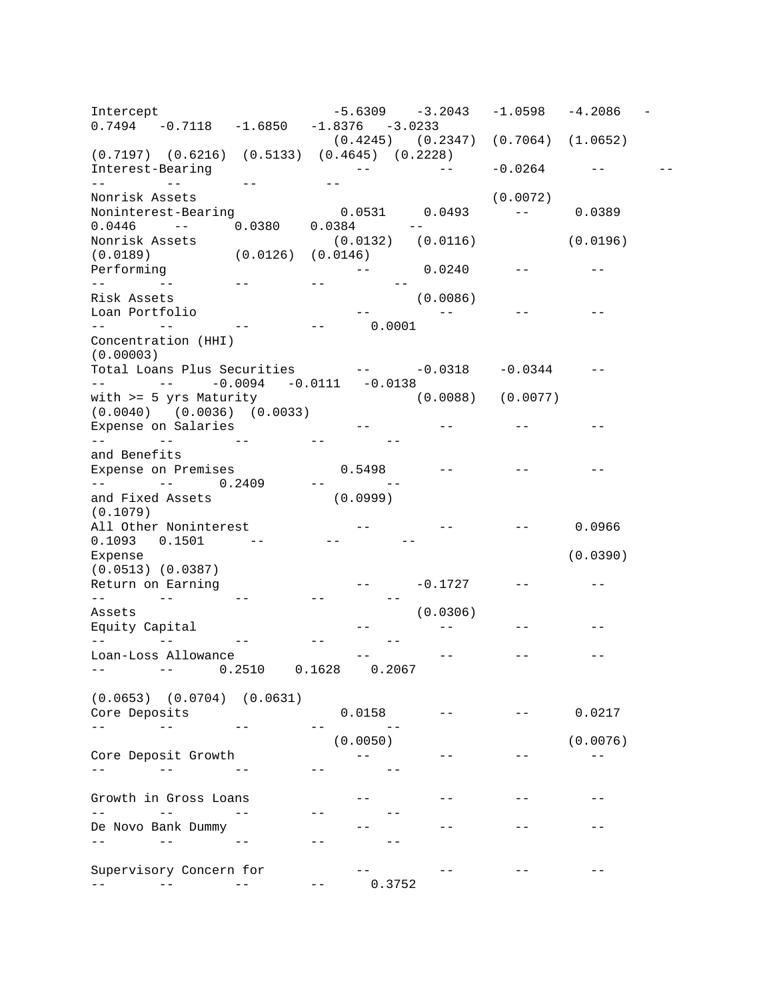$\frac{1}{2} \frac{1}{2} \frac{1}{2} \frac{1}{2} \frac{1}{2} \frac{1}{2} \frac{1}{2} \frac{1}{2} \frac{1}{2} \frac{1}{2} \frac{1}{2} \frac{1}{2} \frac{1}{2} \frac{1}{2} \frac{1}{2} \frac{1}{2} \frac{1}{2} \frac{1}{2} \frac{1}{2} \frac{1}{2} \frac{1}{2} \frac{1}{2} \frac{1}{2} \frac{1}{2} \frac{1}{2} \frac{1}{2} \frac{1}{2} \frac{1}{2} \frac{1}{2} \frac{1}{2} \frac{1}{2} \frac{$  $\mathcal{L}_{\text{max}}$  and  $\mathcal{L}_{\text{max}}$  0.0446 -- 0.0380 0.0384 -- -- --<br>Risk Assets Total Loans Plus Securities  $-0.0318$   $-0.0344$   $-$ -- -- -0.0094 -0.0111 -0.0138  $\begin{array}{cc} -\frac{1}{2} & \mbox{if} \ \frac{1}{2} & \mbox{if} \ \frac{1}{2} & \mbox{if} \ \frac{1}{2} & \mbox{if} \ \frac{1}{2} & \mbox{if} \ \frac{1}{2} & \mbox{if} \ \frac{1}{2} & \mbox{if} \ \frac{1}{2} & \mbox{if} \ \frac{1}{2} & \mbox{if} \ \frac{1}{2} & \mbox{if} \ \frac{1}{2} & \mbox{if} \ \frac{1}{2} & \mbox{if} \ \frac{1}{2} & \mbox{if} \ \frac{1}{2} & \mbox{if} \ \frac$  -- -- -- -- - and the company of the company of 0.1093 0.1501 -- -- -  $\begin{array}{cc} -\frac{1}{2} & \mbox{}\\ \mbox{}\\ \end{array}$  -- -- -- -- -- -- -- -- -- --  $\sim$   $\sim$  -- -- 0.2510 0.1628 0.2067 Core Deposits (and the core of  $\sim$  0.0158 --  $\sim$  --  $\sim$  0.0217 -- -- -- -- --  $\begin{array}{c} \begin{array}{c} -\frac{1}{2} \\ \frac{1}{2} \end{array} \\ \begin{array}{c} \frac{1}{2} \end{array} \end{array}$  -- -- -- -- -- -- -- -- -- -- -- -- -- -- -- 0.3752 -- -- -- -- -- -- -- -- -- -- -- -- -- -- Intercept -5.6309 -3.2043 -1.0598 -4.2086 0.7494 -0.7118 -1.6850 -1.8376 -3.0233 (0.4245) (0.2347) (0.7064) (1.0652)  $(0.7197)$   $(0.6216)$   $(0.5133)$   $(0.4645)$   $(0.2228)$ <br>Interest-Bearing --Interest-Bearing -- -- -0.0264 -- -- Nonrisk Assets (0.0072) Noninterest-Bearing 0.0531 0.0493 -- 0.0389 Nonrisk Assets (0.0132) (0.0116) (0.0196) (0.0189) (0.0126) (0.0146) Performing  $--$  0.0240  $--$ Risk Assets (0.0086) Loan Portfolio -- -- -- - -- -- -- -- -- 0.0001 Concentration (HHI) (0.00003) with >= 5 yrs Maturity (0.0088) (0.0077)  $(0.0040)$   $(0.0036)$   $(0.0033)$ Expense on Salaries -- -- -- and Benefits<br>Expense on Premises Expense on Premises  $0.5498$  --  $-$  --  $-$  --  $-$ -- -- 0.2409 -- and Fixed Assets (0.0999) (0.1079)<br>All Other Noninterest  $-$  --  $-$  --  $-$  0.0966 Expense (0.0390) (0.0513) (0.0387) Return on Earning  $-$ Assets (0.0306)<br>Equity Capital (0.0306) Equity Capital and the set of the set of the set of the set of the set of the set of the set of the set of the Loan-Loss Allowance  $\qquad \qquad \qquad \text{---} \qquad \qquad \text{---} \qquad \qquad \text{---} \qquad \qquad \text{---}$ (0.0653) (0.0704) (0.0631)  $(0.0050)$  (0.0076) Core Deposit Growth<br>-- -- -- -- -- -- --Growth in Gross Loans -- -- -- - De Novo Bank Dummy -- -- -- -- -- -- -- -- --Supervisory Concern for  $-$  --  $-$  --  $-$  --  $-$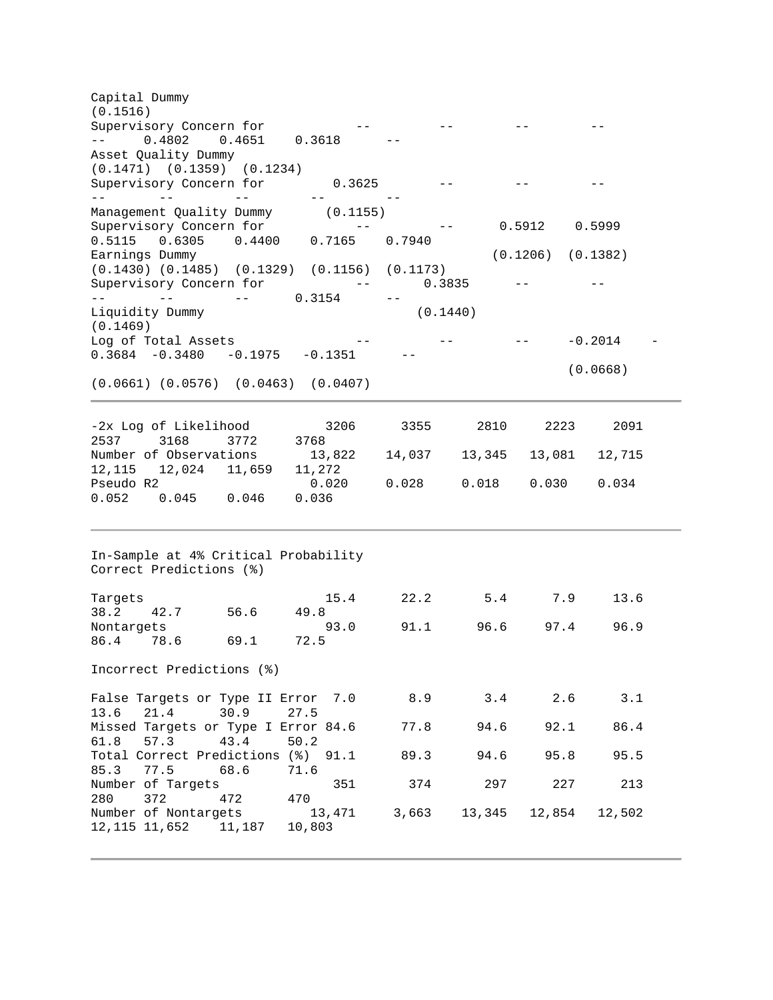Supervisory Concern for  $-$  -- 0.4802 0.4651 0.3618 - -- -- -- -- --  $\mathcal{L}_{\text{max}}$  and  $\mathcal{L}_{\text{max}}$  . The set of  $\mathcal{L}_{\text{max}}$ and the company of the company of -- -- -- 0.3154 - Nontargets 93.0 91.1 96.6 97.4 96.9 Capital Dummy (0.1516) Asset Quality Dummy (0.1471) (0.1359) (0.1234) Supervisory Concern for  $0.3625$  -- -- -- -- --Management Quality Dummy (0.1155) Supervisory Concern for  $\qquad \qquad -- \qquad \qquad 0.5912 \qquad 0.5999$ 0.5115 0.6305 0.4400 0.7165 0.7940<br>Earnings Dummy  $(0.1206)$   $(0.1382)$ (0.1430) (0.1485) (0.1329) (0.1156) (0.1173) Supervisory Concern for  $--$  0.3835 --Liquidity Dummy (0.1440) (0.1469) Log of Total Assets  $--$  --  $--$  -- -0.2014 -<br>0.3684 -0.3480 -0.1975 -0.1351 -- $0.3684$   $-0.3480$   $-0.1975$   $-0.1351$   $-0.1351$ (0.0668) (0.0661) (0.0576) (0.0463) (0.0407) -2x Log of Likelihood 3206 3355 2810 2223 2091 2537 3168 3772 3768 Number of Observations 13,822 14,037 13,345 13,081 12,715 12,115 12,024 11,659 11,272<br>Pseudo R2 0.020 Pseudo R2 0.020 0.028 0.018 0.030 0.034 0.052 0.045 0.046 0.036 In-Sample at 4% Critical Probability Correct Predictions (%) Targets 15.4 22.2 5.4 7.9 13.6<br>38.2 42.7 56.6 49.8 38.2 42.7 56.6 49.8 86.4 78.6 69.1 72.5 Incorrect Predictions (%) False Targets or Type II Error 7.0 8.9 3.4 2.6 3.1 13.6 21.4 30.9 27.5<br>Missed Targets or Type I Error 84.6 77.8 94.6 92.1 86.4 61.8 57.3 43.4 50.2 Total Correct Predictions (%) 91.1 89.3 94.6 95.8 95.5 85.3 77.5 68.6 71.6 Number of Targets 351 374 297 227 213 280 372 472 470<br>Number of Nontargets 13,471 3,663 13,345 12,854 12,502 12,115 11,652 11,187 10,803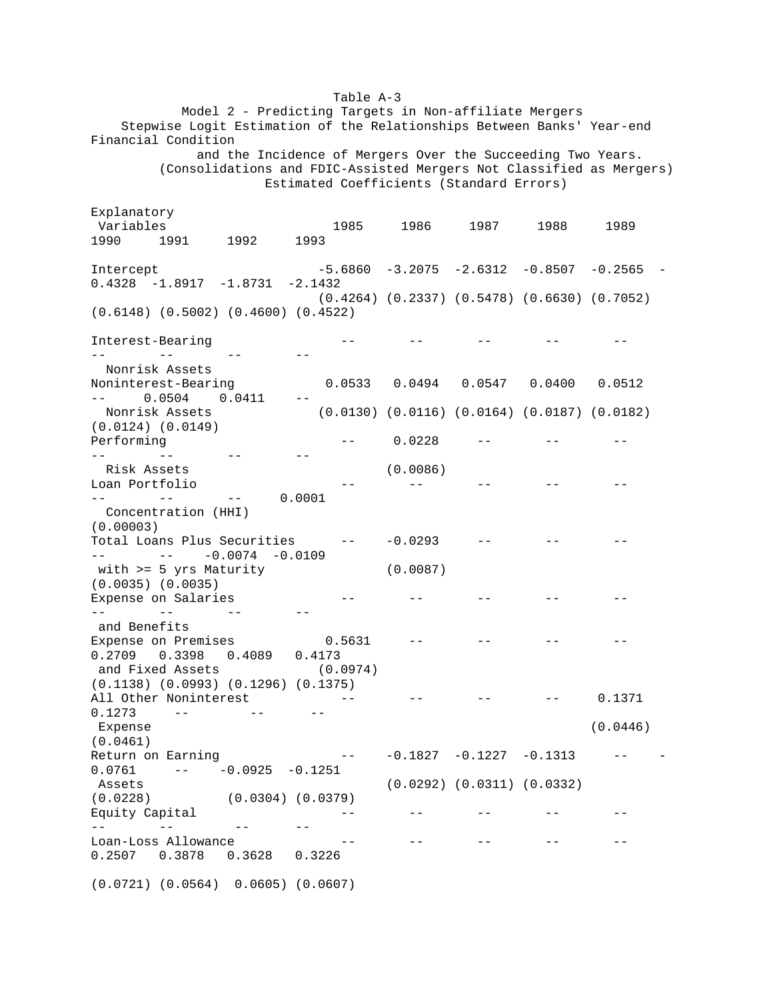Model 2 - Predicting Targets in Non-affiliate Mergers Stepwise Logit Estimation of the Relationships Between Banks' Year-end Financial Condition and the Incidence of Mergers Over the Succeeding Two Years. (Consolidations and FDIC-Assisted Mergers Not Classified as Mergers) Estimated Coefficients (Standard Errors)

Interest-Bearing and the set of the set of the set of the set of the set of the set of the set of the set of t -- -- -- -- Nonrisk Assets  $\sim$   $-$ -- - - - - - - - - - - - Risk Assets Total Loans Plus Securities - -0.0293 - - -  $-- -- -0.0074$   $-0.0109$  - -- - - - - - - - - - - - -0.5631 -- -- -- -- --**Service State**  - -0.1827 -0.1227 -0.1313 - - 0.0761 - -0.0925 -0.1251  $\gamma \rightarrow -$  -- -- -- --  $- -$ Explanatory Variables 1985 1986 1987 1988 1989 1990 1991 1992 1993 Intercept -5.6860 -3.2075 -2.6312 -0.8507 -0.2565 -0.4328 -1.8917 -1.8731 -2.1432 (0.4264) (0.2337) (0.5478) (0.6630) (0.7052) (0.6148) (0.5002) (0.4600) (0.4522) Noninterest-Bearing 0.0533 0.0494 0.0547 0.0400 0.0512 -- 0.0504 0.0411 -- Nonrisk Assets (0.0130) (0.0116) (0.0164) (0.0187) (0.0182) (0.0124) (0.0149) Performing  $0.0228$  -- -- -- --Loan Portfolio - (0.0086) -- - - - - - - - - - -- - - 0.0001 Concentration (HHI) (0.00003) with >= 5 yrs Maturity (0.0035) (0.0035) Expense on Salaries (0.0087) -- - - - - - - - - - - and Benefits Expense on Premises 0.2709 0.3398 0.4089 0.4173 and Fixed Assets (0.0974) (0.1138) (0.0993) (0.1296) (0.1375) All Other Noninterest -- -- -- -- -- 0.1371<br>0.1273 -- -- -- -- --0.1273 - - - Expense (0.0461) Return on Earning (0.0446) Assets (0.0292) (0.0311) (0.0332)<br>(0.0228) (0.0304) (0.0379) (0.0228) (0.0304) (0.0379) Equity Capital  $-$  -- -- -- --Loan-Loss Allowance -- -- -- -- - 0.2507 0.3878 0.3628 0.3226 (0.0721) (0.0564) 0.0605) (0.0607)

Table A-3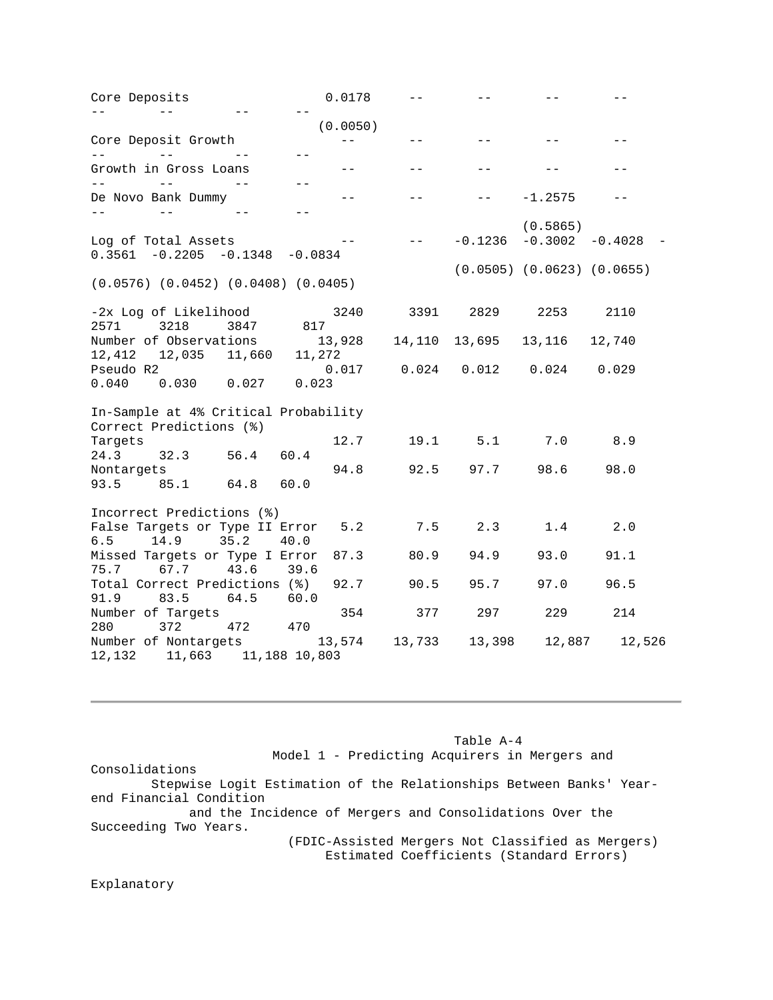| Core Deposits                                           | 0.0178           |          |               |           |                                  |        |
|---------------------------------------------------------|------------------|----------|---------------|-----------|----------------------------------|--------|
|                                                         |                  | (0.0050) |               |           |                                  |        |
| Core Deposit Growth                                     |                  | $ -$     | $- -$         |           |                                  |        |
| $- -$<br>Growth in Gross Loans                          | $- -$            | $- -$    | $- -$         |           |                                  |        |
| $- -$<br>$- -$<br>$- -$<br>De Novo Bank Dummy<br>$- -$  | $- -$            |          |               |           | $-1.2575$                        |        |
| Log of Total Assets<br>$0.3561 - 0.2205 - 0.1348$       | $-0.0834$        |          | $- -$         | $-0.1236$ | (0.5865)<br>$-0.3002 - 0.4028$   |        |
| $(0.0576)$ $(0.0452)$ $(0.0408)$ $(0.0405)$             |                  |          |               |           | $(0.0505)$ $(0.0623)$ $(0.0655)$ |        |
| -2x Log of Likelihood<br>2571<br>3218<br>3847           | 817              | 3240     | 3391 2829     |           | 2253                             | 2110   |
| Number of Observations<br>12,412  12,035  11,660        | 13,928<br>11,272 |          | 14,110 13,695 |           | 13, 116 12, 740                  |        |
| Pseudo R2<br>0.027<br>0.040<br>0.030                    | 0.017<br>0.023   |          |               |           | $0.024$ $0.012$ $0.024$          | 0.029  |
| In-Sample at 4% Critical Probability                    |                  |          |               |           |                                  |        |
| Correct Predictions (%)<br>Targets                      |                  | 12.7     | 19.1          | 5.1       | 7.0                              | 8.9    |
| 24.3<br>32.3<br>56.4<br>Nontargets                      | 60.4             | 94.8     | 92.5          | 97.7      | 98.6                             | 98.0   |
| 93.5 85.1<br>64.8<br>Incorrect Predictions (%)          | 60.0             |          |               |           |                                  |        |
| False Targets or Type II Error<br>6.5<br>14.9<br>35.2   | 40.0             | 5.2      | $7.5$ 2.3     |           | 1.4                              | 2.0    |
| Missed Targets or Type I Error<br>75.7<br>67.7<br>43.6  | 39.6             | 87.3     | 80.9          | 94.9      | 93.0                             | 91.1   |
| Total Correct Predictions (%)<br>83.5<br>91.9<br>64.5   | 60.0             | 92.7     | 90.5          | 95.7      | 97.0                             | 96.5   |
| Number of Targets<br>280<br>372<br>472                  | 470              | 354      | 377           | 297       | 229                              | 214    |
| Number of Nontargets<br>12, 132 11, 663 11, 188 10, 803 | 13,574           |          | 13,733        | 13,398    | 12,887                           | 12,526 |

Table A-4 Model 1 - Predicting Acquirers in Mergers and Consolidations Stepwise Logit Estimation of the Relationships Between Banks' Yearend Financial Condition and the Incidence of Mergers and Consolidations Over the Succeeding Two Years. (FDIC-Assisted Mergers Not Classified as Mergers) Estimated Coefficients (Standard Errors)

Explanatory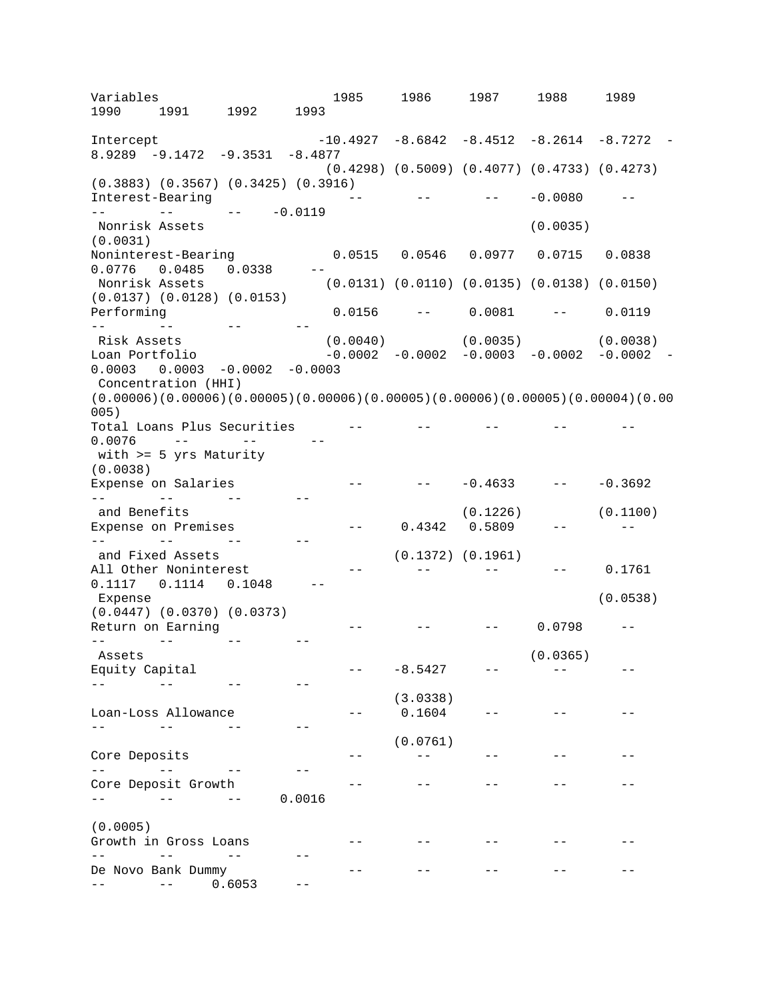$\mathcal{L}^{\mathcal{L}}$  and  $\mathcal{L}^{\mathcal{L}}$  $- -$  Performing 0.0156 -- 0.0081 -- 0.0119 -- --<br>Risk Assets  $\sim$   $\sim$   $-$ 0.0076 -- -- -- -- $- -0.4633$   $- -0.3692$  -- -- -- --  $\frac{1}{2}$  and  $\frac{1}{2}$  -- -- -- --  $\gamma \to -\gamma$  $-$  - -8.5427 - -- - - - - - - - - - - - $\omega = 1$ -- - - - - - - - - - - - - -- - - - - - - - - - - - - - - - 0.0016  $-$ -- - - - - - - - - - - - $\frac{1}{2}$  and  $\frac{1}{2}$  $\Delta \Delta \Delta \Delta \Delta \Delta \Delta \Delta$ -- -- -- -- Variables 1985 1986 1987 1988 1989 1990 1991 1992 1993 Intercept -10.4927 -8.6842 -8.4512 -8.2614 -8.7272 -8.9289 -9.1472 -9.3531 -8.4877 (0.4298) (0.5009) (0.4077) (0.4733) (0.4273) (0.3883) (0.3567) (0.3425) (0.3916)  $-0.0080$   $- - -0.0119$ Nonrisk Assets (0.0035) (0.0031)  $0.0515$  0.0546 0.0977 0.0715 0.0838 0.0776 0.0485 0.0338 --  $(0.0131)$   $(0.0110)$   $(0.0135)$   $(0.0138)$   $(0.0150)$ (0.0137) (0.0128) (0.0153) Risk Assets (0.0040) (0.0035) (0.0038) Loan Portfolio -0.0002 -0.0002 -0.0003 -0.0002 -0.0002  $0.0003$   $0.0003$   $-0.0002$   $-0.0003$ Concentration (HHI) (0.00006)(0.00006)(0.00005)(0.00006)(0.00005)(0.00006)(0.00005)(0.00004)(0.00 005) Total Loans Plus Securities -- -- -- -with >= 5 yrs Maturity (0.0038)<br>Expense on Salaries Expense on Salaries  $-0.4633$   $-0.3692$ --<br>
and Benefits (0.1100)<br>
Expense on Premises -- 0.4342 0.5809 -- -- $0.4342$   $0.5809$  -and Fixed Assets (0.1372) (0.1961)<br>All Other Noninterest -- -- -- --All Other Noninterest -- -- -- -- -- 0.1761<br>0.1117 0.1114 0.1048 --0.1117 0.1114 0.1048<br>Expense Expense (0.0538) (0.0447) (0.0370) (0.0373) Return on Earning - - - -  $- --$  0.0798  $--$ Assets Equity Capital (0.0365) - - Loan-Loss Allowance (3.0338) 0.1604 - - - Core Deposits (0.0761) -- - - - - - - - - - -Core Deposit Growth - - - - - (0.0005) Growth in Gross Loans  $-$ De Novo Bank Dummy  $--$  0.6053  $--$ - - - - -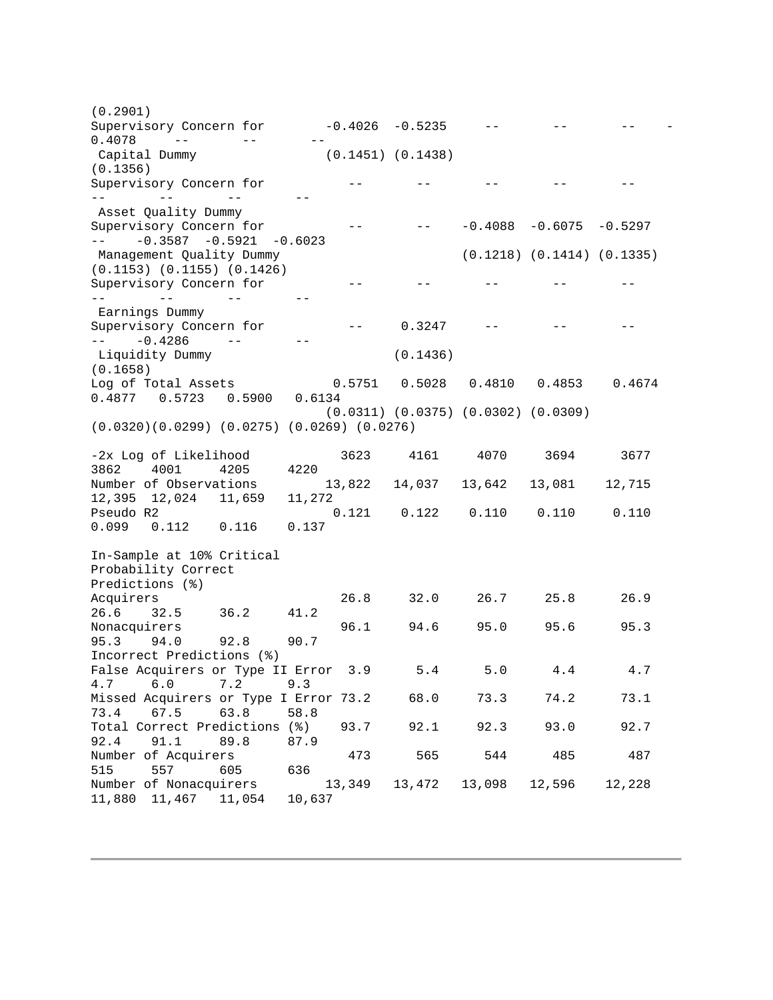Supervisory Concern for  $-0.4026$   $-0.5235$  -- -- -- -- --0.4078 -- -- -- -- $-$  -- -- -- --  $-$  -- -0.3587 -0.5921 -0.6023  $\frac{1}{2} \frac{1}{2} \frac{1}{2} \frac{1}{2} \frac{1}{2} \frac{1}{2} \frac{1}{2} \frac{1}{2} \frac{1}{2} \frac{1}{2} \frac{1}{2} \frac{1}{2} \frac{1}{2} \frac{1}{2} \frac{1}{2} \frac{1}{2} \frac{1}{2} \frac{1}{2} \frac{1}{2} \frac{1}{2} \frac{1}{2} \frac{1}{2} \frac{1}{2} \frac{1}{2} \frac{1}{2} \frac{1}{2} \frac{1}{2} \frac{1}{2} \frac{1}{2} \frac{1}{2} \frac{1}{2} \frac{$  -- -- -- --  $-- -0.4286$  Number of Nonacquirers 13,349 13,472 13,098 12,596 12,228 (0.2901) Capital Dummy (0.1451) (0.1438) (0.1356) Supervisory Concern for  $-$ Asset Quality Dummy<br>Supervisory Concern for  $S = -0.4088 -0.6075 -0.5297$ Management Quality Dummy (0.1218) (0.1414) (0.1335) (0.1153) (0.1155) (0.1426) Supervisory Concern for  $-$ Earnings Dummy Supervisory Concern for  $-$  0.3247  $-$  -0.4286  $-$ Liquidity Dummy (0.1436) (0.1658)<br>Log of Total Assets Log of Total Assets 0.5751 0.5028 0.4810 0.4853 0.4674 0.4877 0.5723 0.5900 0.6134 (0.0311) (0.0375) (0.0302) (0.0309) (0.0320)(0.0299) (0.0275) (0.0269) (0.0276) -2x Log of Likelihood 3623 4161 4070 3694 3677 3862 4001 4205<br>Number of Observations 13,822 14,037 13,642 13,081 12,715 12,395 12,024 11,659 11,272  $0.121$   $0.122$   $0.110$   $0.110$   $0.110$ 0.099 0.112 0.116 0.137 In-Sample at 10% Critical Probability Correct Predictions (%)<br>Acquirers Acquirers 26.8 32.0 26.7 25.8 26.9 26.6 32.5 36.2 41.2<br>Nonacquirers Nonacquirers 96.1 94.6 95.0 95.6 95.3<br>95.3 94.0 92.8 90.7 95.3 94.0 92.8 90.7 Incorrect Predictions (%) False Acquirers or Type II Error 3.9 5.4 5.0 4.4 4.7 4.7 6.0 7.2 9.3 Missed Acquirers or Type I Error 73.2 68.0 73.3 74.2 73.1 73.4 67.5 63.8 58.8 Total Correct Predictions (%) 93.7 92.1 92.3 93.0 92.7 92.4 91.1 89.8 87.9 Number of Acquirers 473 565 544 485 487 515 557 605<br>Number of Nonacquirers 11,880 11,467 11,054 10,637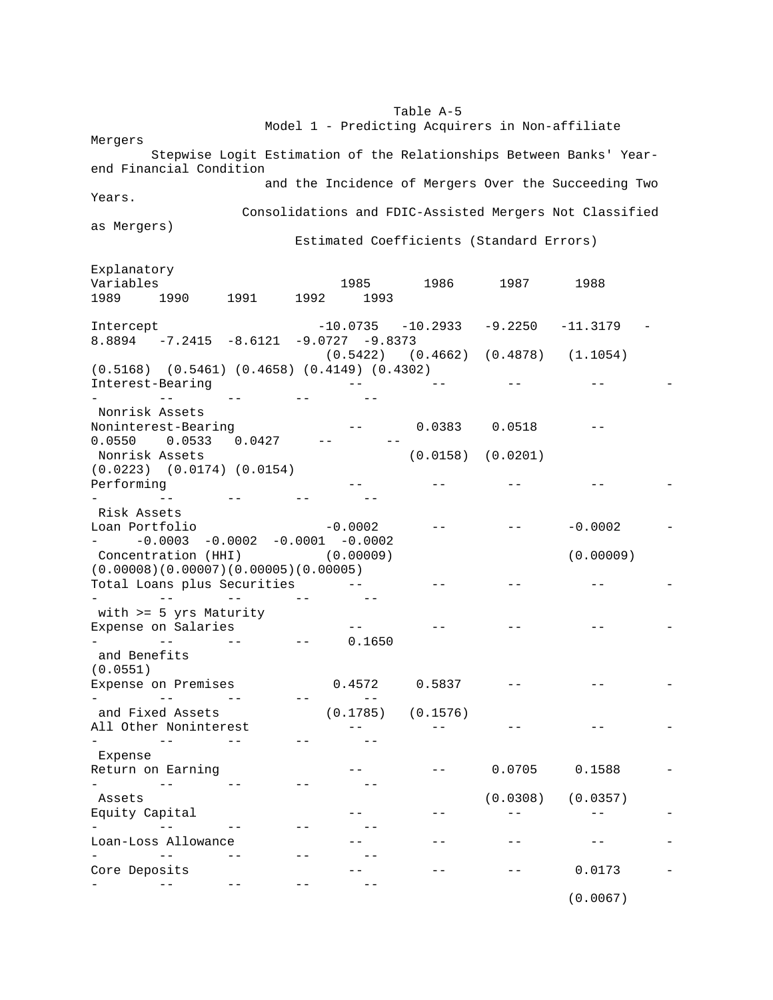#### Table A-5

Model 1 - Predicting Acquirers in Non-affiliate

Mergers Stepwise Logit Estimation of the Relationships Between Banks' Yearend Financial Condition and the Incidence of Mergers Over the Succeeding Two Years. Consolidations and FDIC-Assisted Mergers Not Classified as Mergers)

Explanatory

Estimated Coefficients (Standard Errors)

| Variables                                                                                                       |      | 1985                  | 1986     | 1987     | 1988                  |  |
|-----------------------------------------------------------------------------------------------------------------|------|-----------------------|----------|----------|-----------------------|--|
| 1989<br>1991<br>1990                                                                                            | 1992 | 1993                  |          |          |                       |  |
| Intercept<br>$8.8894$ -7.2415 -8.6121 -9.0727 -9.8373                                                           |      | $-10.0735 - 10.2933$  |          | -9.2250  | $-11.3179$            |  |
|                                                                                                                 |      | $(0.5422)$ $(0.4662)$ |          |          | $(0.4878)$ $(1.1054)$ |  |
| $(0.5168)$ $(0.5461)$ $(0.4658)$ $(0.4149)$ $(0.4302)$<br>Interest-Bearing                                      |      |                       |          |          |                       |  |
|                                                                                                                 |      |                       |          |          |                       |  |
| Nonrisk Assets<br>Noninterest-Bearing                                                                           |      |                       | 0.0383   | 0.0518   |                       |  |
| $0.0550$ $0.0533$<br>0.0427<br>Nonrisk Assets                                                                   |      |                       | (0.0158) | (0.0201) |                       |  |
| $(0.0223)$ $(0.0174)$ $(0.0154)$<br>Performing                                                                  |      |                       |          |          |                       |  |
|                                                                                                                 |      |                       |          |          |                       |  |
| Risk Assets<br>Loan Portfolio                                                                                   |      | $-0.0002$             |          |          | $-0.0002$             |  |
| $-0.0003 -0.0002 -0.0001 -0.0002$<br>$\frac{1}{2}$ and $\frac{1}{2}$ . The $\frac{1}{2}$<br>Concentration (HHI) |      | (0.00009)             |          |          | (0.00009)             |  |
| (0.00008)(0.00007)(0.00005)(0.00005)<br>Total Loans plus Securities                                             |      |                       |          |          |                       |  |
| with $>= 5$ yrs Maturity                                                                                        |      |                       |          |          |                       |  |
| Expense on Salaries                                                                                             |      |                       |          |          |                       |  |
| $=$ $-$<br>and Benefits                                                                                         |      | 0.1650                |          |          |                       |  |
| (0.0551)                                                                                                        |      |                       |          |          |                       |  |
| Expense on Premises                                                                                             |      | 0.4572                | 0.5837   |          |                       |  |
| and Fixed Assets                                                                                                |      | (0.1785)              | (0.1576) |          |                       |  |
| All Other Noninterest                                                                                           |      |                       |          |          |                       |  |
|                                                                                                                 |      |                       |          |          |                       |  |
| Expense                                                                                                         |      |                       |          |          |                       |  |
| Return on Earning                                                                                               |      |                       |          | 0.0705   | 0.1588                |  |
| $ -$                                                                                                            |      |                       |          |          |                       |  |
| Assets                                                                                                          |      |                       |          | (0.0308) | (0.0357)              |  |
| Equity Capital                                                                                                  |      |                       |          |          |                       |  |
| Loan-Loss Allowance                                                                                             |      |                       |          |          |                       |  |
|                                                                                                                 |      |                       |          |          |                       |  |
| Core Deposits                                                                                                   |      |                       |          |          | 0.0173                |  |
|                                                                                                                 |      |                       |          |          | (0.0067)              |  |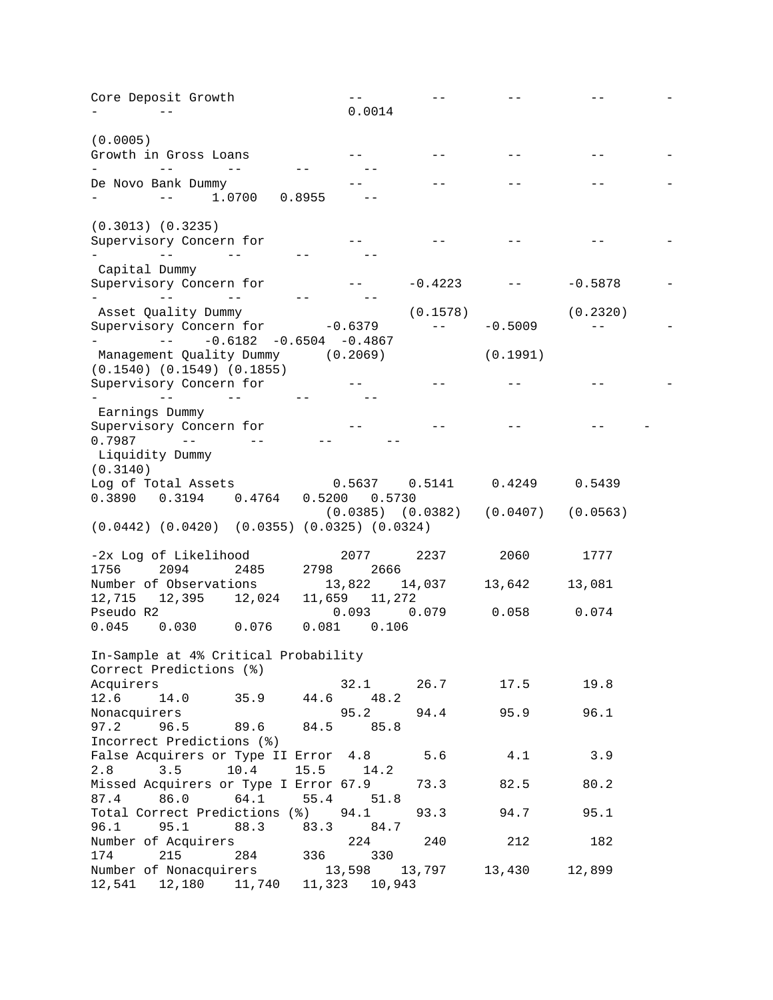| Core Deposit Growth                                                                                 |                        |           |                                             |           |  |
|-----------------------------------------------------------------------------------------------------|------------------------|-----------|---------------------------------------------|-----------|--|
|                                                                                                     | 0.0014                 |           |                                             |           |  |
|                                                                                                     |                        |           |                                             |           |  |
| (0.0005)                                                                                            |                        |           |                                             |           |  |
| Growth in Gross Loans                                                                               |                        |           |                                             |           |  |
|                                                                                                     |                        |           |                                             |           |  |
| De Novo Bank Dummy<br>1.0700<br>0.8955<br>$- -$                                                     |                        |           |                                             |           |  |
|                                                                                                     |                        |           |                                             |           |  |
| $(0.3013)$ $(0.3235)$                                                                               |                        |           |                                             |           |  |
| Supervisory Concern for                                                                             |                        |           |                                             |           |  |
| $ -$                                                                                                |                        |           |                                             |           |  |
| Capital Dummy                                                                                       |                        |           |                                             |           |  |
| Supervisory Concern for                                                                             |                        | $-0.4223$ |                                             | $-0.5878$ |  |
| and the contract of the contract of the                                                             |                        |           |                                             |           |  |
| Asset Quality Dummy                                                                                 |                        | (0.1578)  |                                             | (0.2320)  |  |
| Supervisory Concern for -0.6379                                                                     |                        | $- -$     | $-0.5009$                                   | $- -$     |  |
| $-0.6182 - 0.6504 - 0.4867$<br>where the contract of the second                                     |                        |           |                                             |           |  |
| Management Quality Dummy (0.2069)                                                                   |                        |           | (0.1991)                                    |           |  |
| $(0.1540)$ $(0.1549)$ $(0.1855)$                                                                    |                        |           |                                             |           |  |
| Supervisory Concern for                                                                             |                        |           |                                             |           |  |
| $\mathbf{r} = \mathbf{r} \times \mathbf{r}$ and $\mathbf{r} = \mathbf{r} \times \mathbf{r}$<br>$ -$ |                        |           |                                             |           |  |
| Earnings Dummy                                                                                      |                        |           |                                             |           |  |
| Supervisory Concern for                                                                             |                        |           |                                             |           |  |
| $0.7987 - -$<br>$- -$                                                                               |                        |           |                                             |           |  |
| Liquidity Dummy                                                                                     |                        |           |                                             |           |  |
| (0.3140)                                                                                            |                        |           |                                             |           |  |
| Log of Total Assets                                                                                 |                        |           | $0.5637$ $0.5141$ $0.4249$ $0.5439$         |           |  |
| 0.3890  0.3194  0.4764  0.5200  0.5730                                                              |                        |           |                                             |           |  |
|                                                                                                     |                        |           | $(0.0385)$ $(0.0382)$ $(0.0407)$ $(0.0563)$ |           |  |
| $(0.0442)$ $(0.0420)$ $(0.0355)$ $(0.0325)$ $(0.0324)$                                              |                        |           |                                             |           |  |
|                                                                                                     |                        |           |                                             |           |  |
| -2x Log of Likelihood                                                                               | 2077                   | 2237      | 2060                                        | 1777      |  |
| 1756<br>2094<br>2485<br>2798                                                                        | 2666                   |           |                                             |           |  |
| Number of Observations                                                                              | 13,822                 | 14,037    | 13,642                                      | 13,081    |  |
| 12,715 12,395 12,024<br>Pseudo R2                                                                   | 11,659 11,272<br>0.093 | 0.079     | 0.058                                       | 0.074     |  |
| 0.045<br>$0.030$ $0.076$                                                                            | $0.081$ $0.106$        |           |                                             |           |  |
|                                                                                                     |                        |           |                                             |           |  |
| In-Sample at 4% Critical Probability                                                                |                        |           |                                             |           |  |
| Correct Predictions (%)                                                                             |                        |           |                                             |           |  |
| Acquirers                                                                                           |                        |           | $32.1$ $26.7$ $17.5$                        | 19.8      |  |
| 12.6 14.0 35.9 44.6 48.2                                                                            |                        |           |                                             |           |  |
| Nonacquirers                                                                                        | 95.2                   |           | 94.4 95.9                                   | 96.1      |  |
| $97.2$ $96.5$ $89.6$ $84.5$ $85.8$                                                                  |                        |           |                                             |           |  |
| Incorrect Predictions (%)                                                                           |                        |           |                                             |           |  |
| False Acquirers or Type II Error 4.8 5.6                                                            |                        |           | 4.1                                         | 3.9       |  |
| 2.8 3.5 10.4 15.5 14.2                                                                              |                        |           |                                             |           |  |
| Missed Acquirers or Type I Error 67.9                                                               |                        | 73.3      | 82.5                                        | 80.2      |  |
| 87.4 86.0 64.1 55.4 51.8                                                                            |                        |           |                                             |           |  |
| Total Correct Predictions (%) 94.1                                                                  |                        | 93.3      | 94.7                                        | 95.1      |  |
| 96.1 95.1 88.3 83.3 84.7                                                                            |                        |           |                                             |           |  |
|                                                                                                     | 224                    | 240       | 212                                         | 182       |  |
| Number of Acquirers 224<br>174 215 284 336 330                                                      |                        |           |                                             |           |  |
| Number of Nonacquirers<br>13,598 13,797 13,430<br>12,541 12,180 11,740 11,323 10,943                |                        |           |                                             | 12,899    |  |
|                                                                                                     |                        |           |                                             |           |  |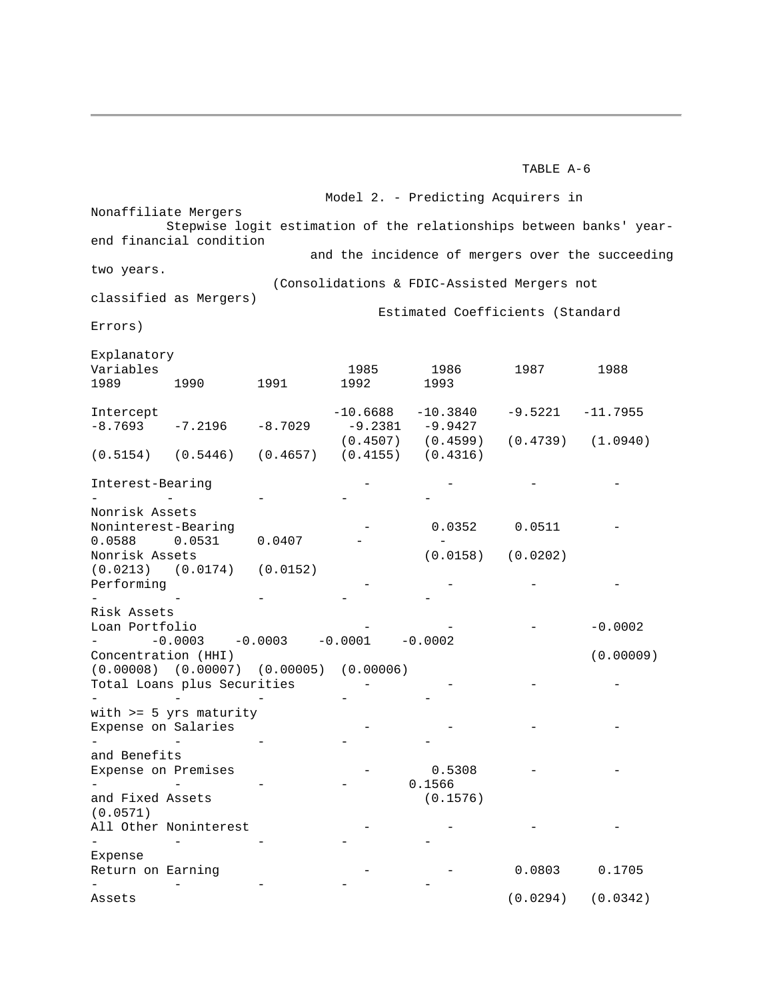#### TABLE A-6

 $\mathbf{r}$  $\sim$ -<br>Assets Model 2. - Predicting Acquirers in Nonaffiliate Mergers Stepwise logit estimation of the relationships between banks' yearend financial condition and the incidence of mergers over the succeeding two years. (Consolidations & FDIC-Assisted Mergers not classified as Mergers) Estimated Coefficients (Standard Errors) Explanatory Variables 1985 1986 1987 1988 1989 1990 1991 1992 1993 Intercept  $-8.7693 -7.2196 -8.7029$  $-10.6688 - 10.3840$ -9.2381 -9.9427  $-9.5221 -11.7955$ (0.5154) (0.5446) (0.4657) (0.4155) (0.4316) (0.4507) (0.4599) (0.4739) (1.0940) Interest-Bearing - - - - - - - - - Nonrisk Assets Noninterest-Bearing 0.0588 0.0531 0.0407 - - 0.0352 0.0511 - - Nonrisk Assets (0.0213) (0.0174) (0.0152) Performing - - - - - (0.0158) (0.0202) - - - - Risk Assets Loan Portfolio - - - -0.0002 - -0.0003 -0.0003 -0.0001 -0.0002 Concentration (HHI) (0.00008) (0.00007) (0.00005) (0.00006) Total Loans plus Securities - - - - - - - - (0.00009) with >= 5 yrs maturity Expense on Salaries - - - - - - - - and Benefits Expense on Premises - - - - - 0.5308 0.1566 - and Fixed Assets (0.0571) All Other Noninterest (0.1576) - - - - - - - - Expense Return on Earning - - - - - - 0.0803 0.1705  $(0.0294)$   $(0.0342)$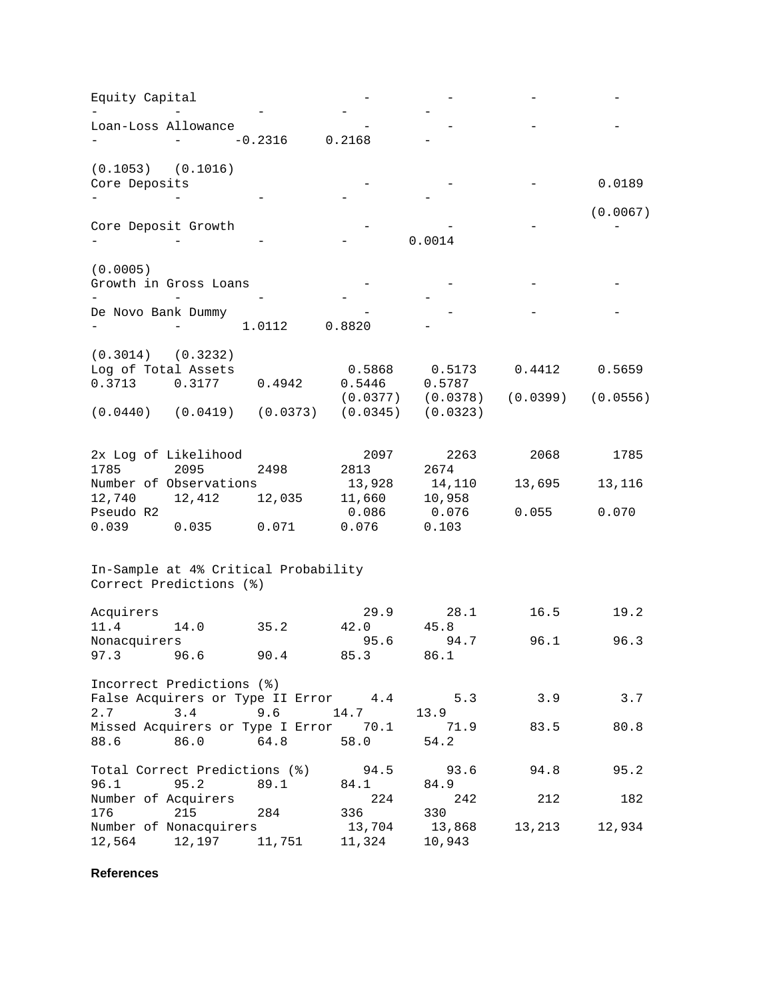| Equity Capital        |                                                                   |           |              |                      |            |          |
|-----------------------|-------------------------------------------------------------------|-----------|--------------|----------------------|------------|----------|
|                       |                                                                   |           |              |                      |            |          |
| Loan-Loss Allowance   |                                                                   |           |              |                      |            |          |
|                       |                                                                   | $-0.2316$ | 0.2168       |                      |            |          |
| (0.1053)              | (0.1016)                                                          |           |              |                      |            |          |
| Core Deposits         |                                                                   |           |              |                      |            | 0.0189   |
|                       |                                                                   |           |              |                      |            |          |
|                       |                                                                   |           |              |                      |            | (0.0067) |
| Core Deposit Growth   |                                                                   |           |              | 0.0014               |            |          |
|                       |                                                                   |           |              |                      |            |          |
| (0.0005)              |                                                                   |           |              |                      |            |          |
|                       | Growth in Gross Loans                                             |           |              |                      |            |          |
|                       |                                                                   |           |              |                      |            |          |
| De Novo Bank Dummy    |                                                                   |           |              |                      |            |          |
|                       |                                                                   | 1.0112    | 0.8820       |                      |            |          |
| (0.3014)              | (0.3232)                                                          |           |              |                      |            |          |
| Log of Total Assets   |                                                                   |           | 0.5868       | 0.5173               | 0.4412     | 0.5659   |
| 0.3713                | 0.3177                                                            | 0.4942    | 0.5446       | 0.5787               |            |          |
|                       |                                                                   |           |              | (0.0377)<br>(0.0378) | (0.0399)   | (0.0556) |
| $(0.0440)$ $(0.0419)$ |                                                                   | (0.0373)  | (0.0345)     | (0.0323)             |            |          |
|                       |                                                                   |           |              |                      |            |          |
|                       | 2x Log of Likelihood                                              |           |              | 2263<br>2097         | 2068       | 1785     |
| 1785                  | 2095                                                              | 2498      | 2813         | 2674                 |            |          |
|                       | Number of Observations                                            |           | 13,928       | 14,110               | 13,695     | 13,116   |
| 12,740                | 12,412                                                            | 12,035    | 11,660       | 10,958               |            |          |
| Pseudo R2             |                                                                   |           | 0.086        | 0.076                | 0.055      | 0.070    |
| 0.039                 | 0.035                                                             | 0.071     | 0.076        | 0.103                |            |          |
|                       |                                                                   |           |              |                      |            |          |
|                       | In-Sample at 4% Critical Probability                              |           |              |                      |            |          |
|                       | Correct Predictions (%)                                           |           |              |                      |            |          |
| Acquirers             |                                                                   |           |              | 29.9<br>28.1         | 16.5       | 19.2     |
| 11.4                  | 14.0                                                              | 35.2      | 42.0         | 45.8                 |            |          |
| Nonacquirers          |                                                                   |           |              | 95.6<br>94.7         | 96.1       | 96.3     |
| 97.3                  | 96.6                                                              | 90.4      | 85.3         | 86.1                 |            |          |
|                       |                                                                   |           |              |                      |            |          |
|                       | Incorrect Predictions (%)<br>False Acquirers or Type II Error 4.4 |           |              |                      | 5.3<br>3.9 | 3.7      |
| 2.7                   | 3.4                                                               | 9.6       | 14.7         | 13.9                 |            |          |
|                       | Missed Acquirers or Type I Error 70.1                             |           |              | 71.9                 | 83.5       | 80.8     |
| 88.6                  | 86.0                                                              | 64.8      | 58.0         | 54.2                 |            |          |
|                       |                                                                   |           |              |                      |            |          |
| 96.1                  | Total Correct Predictions (%)<br>95.2                             | 89.1      | 94.5<br>84.1 | 93.6<br>84.9         | 94.8       | 95.2     |
| Number of Acquirers   |                                                                   |           |              | 224                  | 242<br>212 | 182      |
| 176                   | 215                                                               | 284       | 336          | 330                  |            |          |
|                       | Number of Nonacquirers                                            |           | 13,704       | 13,868               | 13,213     | 12,934   |
| 12,564                | 12,197                                                            | 11,751    | 11,324       | 10,943               |            |          |

**References**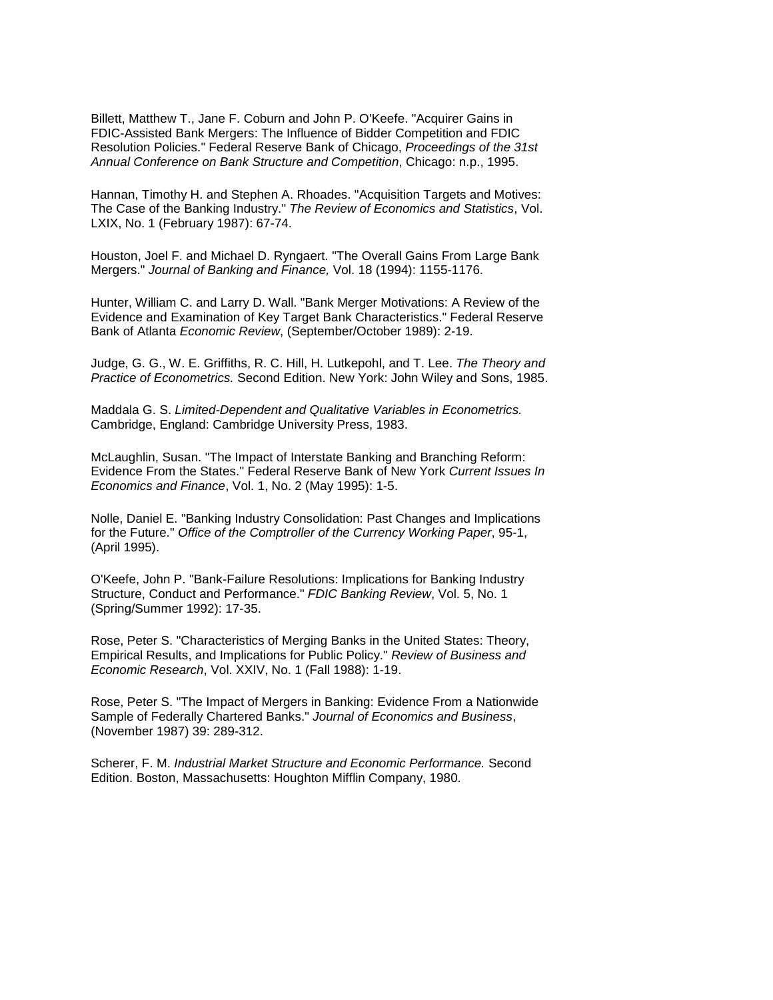Billett, Matthew T., Jane F. Coburn and John P. O'Keefe. "Acquirer Gains in FDIC-Assisted Bank Mergers: The Influence of Bidder Competition and FDIC Resolution Policies." Federal Reserve Bank of Chicago, *Proceedings of the 31st Annual Conference on Bank Structure and Competition*, Chicago: n.p., 1995.

Hannan, Timothy H. and Stephen A. Rhoades. "Acquisition Targets and Motives: The Case of the Banking Industry." *The Review of Economics and Statistics*, Vol. LXIX, No. 1 (February 1987): 67-74.

Houston, Joel F. and Michael D. Ryngaert. "The Overall Gains From Large Bank Mergers." *Journal of Banking and Finance,* Vol. 18 (1994): 1155-1176.

 Hunter, William C. and Larry D. Wall. "Bank Merger Motivations: A Review of the Bank of Atlanta *Economic Review*, (September/October 1989): 2-19. Evidence and Examination of Key Target Bank Characteristics." Federal Reserve

 *Practice of Econometrics.* Second Edition. New York: John Wiley and Sons, 1985. Judge, G. G., W. E. Griffiths, R. C. Hill, H. Lutkepohl, and T. Lee. *The Theory and* 

 Maddala G. S. *Limited-Dependent and Qualitative Variables in Econometrics.*  Cambridge, England: Cambridge University Press, 1983.

 Evidence From the States." Federal Reserve Bank of New York *Current Issues In*  McLaughlin, Susan. "The Impact of Interstate Banking and Branching Reform: *Economics and Finance*, Vol. 1, No. 2 (May 1995): 1-5.

 Nolle, Daniel E. "Banking Industry Consolidation: Past Changes and Implications for the Future." *Office of the Comptroller of the Currency Working Paper*, 95-1, (April 1995).

O'Keefe, John P. "Bank-Failure Resolutions: Implications for Banking Industry Structure, Conduct and Performance." *FDIC Banking Review*, Vol. 5, No. 1 (Spring/Summer 1992): 17-35.

 Rose, Peter S. "Characteristics of Merging Banks in the United States: Theory, Empirical Results, and Implications for Public Policy." *Review of Business and Economic Research*, Vol. XXIV, No. 1 (Fall 1988): 1-19.

 Rose, Peter S. "The Impact of Mergers in Banking: Evidence From a Nationwide Sample of Federally Chartered Banks." *Journal of Economics and Business*, (November 1987) 39: 289-312.

 Scherer, F. M. *Industrial Market Structure and Economic Performance.* Second Edition. Boston, Massachusetts: Houghton Mifflin Company, 1980.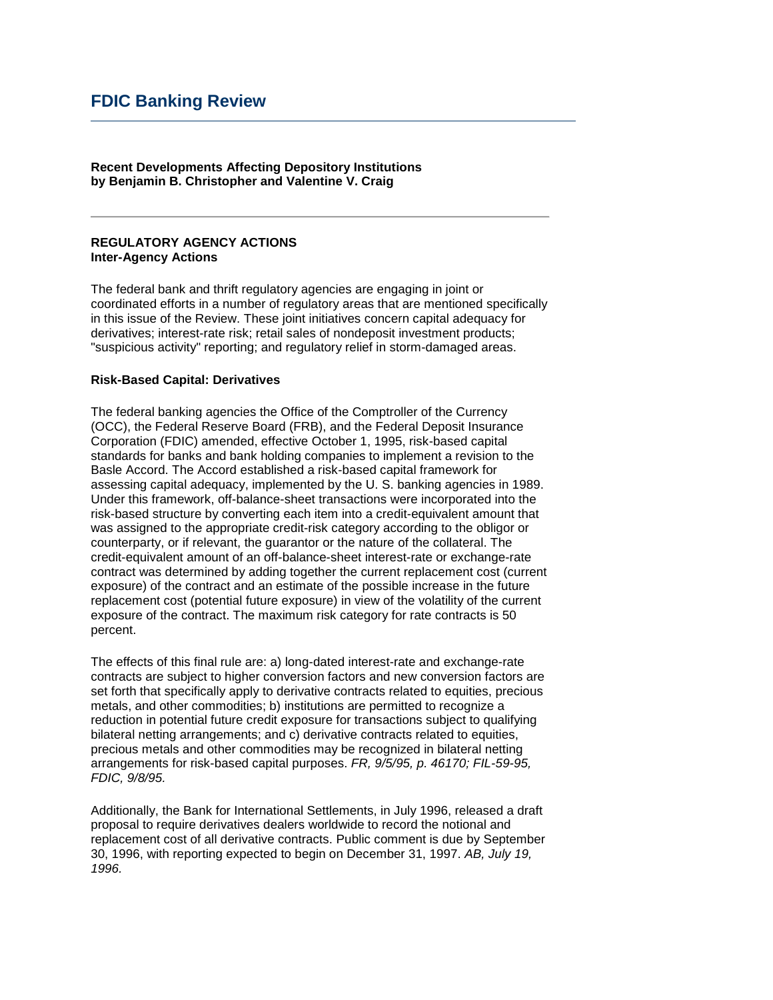# **FDIC Banking Review**

 **by Benjamin B. Christopher and Valentine V. Craig Recent Developments Affecting Depository Institutions** 

#### **REGULATORY AGENCY ACTIONS Inter-Agency Actions**

 The federal bank and thrift regulatory agencies are engaging in joint or coordinated efforts in a number of regulatory areas that are mentioned specifically in this issue of the Review. These joint initiatives concern capital adequacy for derivatives; interest-rate risk; retail sales of nondeposit investment products; "suspicious activity" reporting; and regulatory relief in storm-damaged areas.

#### **Risk-Based Capital: Derivatives**

 Basle Accord. The Accord established a risk-based capital framework for assessing capital adequacy, implemented by the U. S. banking agencies in 1989. The federal banking agencies the Office of the Comptroller of the Currency (OCC), the Federal Reserve Board (FRB), and the Federal Deposit Insurance Corporation (FDIC) amended, effective October 1, 1995, risk-based capital standards for banks and bank holding companies to implement a revision to the Under this framework, off-balance-sheet transactions were incorporated into the risk-based structure by converting each item into a credit-equivalent amount that was assigned to the appropriate credit-risk category according to the obligor or counterparty, or if relevant, the guarantor or the nature of the collateral. The credit-equivalent amount of an off-balance-sheet interest-rate or exchange-rate contract was determined by adding together the current replacement cost (current exposure) of the contract and an estimate of the possible increase in the future replacement cost (potential future exposure) in view of the volatility of the current exposure of the contract. The maximum risk category for rate contracts is 50 percent.

 set forth that specifically apply to derivative contracts related to equities, precious metals, and other commodities; b) institutions are permitted to recognize a The effects of this final rule are: a) long-dated interest-rate and exchange-rate contracts are subject to higher conversion factors and new conversion factors are reduction in potential future credit exposure for transactions subject to qualifying bilateral netting arrangements; and c) derivative contracts related to equities, precious metals and other commodities may be recognized in bilateral netting arrangements for risk-based capital purposes. *FR, 9/5/95, p. 46170; FIL-59-95, FDIC, 9/8/95.* 

 proposal to require derivatives dealers worldwide to record the notional and replacement cost of all derivative contracts. Public comment is due by September 30, 1996, with reporting expected to begin on December 31, 1997. *AB, July 19,*  Additionally, the Bank for International Settlements, in July 1996, released a draft *1996.*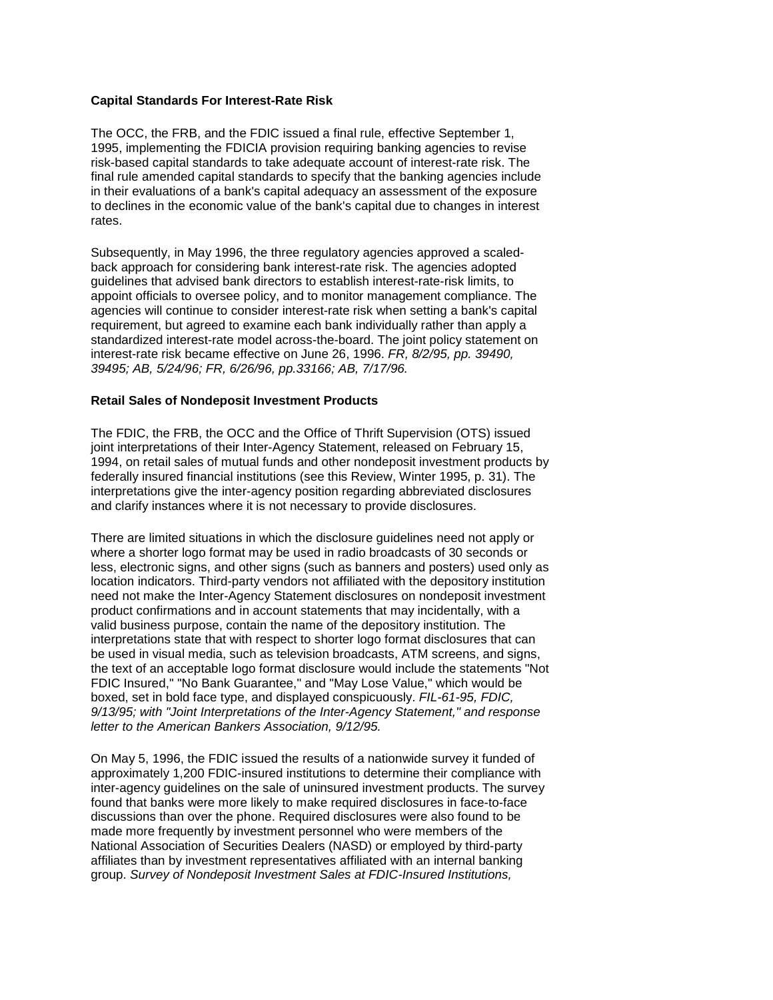### **Capital Standards For Interest-Rate Risk**

 to declines in the economic value of the bank's capital due to changes in interest The OCC, the FRB, and the FDIC issued a final rule, effective September 1, 1995, implementing the FDICIA provision requiring banking agencies to revise risk-based capital standards to take adequate account of interest-rate risk. The final rule amended capital standards to specify that the banking agencies include in their evaluations of a bank's capital adequacy an assessment of the exposure rates.

Subsequently, in May 1996, the three regulatory agencies approved a scaledback approach for considering bank interest-rate risk. The agencies adopted guidelines that advised bank directors to establish interest-rate-risk limits, to appoint officials to oversee policy, and to monitor management compliance. The agencies will continue to consider interest-rate risk when setting a bank's capital requirement, but agreed to examine each bank individually rather than apply a standardized interest-rate model across-the-board. The joint policy statement on interest-rate risk became effective on June 26, 1996. *FR, 8/2/95, pp. 39490, 39495; AB, 5/24/96; FR, 6/26/96, pp.33166; AB, 7/17/96.* 

### **Retail Sales of Nondeposit Investment Products**

 The FDIC, the FRB, the OCC and the Office of Thrift Supervision (OTS) issued and clarify instances where it is not necessary to provide disclosures. joint interpretations of their Inter-Agency Statement, released on February 15, 1994, on retail sales of mutual funds and other nondeposit investment products by federally insured financial institutions (see this Review, Winter 1995, p. 31). The interpretations give the inter-agency position regarding abbreviated disclosures

 There are limited situations in which the disclosure guidelines need not apply or where a shorter logo format may be used in radio broadcasts of 30 seconds or less, electronic signs, and other signs (such as banners and posters) used only as location indicators. Third-party vendors not affiliated with the depository institution need not make the Inter-Agency Statement disclosures on nondeposit investment product confirmations and in account statements that may incidentally, with a valid business purpose, contain the name of the depository institution. The interpretations state that with respect to shorter logo format disclosures that can be used in visual media, such as television broadcasts, ATM screens, and signs, the text of an acceptable logo format disclosure would include the statements "Not FDIC Insured," "No Bank Guarantee," and "May Lose Value," which would be boxed, set in bold face type, and displayed conspicuously. *FIL-61-95, FDIC, 9/13/95; with "Joint Interpretations of the Inter-Agency Statement," and response letter to the American Bankers Association, 9/12/95.* 

 On May 5, 1996, the FDIC issued the results of a nationwide survey it funded of made more frequently by investment personnel who were members of the approximately 1,200 FDIC-insured institutions to determine their compliance with inter-agency guidelines on the sale of uninsured investment products. The survey found that banks were more likely to make required disclosures in face-to-face discussions than over the phone. Required disclosures were also found to be National Association of Securities Dealers (NASD) or employed by third-party affiliates than by investment representatives affiliated with an internal banking group. *Survey of Nondeposit Investment Sales at FDIC-Insured Institutions,*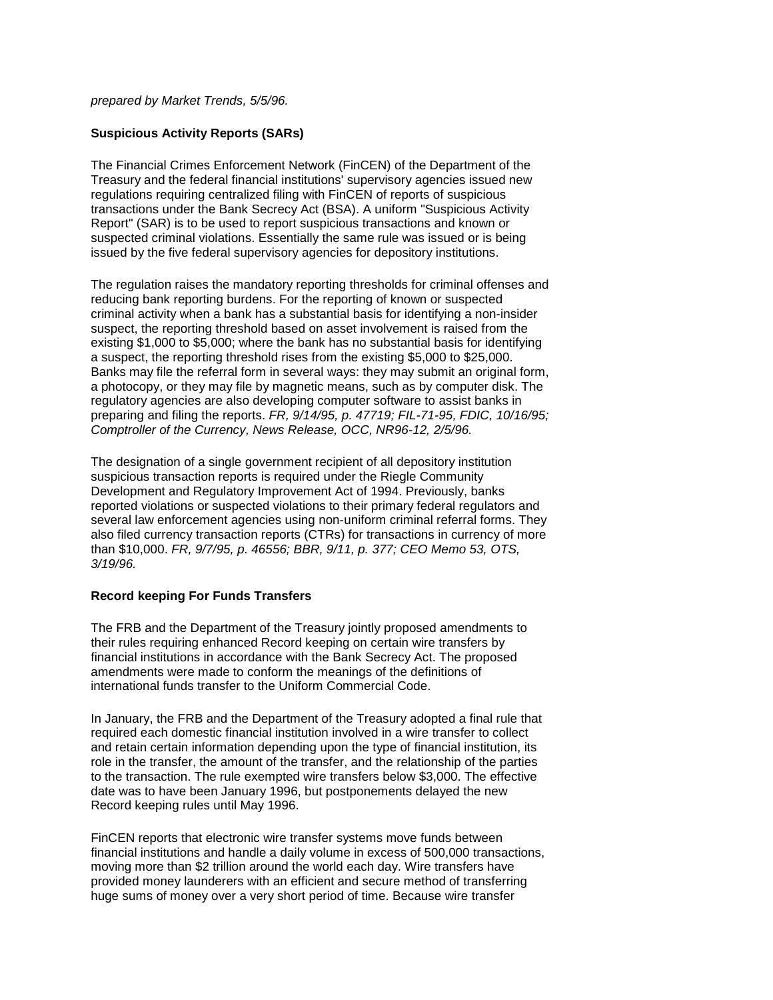#### *prepared by Market Trends, 5/5/96.*

### **Suspicious Activity Reports (SARs)**

 transactions under the Bank Secrecy Act (BSA). A uniform "Suspicious Activity The Financial Crimes Enforcement Network (FinCEN) of the Department of the Treasury and the federal financial institutions' supervisory agencies issued new regulations requiring centralized filing with FinCEN of reports of suspicious Report" (SAR) is to be used to report suspicious transactions and known or suspected criminal violations. Essentially the same rule was issued or is being issued by the five federal supervisory agencies for depository institutions.

 criminal activity when a bank has a substantial basis for identifying a non-insider existing \$1,000 to \$5,000; where the bank has no substantial basis for identifying Banks may file the referral form in several ways: they may submit an original form, The regulation raises the mandatory reporting thresholds for criminal offenses and reducing bank reporting burdens. For the reporting of known or suspected suspect, the reporting threshold based on asset involvement is raised from the a suspect, the reporting threshold rises from the existing \$5,000 to \$25,000. a photocopy, or they may file by magnetic means, such as by computer disk. The regulatory agencies are also developing computer software to assist banks in preparing and filing the reports. *FR, 9/14/95, p. 47719; FIL-71-95, FDIC, 10/16/95; Comptroller of the Currency, News Release, OCC, NR96-12, 2/5/96.* 

 The designation of a single government recipient of all depository institution Development and Regulatory Improvement Act of 1994. Previously, banks several law enforcement agencies using non-uniform criminal referral forms. They  than \$10,000. *FR, 9/7/95, p. 46556; BBR, 9/11, p. 377; CEO Memo 53, OTS,*  suspicious transaction reports is required under the Riegle Community reported violations or suspected violations to their primary federal regulators and also filed currency transaction reports (CTRs) for transactions in currency of more *3/19/96.* 

#### **Record keeping For Funds Transfers**

 amendments were made to conform the meanings of the definitions of The FRB and the Department of the Treasury jointly proposed amendments to their rules requiring enhanced Record keeping on certain wire transfers by financial institutions in accordance with the Bank Secrecy Act. The proposed international funds transfer to the Uniform Commercial Code.

 In January, the FRB and the Department of the Treasury adopted a final rule that and retain certain information depending upon the type of financial institution, its date was to have been January 1996, but postponements delayed the new Record keeping rules until May 1996. required each domestic financial institution involved in a wire transfer to collect role in the transfer, the amount of the transfer, and the relationship of the parties to the transaction. The rule exempted wire transfers below \$3,000. The effective

FinCEN reports that electronic wire transfer systems move funds between financial institutions and handle a daily volume in excess of 500,000 transactions, moving more than \$2 trillion around the world each day. Wire transfers have provided money launderers with an efficient and secure method of transferring huge sums of money over a very short period of time. Because wire transfer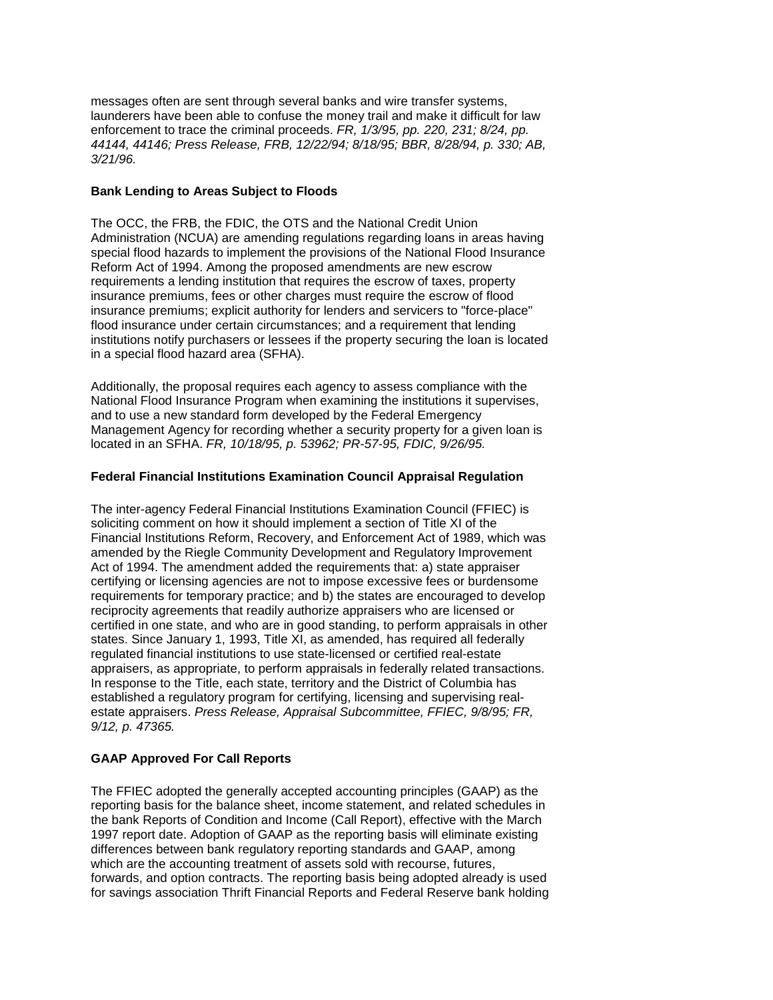*44144, 44146; Press Release, FRB, 12/22/94; 8/18/95; BBR, 8/28/94, p. 330; AB,*  messages often are sent through several banks and wire transfer systems, launderers have been able to confuse the money trail and make it difficult for law enforcement to trace the criminal proceeds. *FR, 1/3/95, pp. 220, 231; 8/24, pp. 3/21/96.* 

## **Bank Lending to Areas Subject to Floods**

 Reform Act of 1994. Among the proposed amendments are new escrow institutions notify purchasers or lessees if the property securing the loan is located The OCC, the FRB, the FDIC, the OTS and the National Credit Union Administration (NCUA) are amending regulations regarding loans in areas having special flood hazards to implement the provisions of the National Flood Insurance requirements a lending institution that requires the escrow of taxes, property insurance premiums, fees or other charges must require the escrow of flood insurance premiums; explicit authority for lenders and servicers to "force-place" flood insurance under certain circumstances; and a requirement that lending in a special flood hazard area (SFHA).

Additionally, the proposal requires each agency to assess compliance with the National Flood Insurance Program when examining the institutions it supervises, and to use a new standard form developed by the Federal Emergency Management Agency for recording whether a security property for a given loan is located in an SFHA. *FR, 10/18/95, p. 53962; PR-57-95, FDIC, 9/26/95.* 

# **Federal Financial Institutions Examination Council Appraisal Regulation**

 The inter-agency Federal Financial Institutions Examination Council (FFIEC) is Financial Institutions Reform, Recovery, and Enforcement Act of 1989, which was  estate appraisers. *Press Release, Appraisal Subcommittee, FFIEC, 9/8/95; FR,*  soliciting comment on how it should implement a section of Title XI of the amended by the Riegle Community Development and Regulatory Improvement Act of 1994. The amendment added the requirements that: a) state appraiser certifying or licensing agencies are not to impose excessive fees or burdensome requirements for temporary practice; and b) the states are encouraged to develop reciprocity agreements that readily authorize appraisers who are licensed or certified in one state, and who are in good standing, to perform appraisals in other states. Since January 1, 1993, Title XI, as amended, has required all federally regulated financial institutions to use state-licensed or certified real-estate appraisers, as appropriate, to perform appraisals in federally related transactions. In response to the Title, each state, territory and the District of Columbia has established a regulatory program for certifying, licensing and supervising real-*9/12, p. 47365.* 

# **GAAP Approved For Call Reports**

 1997 report date. Adoption of GAAP as the reporting basis will eliminate existing The FFIEC adopted the generally accepted accounting principles (GAAP) as the reporting basis for the balance sheet, income statement, and related schedules in the bank Reports of Condition and Income (Call Report), effective with the March differences between bank regulatory reporting standards and GAAP, among which are the accounting treatment of assets sold with recourse, futures, forwards, and option contracts. The reporting basis being adopted already is used for savings association Thrift Financial Reports and Federal Reserve bank holding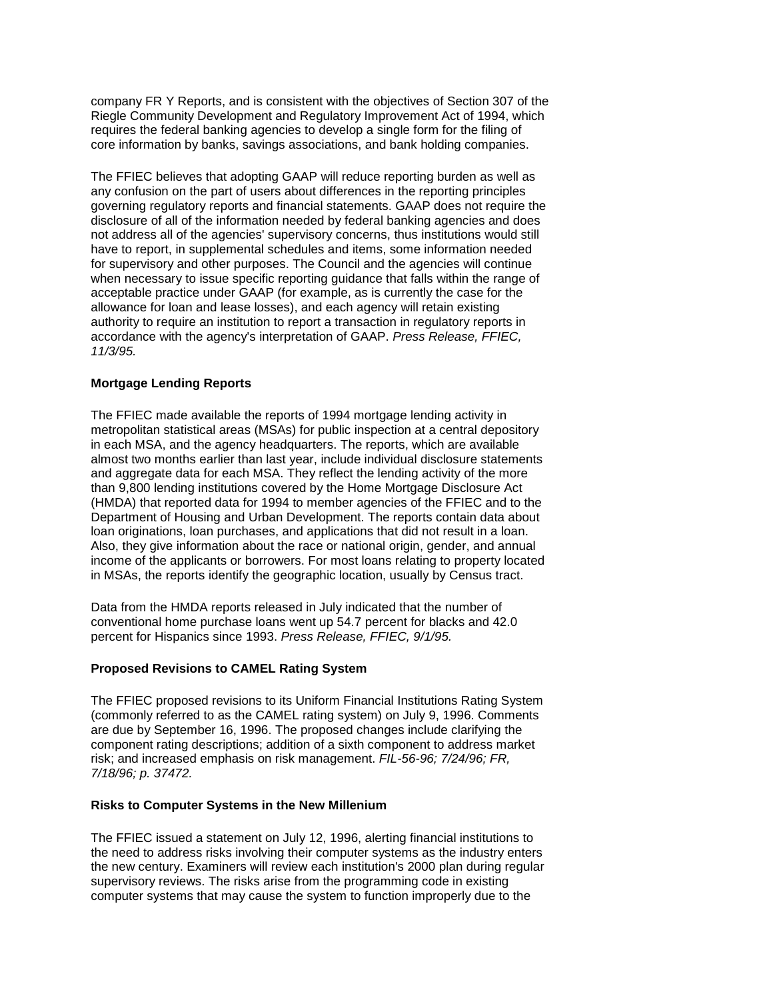Riegle Community Development and Regulatory Improvement Act of 1994, which company FR Y Reports, and is consistent with the objectives of Section 307 of the requires the federal banking agencies to develop a single form for the filing of core information by banks, savings associations, and bank holding companies.

 The FFIEC believes that adopting GAAP will reduce reporting burden as well as not address all of the agencies' supervisory concerns, thus institutions would still accordance with the agency's interpretation of GAAP. *Press Release, FFIEC,*  any confusion on the part of users about differences in the reporting principles governing regulatory reports and financial statements. GAAP does not require the disclosure of all of the information needed by federal banking agencies and does have to report, in supplemental schedules and items, some information needed for supervisory and other purposes. The Council and the agencies will continue when necessary to issue specific reporting guidance that falls within the range of acceptable practice under GAAP (for example, as is currently the case for the allowance for loan and lease losses), and each agency will retain existing authority to require an institution to report a transaction in regulatory reports in *11/3/95.* 

# **Mortgage Lending Reports**

 metropolitan statistical areas (MSAs) for public inspection at a central depository almost two months earlier than last year, include individual disclosure statements Also, they give information about the race or national origin, gender, and annual in MSAs, the reports identify the geographic location, usually by Census tract. The FFIEC made available the reports of 1994 mortgage lending activity in in each MSA, and the agency headquarters. The reports, which are available and aggregate data for each MSA. They reflect the lending activity of the more than 9,800 lending institutions covered by the Home Mortgage Disclosure Act (HMDA) that reported data for 1994 to member agencies of the FFIEC and to the Department of Housing and Urban Development. The reports contain data about loan originations, loan purchases, and applications that did not result in a loan. income of the applicants or borrowers. For most loans relating to property located

Data from the HMDA reports released in July indicated that the number of conventional home purchase loans went up 54.7 percent for blacks and 42.0 percent for Hispanics since 1993. *Press Release, FFIEC, 9/1/95.* 

### **Proposed Revisions to CAMEL Rating System**

 (commonly referred to as the CAMEL rating system) on July 9, 1996. Comments The FFIEC proposed revisions to its Uniform Financial Institutions Rating System are due by September 16, 1996. The proposed changes include clarifying the component rating descriptions; addition of a sixth component to address market risk; and increased emphasis on risk management. *FIL-56-96; 7/24/96; FR, 7/18/96; p. 37472.* 

## **Risks to Computer Systems in the New Millenium**

 The FFIEC issued a statement on July 12, 1996, alerting financial institutions to the need to address risks involving their computer systems as the industry enters the new century. Examiners will review each institution's 2000 plan during regular supervisory reviews. The risks arise from the programming code in existing computer systems that may cause the system to function improperly due to the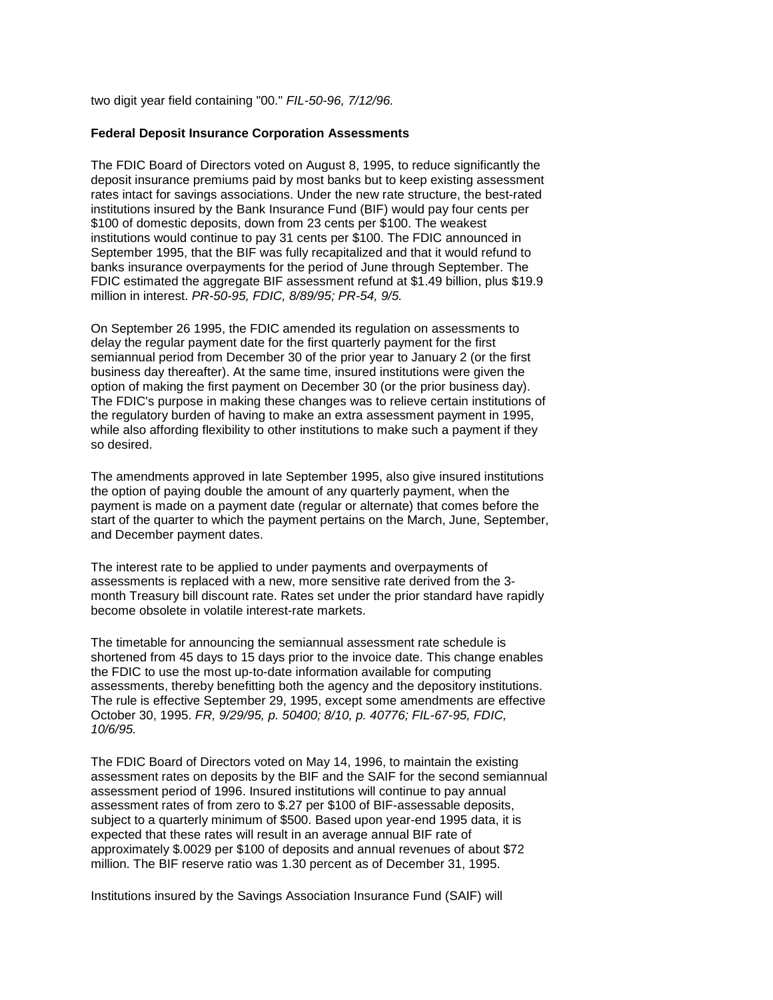two digit year field containing "00." *FIL-50-96, 7/12/96.* 

#### **Federal Deposit Insurance Corporation Assessments**

 The FDIC Board of Directors voted on August 8, 1995, to reduce significantly the September 1995, that the BIF was fully recapitalized and that it would refund to deposit insurance premiums paid by most banks but to keep existing assessment rates intact for savings associations. Under the new rate structure, the best-rated institutions insured by the Bank Insurance Fund (BIF) would pay four cents per \$100 of domestic deposits, down from 23 cents per \$100. The weakest institutions would continue to pay 31 cents per \$100. The FDIC announced in banks insurance overpayments for the period of June through September. The FDIC estimated the aggregate BIF assessment refund at \$1.49 billion, plus \$19.9 million in interest. *PR-50-95, FDIC, 8/89/95; PR-54, 9/5.* 

On September 26 1995, the FDIC amended its regulation on assessments to delay the regular payment date for the first quarterly payment for the first semiannual period from December 30 of the prior year to January 2 (or the first business day thereafter). At the same time, insured institutions were given the option of making the first payment on December 30 (or the prior business day). The FDIC's purpose in making these changes was to relieve certain institutions of the regulatory burden of having to make an extra assessment payment in 1995, while also affording flexibility to other institutions to make such a payment if they so desired.

 the option of paying double the amount of any quarterly payment, when the payment is made on a payment date (regular or alternate) that comes before the The amendments approved in late September 1995, also give insured institutions start of the quarter to which the payment pertains on the March, June, September, and December payment dates.

The interest rate to be applied to under payments and overpayments of assessments is replaced with a new, more sensitive rate derived from the 3 month Treasury bill discount rate. Rates set under the prior standard have rapidly become obsolete in volatile interest-rate markets.

The timetable for announcing the semiannual assessment rate schedule is shortened from 45 days to 15 days prior to the invoice date. This change enables the FDIC to use the most up-to-date information available for computing assessments, thereby benefitting both the agency and the depository institutions. The rule is effective September 29, 1995, except some amendments are effective October 30, 1995. *FR, 9/29/95, p. 50400; 8/10, p. 40776; FIL-67-95, FDIC, 10/6/95.* 

 The FDIC Board of Directors voted on May 14, 1996, to maintain the existing assessment period of 1996. Insured institutions will continue to pay annual subject to a quarterly minimum of \$500. Based upon year-end 1995 data, it is expected that these rates will result in an average annual BIF rate of assessment rates on deposits by the BIF and the SAIF for the second semiannual assessment rates of from zero to \$.27 per \$100 of BIF-assessable deposits, approximately \$.0029 per \$100 of deposits and annual revenues of about \$72 million. The BIF reserve ratio was 1.30 percent as of December 31, 1995.

Institutions insured by the Savings Association Insurance Fund (SAIF) will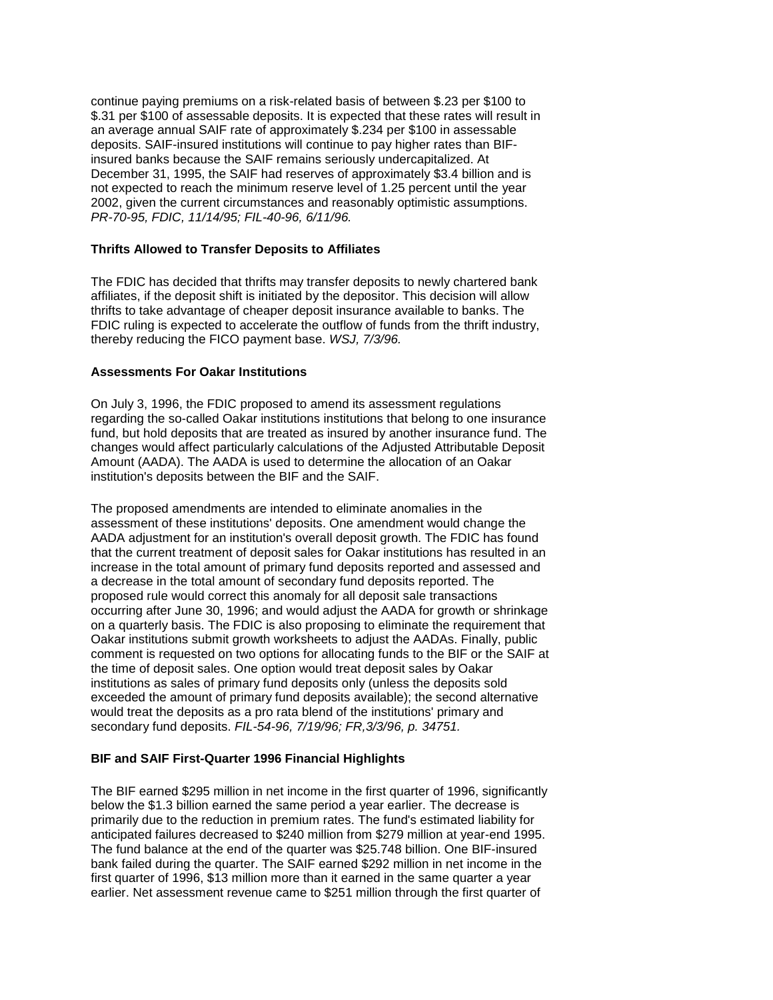insured banks because the SAIF remains seriously undercapitalized. At continue paying premiums on a risk-related basis of between \$.23 per \$100 to \$.31 per \$100 of assessable deposits. It is expected that these rates will result in an average annual SAIF rate of approximately \$.234 per \$100 in assessable deposits. SAIF-insured institutions will continue to pay higher rates than BIF-December 31, 1995, the SAIF had reserves of approximately \$3.4 billion and is not expected to reach the minimum reserve level of 1.25 percent until the year 2002, given the current circumstances and reasonably optimistic assumptions. *PR-70-95, FDIC, 11/14/95; FIL-40-96, 6/11/96.* 

### **Thrifts Allowed to Transfer Deposits to Affiliates**

 The FDIC has decided that thrifts may transfer deposits to newly chartered bank thrifts to take advantage of cheaper deposit insurance available to banks. The affiliates, if the deposit shift is initiated by the depositor. This decision will allow FDIC ruling is expected to accelerate the outflow of funds from the thrift industry, thereby reducing the FICO payment base. *WSJ, 7/3/96.* 

# **Assessments For Oakar Institutions**

On July 3, 1996, the FDIC proposed to amend its assessment regulations regarding the so-called Oakar institutions institutions that belong to one insurance fund, but hold deposits that are treated as insured by another insurance fund. The changes would affect particularly calculations of the Adjusted Attributable Deposit Amount (AADA). The AADA is used to determine the allocation of an Oakar institution's deposits between the BIF and the SAIF.

 comment is requested on two options for allocating funds to the BIF or the SAIF at the time of deposit sales. One option would treat deposit sales by Oakar would treat the deposits as a pro rata blend of the institutions' primary and The proposed amendments are intended to eliminate anomalies in the assessment of these institutions' deposits. One amendment would change the AADA adjustment for an institution's overall deposit growth. The FDIC has found that the current treatment of deposit sales for Oakar institutions has resulted in an increase in the total amount of primary fund deposits reported and assessed and a decrease in the total amount of secondary fund deposits reported. The proposed rule would correct this anomaly for all deposit sale transactions occurring after June 30, 1996; and would adjust the AADA for growth or shrinkage on a quarterly basis. The FDIC is also proposing to eliminate the requirement that Oakar institutions submit growth worksheets to adjust the AADAs. Finally, public institutions as sales of primary fund deposits only (unless the deposits sold exceeded the amount of primary fund deposits available); the second alternative secondary fund deposits. *FIL-54-96, 7/19/96; FR,3/3/96, p. 34751.* 

## **BIF and SAIF First-Quarter 1996 Financial Highlights**

 first quarter of 1996, \$13 million more than it earned in the same quarter a year earlier. Net assessment revenue came to \$251 million through the first quarter of The BIF earned \$295 million in net income in the first quarter of 1996, significantly below the \$1.3 billion earned the same period a year earlier. The decrease is primarily due to the reduction in premium rates. The fund's estimated liability for anticipated failures decreased to \$240 million from \$279 million at year-end 1995. The fund balance at the end of the quarter was \$25.748 billion. One BIF-insured bank failed during the quarter. The SAIF earned \$292 million in net income in the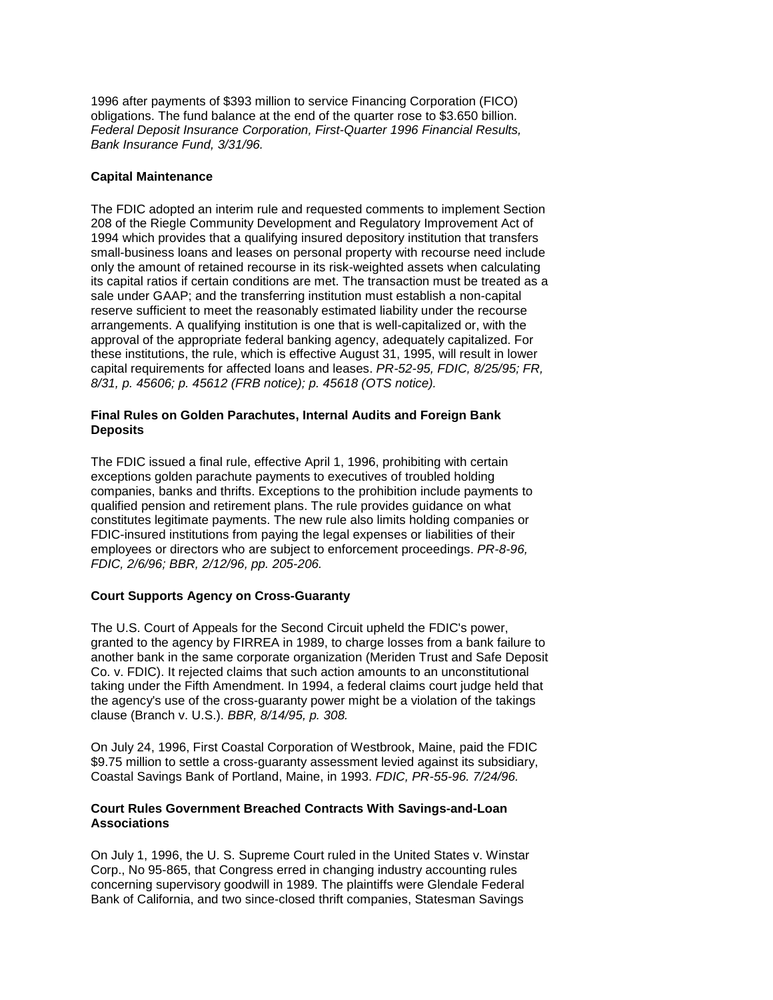*Federal Deposit Insurance Corporation, First-Quarter 1996 Financial Results,*  1996 after payments of \$393 million to service Financing Corporation (FICO) obligations. The fund balance at the end of the quarter rose to \$3.650 billion. *Bank Insurance Fund, 3/31/96.* 

## **Capital Maintenance**

 arrangements. A qualifying institution is one that is well-capitalized or, with the these institutions, the rule, which is effective August 31, 1995, will result in lower  *8/31, p. 45606; p. 45612 (FRB notice); p. 45618 (OTS notice).*  The FDIC adopted an interim rule and requested comments to implement Section 208 of the Riegle Community Development and Regulatory Improvement Act of 1994 which provides that a qualifying insured depository institution that transfers small-business loans and leases on personal property with recourse need include only the amount of retained recourse in its risk-weighted assets when calculating its capital ratios if certain conditions are met. The transaction must be treated as a sale under GAAP; and the transferring institution must establish a non-capital reserve sufficient to meet the reasonably estimated liability under the recourse approval of the appropriate federal banking agency, adequately capitalized. For capital requirements for affected loans and leases. *PR-52-95, FDIC, 8/25/95; FR,* 

## **Final Rules on Golden Parachutes, Internal Audits and Foreign Bank Deposits**

 The FDIC issued a final rule, effective April 1, 1996, prohibiting with certain exceptions golden parachute payments to executives of troubled holding companies, banks and thrifts. Exceptions to the prohibition include payments to qualified pension and retirement plans. The rule provides guidance on what constitutes legitimate payments. The new rule also limits holding companies or FDIC-insured institutions from paying the legal expenses or liabilities of their employees or directors who are subject to enforcement proceedings. *PR-8-96, FDIC, 2/6/96; BBR, 2/12/96, pp. 205-206.* 

## **Court Supports Agency on Cross-Guaranty**

The U.S. Court of Appeals for the Second Circuit upheld the FDIC's power, granted to the agency by FIRREA in 1989, to charge losses from a bank failure to another bank in the same corporate organization (Meriden Trust and Safe Deposit Co. v. FDIC). It rejected claims that such action amounts to an unconstitutional taking under the Fifth Amendment. In 1994, a federal claims court judge held that the agency's use of the cross-guaranty power might be a violation of the takings clause (Branch v. U.S.). *BBR, 8/14/95, p. 308.* 

 Coastal Savings Bank of Portland, Maine, in 1993. *FDIC, PR-55-96. 7/24/96.*  On July 24, 1996, First Coastal Corporation of Westbrook, Maine, paid the FDIC \$9.75 million to settle a cross-guaranty assessment levied against its subsidiary,

## **Associations Court Rules Government Breached Contracts With Savings-and-Loan**

 On July 1, 1996, the U. S. Supreme Court ruled in the United States v. Winstar Corp., No 95-865, that Congress erred in changing industry accounting rules concerning supervisory goodwill in 1989. The plaintiffs were Glendale Federal Bank of California, and two since-closed thrift companies, Statesman Savings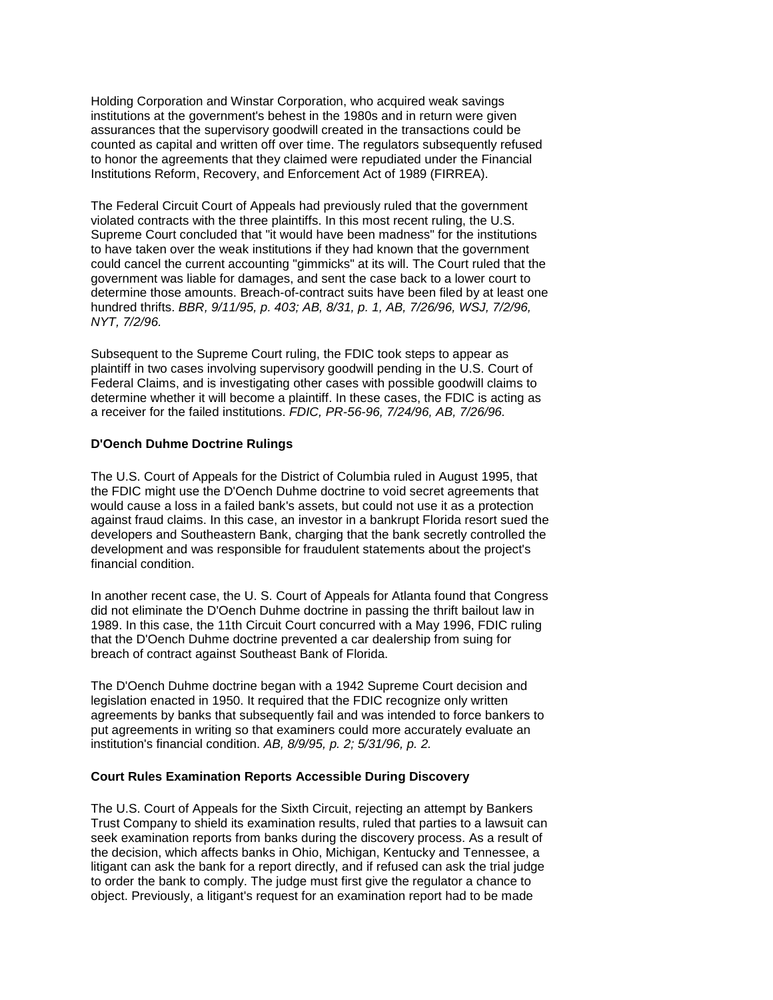Holding Corporation and Winstar Corporation, who acquired weak savings institutions at the government's behest in the 1980s and in return were given assurances that the supervisory goodwill created in the transactions could be counted as capital and written off over time. The regulators subsequently refused to honor the agreements that they claimed were repudiated under the Financial Institutions Reform, Recovery, and Enforcement Act of 1989 (FIRREA).

 Supreme Court concluded that "it would have been madness" for the institutions  hundred thrifts. *BBR, 9/11/95, p. 403; AB, 8/31, p. 1, AB, 7/26/96, WSJ, 7/2/96,*  The Federal Circuit Court of Appeals had previously ruled that the government violated contracts with the three plaintiffs. In this most recent ruling, the U.S. to have taken over the weak institutions if they had known that the government could cancel the current accounting "gimmicks" at its will. The Court ruled that the government was liable for damages, and sent the case back to a lower court to determine those amounts. Breach-of-contract suits have been filed by at least one *NYT, 7/2/96.* 

 plaintiff in two cases involving supervisory goodwill pending in the U.S. Court of Subsequent to the Supreme Court ruling, the FDIC took steps to appear as Federal Claims, and is investigating other cases with possible goodwill claims to determine whether it will become a plaintiff. In these cases, the FDIC is acting as a receiver for the failed institutions. *FDIC, PR-56-96, 7/24/96, AB, 7/26/96.* 

### **D'Oench Duhme Doctrine Rulings**

The U.S. Court of Appeals for the District of Columbia ruled in August 1995, that the FDIC might use the D'Oench Duhme doctrine to void secret agreements that would cause a loss in a failed bank's assets, but could not use it as a protection against fraud claims. In this case, an investor in a bankrupt Florida resort sued the developers and Southeastern Bank, charging that the bank secretly controlled the development and was responsible for fraudulent statements about the project's financial condition.

 In another recent case, the U. S. Court of Appeals for Atlanta found that Congress breach of contract against Southeast Bank of Florida. did not eliminate the D'Oench Duhme doctrine in passing the thrift bailout law in 1989. In this case, the 11th Circuit Court concurred with a May 1996, FDIC ruling that the D'Oench Duhme doctrine prevented a car dealership from suing for

 agreements by banks that subsequently fail and was intended to force bankers to  institution's financial condition. *AB, 8/9/95, p. 2; 5/31/96, p. 2.*  The D'Oench Duhme doctrine began with a 1942 Supreme Court decision and legislation enacted in 1950. It required that the FDIC recognize only written put agreements in writing so that examiners could more accurately evaluate an

### **Court Rules Examination Reports Accessible During Discovery**

 The U.S. Court of Appeals for the Sixth Circuit, rejecting an attempt by Bankers Trust Company to shield its examination results, ruled that parties to a lawsuit can seek examination reports from banks during the discovery process. As a result of the decision, which affects banks in Ohio, Michigan, Kentucky and Tennessee, a litigant can ask the bank for a report directly, and if refused can ask the trial judge to order the bank to comply. The judge must first give the regulator a chance to object. Previously, a litigant's request for an examination report had to be made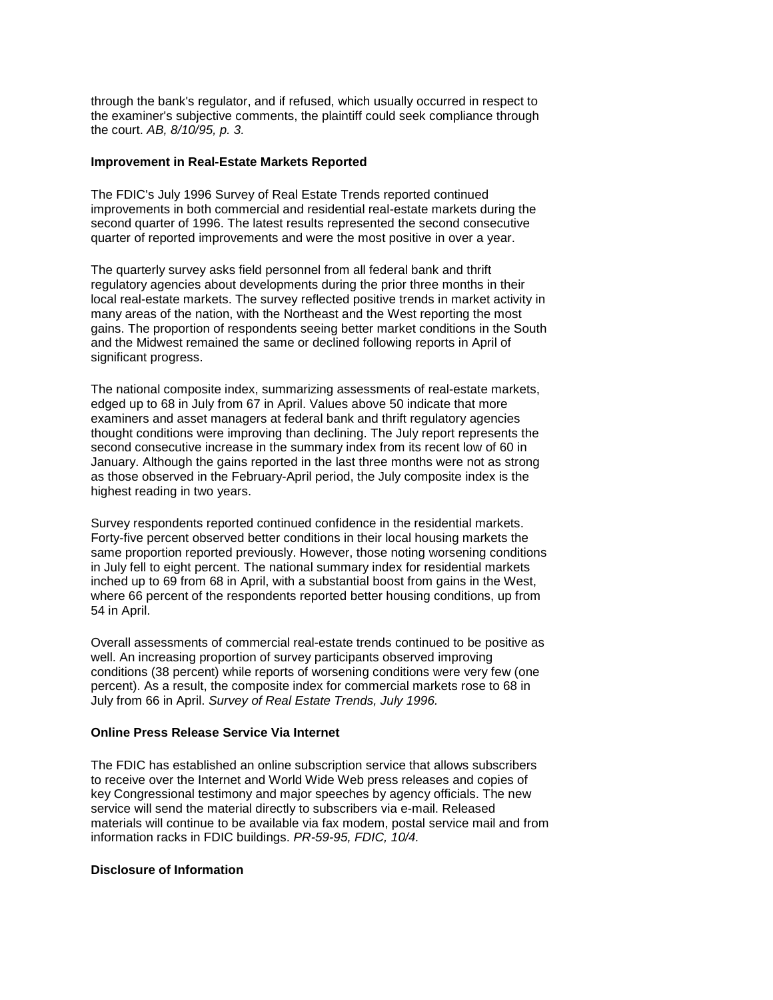through the bank's regulator, and if refused, which usually occurred in respect to the examiner's subjective comments, the plaintiff could seek compliance through the court. *AB, 8/10/95, p. 3.* 

## **Improvement in Real-Estate Markets Reported**

 The FDIC's July 1996 Survey of Real Estate Trends reported continued improvements in both commercial and residential real-estate markets during the second quarter of 1996. The latest results represented the second consecutive quarter of reported improvements and were the most positive in over a year.

The quarterly survey asks field personnel from all federal bank and thrift regulatory agencies about developments during the prior three months in their local real-estate markets. The survey reflected positive trends in market activity in many areas of the nation, with the Northeast and the West reporting the most gains. The proportion of respondents seeing better market conditions in the South and the Midwest remained the same or declined following reports in April of significant progress.

The national composite index, summarizing assessments of real-estate markets, edged up to 68 in July from 67 in April. Values above 50 indicate that more examiners and asset managers at federal bank and thrift regulatory agencies thought conditions were improving than declining. The July report represents the second consecutive increase in the summary index from its recent low of 60 in January. Although the gains reported in the last three months were not as strong as those observed in the February-April period, the July composite index is the highest reading in two years.

 where 66 percent of the respondents reported better housing conditions, up from Survey respondents reported continued confidence in the residential markets. Forty-five percent observed better conditions in their local housing markets the same proportion reported previously. However, those noting worsening conditions in July fell to eight percent. The national summary index for residential markets inched up to 69 from 68 in April, with a substantial boost from gains in the West, 54 in April.

Overall assessments of commercial real-estate trends continued to be positive as well. An increasing proportion of survey participants observed improving conditions (38 percent) while reports of worsening conditions were very few (one percent). As a result, the composite index for commercial markets rose to 68 in July from 66 in April. *Survey of Real Estate Trends, July 1996.* 

# **Online Press Release Service Via Internet**

The FDIC has established an online subscription service that allows subscribers to receive over the Internet and World Wide Web press releases and copies of key Congressional testimony and major speeches by agency officials. The new service will send the material directly to subscribers via e-mail. Released materials will continue to be available via fax modem, postal service mail and from information racks in FDIC buildings. *PR-59-95, FDIC, 10/4.* 

#### **Disclosure of Information**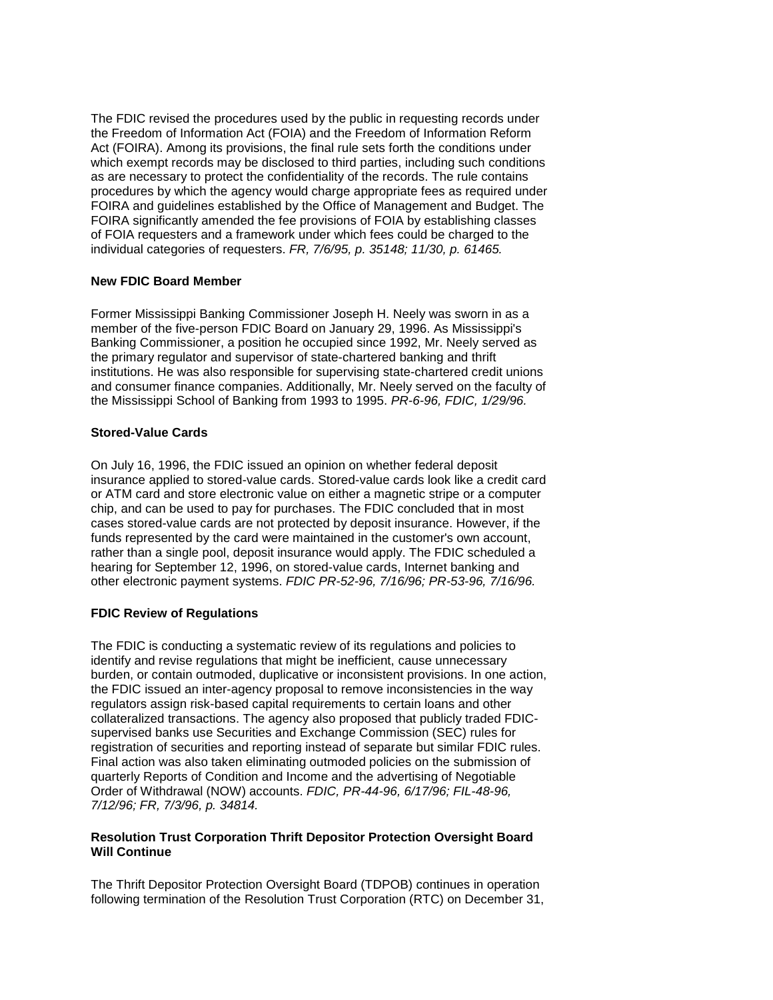Act (FOIRA). Among its provisions, the final rule sets forth the conditions under which exempt records may be disclosed to third parties, including such conditions The FDIC revised the procedures used by the public in requesting records under the Freedom of Information Act (FOIA) and the Freedom of Information Reform as are necessary to protect the confidentiality of the records. The rule contains procedures by which the agency would charge appropriate fees as required under FOIRA and guidelines established by the Office of Management and Budget. The FOIRA significantly amended the fee provisions of FOIA by establishing classes of FOIA requesters and a framework under which fees could be charged to the individual categories of requesters. *FR, 7/6/95, p. 35148; 11/30, p. 61465.* 

## **New FDIC Board Member**

 Former Mississippi Banking Commissioner Joseph H. Neely was sworn in as a member of the five-person FDIC Board on January 29, 1996. As Mississippi's Banking Commissioner, a position he occupied since 1992, Mr. Neely served as the primary regulator and supervisor of state-chartered banking and thrift institutions. He was also responsible for supervising state-chartered credit unions and consumer finance companies. Additionally, Mr. Neely served on the faculty of the Mississippi School of Banking from 1993 to 1995. *PR-6-96, FDIC, 1/29/96.* 

# **Stored-Value Cards**

On July 16, 1996, the FDIC issued an opinion on whether federal deposit insurance applied to stored-value cards. Stored-value cards look like a credit card or ATM card and store electronic value on either a magnetic stripe or a computer chip, and can be used to pay for purchases. The FDIC concluded that in most cases stored-value cards are not protected by deposit insurance. However, if the funds represented by the card were maintained in the customer's own account, rather than a single pool, deposit insurance would apply. The FDIC scheduled a hearing for September 12, 1996, on stored-value cards, Internet banking and other electronic payment systems. *FDIC PR-52-96, 7/16/96; PR-53-96, 7/16/96.* 

# **FDIC Review of Regulations**

The FDIC is conducting a systematic review of its regulations and policies to identify and revise regulations that might be inefficient, cause unnecessary burden, or contain outmoded, duplicative or inconsistent provisions. In one action, the FDIC issued an inter-agency proposal to remove inconsistencies in the way regulators assign risk-based capital requirements to certain loans and other collateralized transactions. The agency also proposed that publicly traded FDICsupervised banks use Securities and Exchange Commission (SEC) rules for registration of securities and reporting instead of separate but similar FDIC rules. Final action was also taken eliminating outmoded policies on the submission of quarterly Reports of Condition and Income and the advertising of Negotiable Order of Withdrawal (NOW) accounts. *FDIC, PR-44-96, 6/17/96; FIL-48-96, 7/12/96; FR, 7/3/96, p. 34814.* 

## **Will Continue Resolution Trust Corporation Thrift Depositor Protection Oversight Board**

The Thrift Depositor Protection Oversight Board (TDPOB) continues in operation following termination of the Resolution Trust Corporation (RTC) on December 31,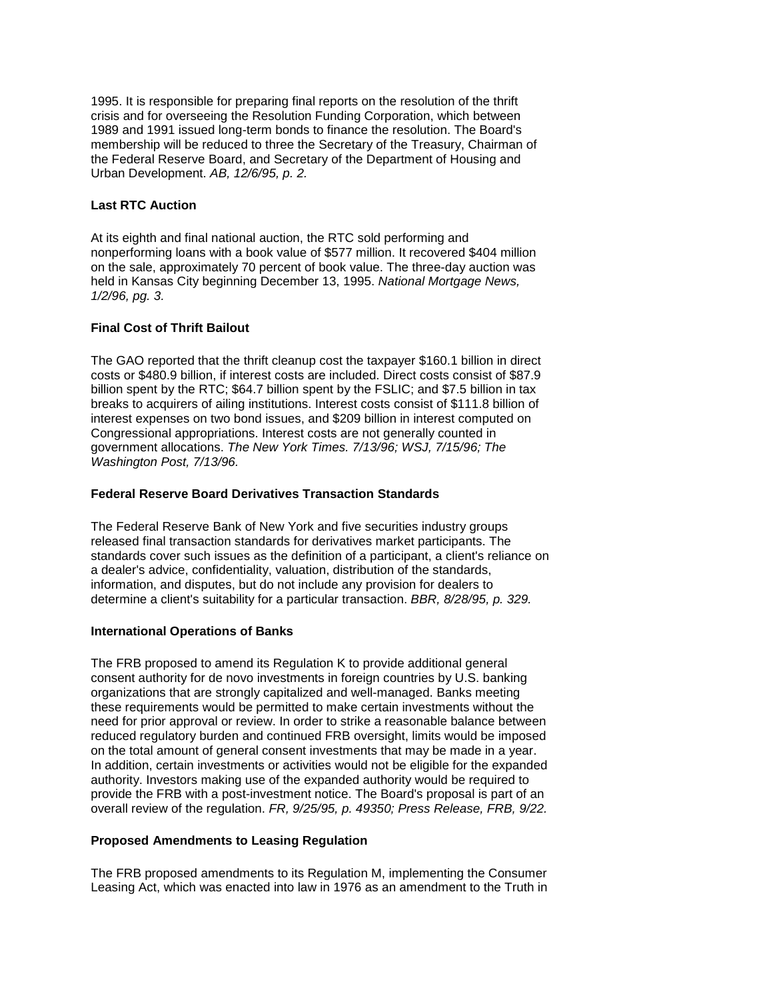1995. It is responsible for preparing final reports on the resolution of the thrift crisis and for overseeing the Resolution Funding Corporation, which between 1989 and 1991 issued long-term bonds to finance the resolution. The Board's membership will be reduced to three the Secretary of the Treasury, Chairman of the Federal Reserve Board, and Secretary of the Department of Housing and Urban Development. *AB, 12/6/95, p. 2.* 

#### **Last RTC Auction**

 At its eighth and final national auction, the RTC sold performing and held in Kansas City beginning December 13, 1995. *National Mortgage News,*  nonperforming loans with a book value of \$577 million. It recovered \$404 million on the sale, approximately 70 percent of book value. The three-day auction was *1/2/96, pg. 3.* 

# **Final Cost of Thrift Bailout**

 billion spent by the RTC; \$64.7 billion spent by the FSLIC; and \$7.5 billion in tax The GAO reported that the thrift cleanup cost the taxpayer \$160.1 billion in direct costs or \$480.9 billion, if interest costs are included. Direct costs consist of \$87.9 breaks to acquirers of ailing institutions. Interest costs consist of \$111.8 billion of interest expenses on two bond issues, and \$209 billion in interest computed on Congressional appropriations. Interest costs are not generally counted in government allocations. *The New York Times. 7/13/96; WSJ, 7/15/96; The Washington Post, 7/13/96.* 

# **Federal Reserve Board Derivatives Transaction Standards**

The Federal Reserve Bank of New York and five securities industry groups released final transaction standards for derivatives market participants. The standards cover such issues as the definition of a participant, a client's reliance on a dealer's advice, confidentiality, valuation, distribution of the standards, information, and disputes, but do not include any provision for dealers to determine a client's suitability for a particular transaction. *BBR, 8/28/95, p. 329.* 

## **International Operations of Banks**

 In addition, certain investments or activities would not be eligible for the expanded  overall review of the regulation. *FR, 9/25/95, p. 49350; Press Release, FRB, 9/22.*  The FRB proposed to amend its Regulation K to provide additional general consent authority for de novo investments in foreign countries by U.S. banking organizations that are strongly capitalized and well-managed. Banks meeting these requirements would be permitted to make certain investments without the need for prior approval or review. In order to strike a reasonable balance between reduced regulatory burden and continued FRB oversight, limits would be imposed on the total amount of general consent investments that may be made in a year. authority. Investors making use of the expanded authority would be required to provide the FRB with a post-investment notice. The Board's proposal is part of an

## **Proposed Amendments to Leasing Regulation**

The FRB proposed amendments to its Regulation M, implementing the Consumer Leasing Act, which was enacted into law in 1976 as an amendment to the Truth in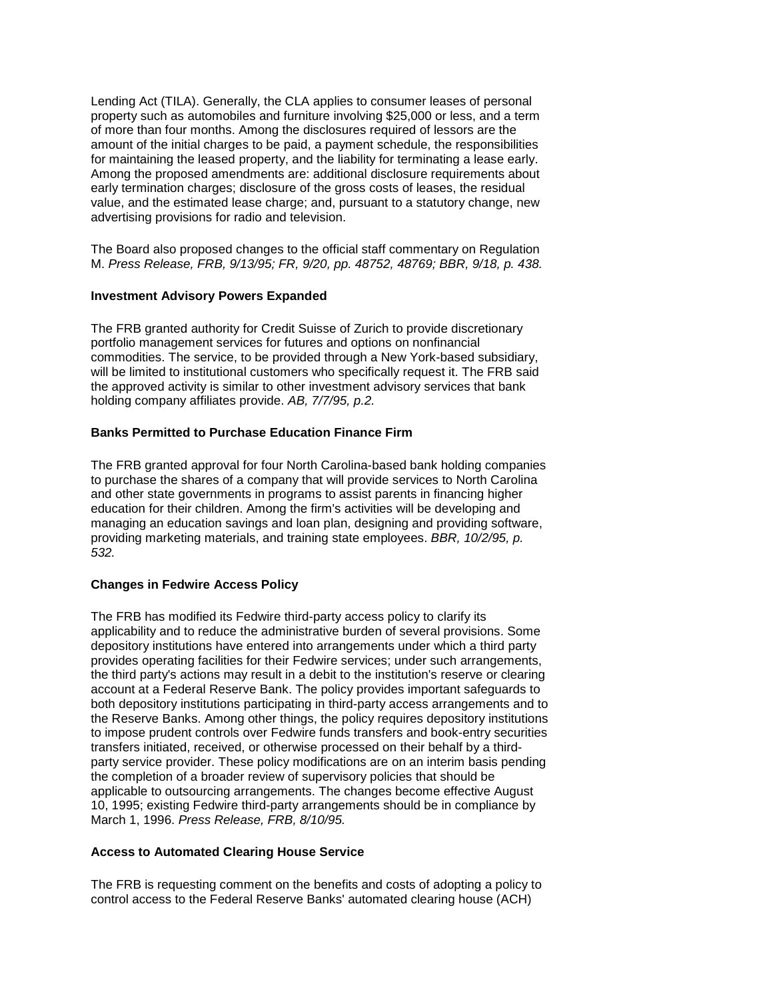value, and the estimated lease charge; and, pursuant to a statutory change, new Lending Act (TILA). Generally, the CLA applies to consumer leases of personal property such as automobiles and furniture involving \$25,000 or less, and a term of more than four months. Among the disclosures required of lessors are the amount of the initial charges to be paid, a payment schedule, the responsibilities for maintaining the leased property, and the liability for terminating a lease early. Among the proposed amendments are: additional disclosure requirements about early termination charges; disclosure of the gross costs of leases, the residual advertising provisions for radio and television.

 M. *Press Release, FRB, 9/13/95; FR, 9/20, pp. 48752, 48769; BBR, 9/18, p. 438.*  The Board also proposed changes to the official staff commentary on Regulation

# **Investment Advisory Powers Expanded**

The FRB granted authority for Credit Suisse of Zurich to provide discretionary portfolio management services for futures and options on nonfinancial commodities. The service, to be provided through a New York-based subsidiary, will be limited to institutional customers who specifically request it. The FRB said the approved activity is similar to other investment advisory services that bank holding company affiliates provide. *AB, 7/7/95, p.2.* 

## **Banks Permitted to Purchase Education Finance Firm**

 to purchase the shares of a company that will provide services to North Carolina  providing marketing materials, and training state employees. *BBR, 10/2/95, p.*  The FRB granted approval for four North Carolina-based bank holding companies and other state governments in programs to assist parents in financing higher education for their children. Among the firm's activities will be developing and managing an education savings and loan plan, designing and providing software, *532.* 

### **Changes in Fedwire Access Policy**

 The FRB has modified its Fedwire third-party access policy to clarify its both depository institutions participating in third-party access arrangements and to the Reserve Banks. Among other things, the policy requires depository institutions March 1, 1996. *Press Release, FRB, 8/10/95.*  applicability and to reduce the administrative burden of several provisions. Some depository institutions have entered into arrangements under which a third party provides operating facilities for their Fedwire services; under such arrangements, the third party's actions may result in a debit to the institution's reserve or clearing account at a Federal Reserve Bank. The policy provides important safeguards to to impose prudent controls over Fedwire funds transfers and book-entry securities transfers initiated, received, or otherwise processed on their behalf by a thirdparty service provider. These policy modifications are on an interim basis pending the completion of a broader review of supervisory policies that should be applicable to outsourcing arrangements. The changes become effective August 10, 1995; existing Fedwire third-party arrangements should be in compliance by

## **Access to Automated Clearing House Service**

The FRB is requesting comment on the benefits and costs of adopting a policy to control access to the Federal Reserve Banks' automated clearing house (ACH)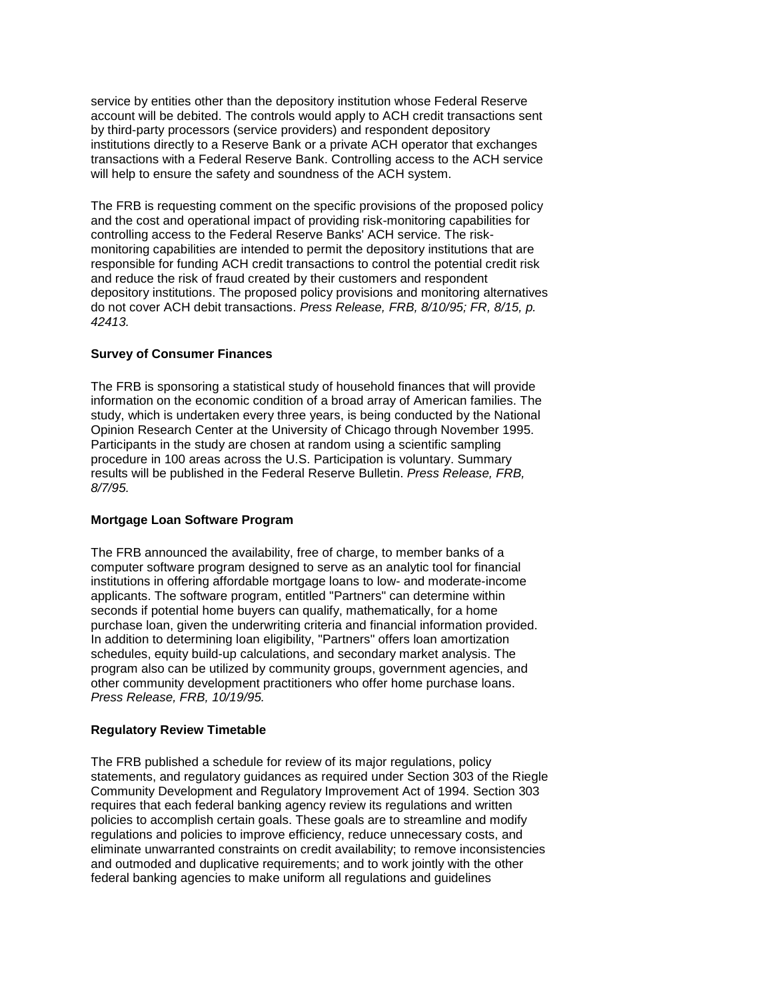service by entities other than the depository institution whose Federal Reserve account will be debited. The controls would apply to ACH credit transactions sent by third-party processors (service providers) and respondent depository institutions directly to a Reserve Bank or a private ACH operator that exchanges transactions with a Federal Reserve Bank. Controlling access to the ACH service will help to ensure the safety and soundness of the ACH system.

 do not cover ACH debit transactions. *Press Release, FRB, 8/10/95; FR, 8/15, p.*  The FRB is requesting comment on the specific provisions of the proposed policy and the cost and operational impact of providing risk-monitoring capabilities for controlling access to the Federal Reserve Banks' ACH service. The riskmonitoring capabilities are intended to permit the depository institutions that are responsible for funding ACH credit transactions to control the potential credit risk and reduce the risk of fraud created by their customers and respondent depository institutions. The proposed policy provisions and monitoring alternatives *42413.* 

# **Survey of Consumer Finances**

 study, which is undertaken every three years, is being conducted by the National The FRB is sponsoring a statistical study of household finances that will provide information on the economic condition of a broad array of American families. The Opinion Research Center at the University of Chicago through November 1995. Participants in the study are chosen at random using a scientific sampling procedure in 100 areas across the U.S. Participation is voluntary. Summary results will be published in the Federal Reserve Bulletin. *Press Release, FRB, 8/7/95.* 

### **Mortgage Loan Software Program**

The FRB announced the availability, free of charge, to member banks of a computer software program designed to serve as an analytic tool for financial institutions in offering affordable mortgage loans to low- and moderate-income applicants. The software program, entitled "Partners" can determine within seconds if potential home buyers can qualify, mathematically, for a home purchase loan, given the underwriting criteria and financial information provided. In addition to determining loan eligibility, "Partners" offers loan amortization schedules, equity build-up calculations, and secondary market analysis. The program also can be utilized by community groups, government agencies, and other community development practitioners who offer home purchase loans. *Press Release, FRB, 10/19/95.* 

## **Regulatory Review Timetable**

 and outmoded and duplicative requirements; and to work jointly with the other The FRB published a schedule for review of its major regulations, policy statements, and regulatory guidances as required under Section 303 of the Riegle Community Development and Regulatory Improvement Act of 1994. Section 303 requires that each federal banking agency review its regulations and written policies to accomplish certain goals. These goals are to streamline and modify regulations and policies to improve efficiency, reduce unnecessary costs, and eliminate unwarranted constraints on credit availability; to remove inconsistencies federal banking agencies to make uniform all regulations and guidelines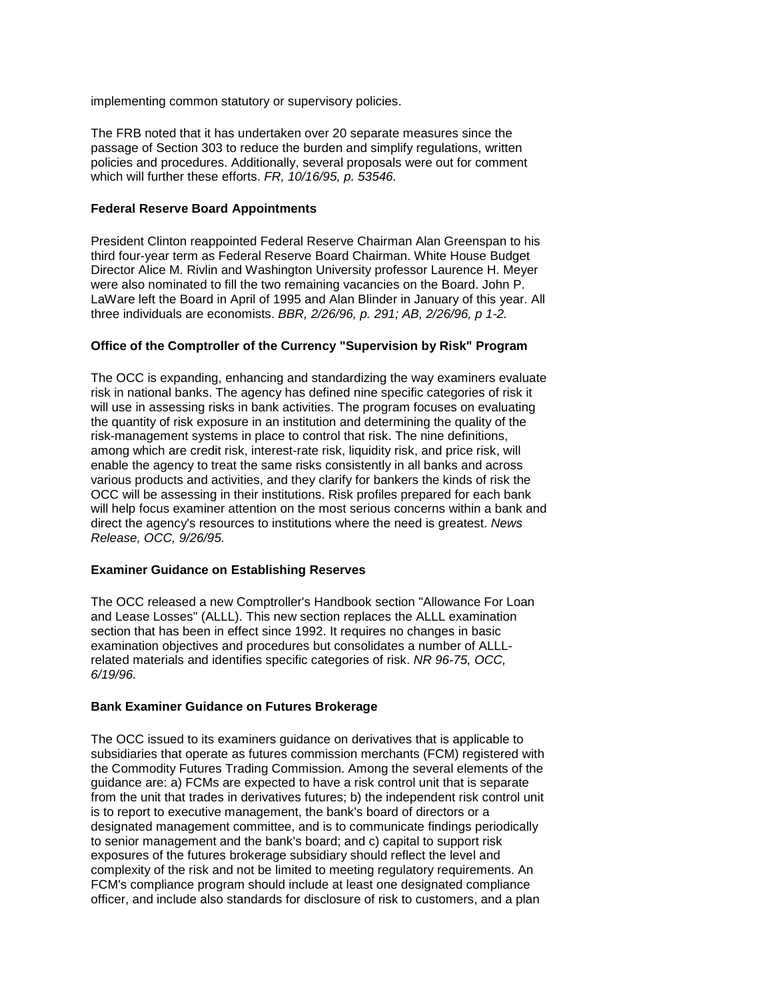implementing common statutory or supervisory policies.

 The FRB noted that it has undertaken over 20 separate measures since the passage of Section 303 to reduce the burden and simplify regulations, written policies and procedures. Additionally, several proposals were out for comment which will further these efforts. *FR, 10/16/95, p. 53546.* 

# **Federal Reserve Board Appointments**

 Director Alice M. Rivlin and Washington University professor Laurence H. Meyer LaWare left the Board in April of 1995 and Alan Blinder in January of this year. All President Clinton reappointed Federal Reserve Chairman Alan Greenspan to his third four-year term as Federal Reserve Board Chairman. White House Budget were also nominated to fill the two remaining vacancies on the Board. John P. three individuals are economists. *BBR, 2/26/96, p. 291; AB, 2/26/96, p 1-2.* 

## **Office of the Comptroller of the Currency "Supervision by Risk" Program**

 will help focus examiner attention on the most serious concerns within a bank and The OCC is expanding, enhancing and standardizing the way examiners evaluate risk in national banks. The agency has defined nine specific categories of risk it will use in assessing risks in bank activities. The program focuses on evaluating the quantity of risk exposure in an institution and determining the quality of the risk-management systems in place to control that risk. The nine definitions, among which are credit risk, interest-rate risk, liquidity risk, and price risk, will enable the agency to treat the same risks consistently in all banks and across various products and activities, and they clarify for bankers the kinds of risk the OCC will be assessing in their institutions. Risk profiles prepared for each bank direct the agency's resources to institutions where the need is greatest. *News Release, OCC, 9/26/95.* 

# **Examiner Guidance on Establishing Reserves**

 and Lease Losses" (ALLL). This new section replaces the ALLL examination section that has been in effect since 1992. It requires no changes in basic The OCC released a new Comptroller's Handbook section "Allowance For Loan examination objectives and procedures but consolidates a number of ALLLrelated materials and identifies specific categories of risk. *NR 96-75, OCC, 6/19/96.* 

#### **Bank Examiner Guidance on Futures Brokerage**

 from the unit that trades in derivatives futures; b) the independent risk control unit The OCC issued to its examiners guidance on derivatives that is applicable to subsidiaries that operate as futures commission merchants (FCM) registered with the Commodity Futures Trading Commission. Among the several elements of the guidance are: a) FCMs are expected to have a risk control unit that is separate is to report to executive management, the bank's board of directors or a designated management committee, and is to communicate findings periodically to senior management and the bank's board; and c) capital to support risk exposures of the futures brokerage subsidiary should reflect the level and complexity of the risk and not be limited to meeting regulatory requirements. An FCM's compliance program should include at least one designated compliance officer, and include also standards for disclosure of risk to customers, and a plan